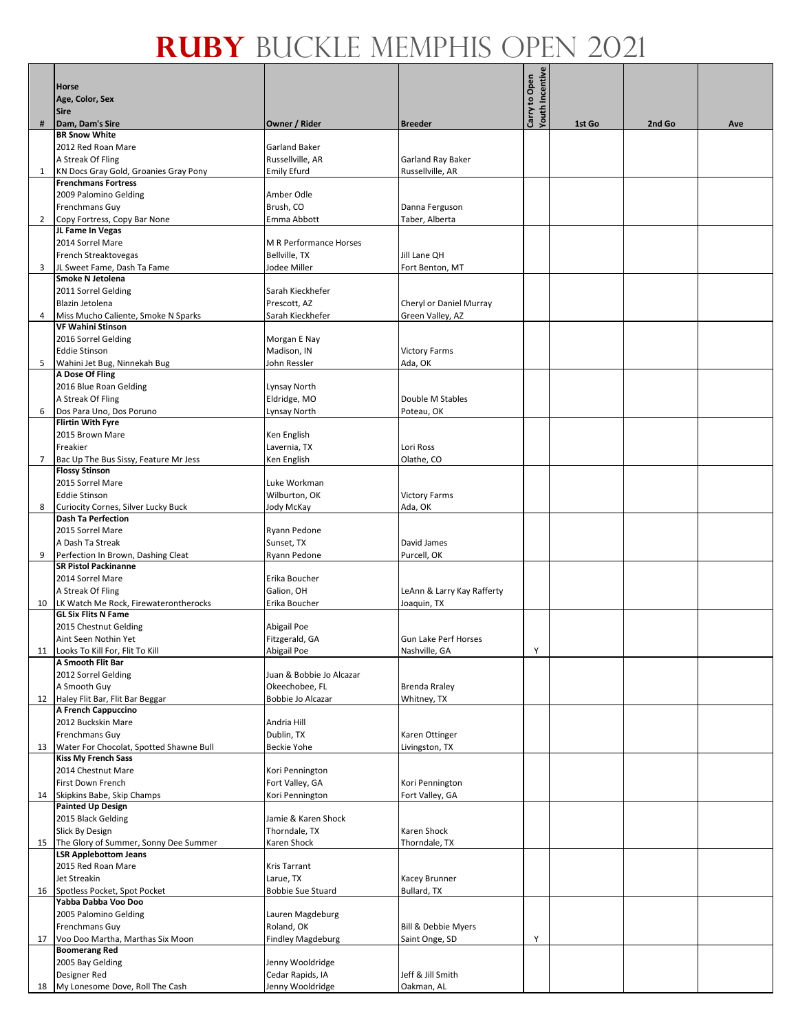|              |                                          |                          |                                | Youth Incentive |        |        |     |
|--------------|------------------------------------------|--------------------------|--------------------------------|-----------------|--------|--------|-----|
|              | <b>Horse</b>                             |                          |                                | Carry to Open   |        |        |     |
|              | Age, Color, Sex                          |                          |                                |                 |        |        |     |
|              | <b>Sire</b>                              |                          |                                |                 |        |        |     |
| #            | Dam, Dam's Sire                          | Owner / Rider            | <b>Breeder</b>                 |                 | 1st Go | 2nd Go | Ave |
|              | <b>BR Snow White</b>                     |                          |                                |                 |        |        |     |
|              | 2012 Red Roan Mare                       | <b>Garland Baker</b>     |                                |                 |        |        |     |
|              |                                          |                          |                                |                 |        |        |     |
|              | A Streak Of Fling                        | Russellville, AR         | Garland Ray Baker              |                 |        |        |     |
| $\mathbf{1}$ | KN Docs Gray Gold, Groanies Gray Pony    | <b>Emily Efurd</b>       | Russellville, AR               |                 |        |        |     |
|              | <b>Frenchmans Fortress</b>               |                          |                                |                 |        |        |     |
|              | 2009 Palomino Gelding                    | Amber Odle               |                                |                 |        |        |     |
|              | Frenchmans Guy                           | Brush, CO                | Danna Ferguson                 |                 |        |        |     |
|              | Copy Fortress, Copy Bar None             |                          |                                |                 |        |        |     |
| $\mathbf{2}$ |                                          | Emma Abbott              | Taber, Alberta                 |                 |        |        |     |
|              | JL Fame In Vegas                         |                          |                                |                 |        |        |     |
|              | 2014 Sorrel Mare                         | M R Performance Horses   |                                |                 |        |        |     |
|              | French Streaktovegas                     | Bellville, TX            | Jill Lane QH                   |                 |        |        |     |
| 3            | JL Sweet Fame, Dash Ta Fame              | Jodee Miller             | Fort Benton, MT                |                 |        |        |     |
|              | Smoke N Jetolena                         |                          |                                |                 |        |        |     |
|              | 2011 Sorrel Gelding                      | Sarah Kieckhefer         |                                |                 |        |        |     |
|              | Blazin Jetolena                          | Prescott, AZ             |                                |                 |        |        |     |
|              |                                          |                          | Cheryl or Daniel Murray        |                 |        |        |     |
| 4            | Miss Mucho Caliente, Smoke N Sparks      | Sarah Kieckhefer         | Green Valley, AZ               |                 |        |        |     |
|              | <b>VF Wahini Stinson</b>                 |                          |                                |                 |        |        |     |
|              | 2016 Sorrel Gelding                      | Morgan E Nay             |                                |                 |        |        |     |
|              | <b>Eddie Stinson</b>                     | Madison, IN              | <b>Victory Farms</b>           |                 |        |        |     |
| 5            | Wahini Jet Bug, Ninnekah Bug             | John Ressler             | Ada, OK                        |                 |        |        |     |
|              | A Dose Of Fling                          |                          |                                |                 |        |        |     |
|              | 2016 Blue Roan Gelding                   |                          |                                |                 |        |        |     |
|              |                                          | Lynsay North             |                                |                 |        |        |     |
|              | A Streak Of Fling                        | Eldridge, MO             | Double M Stables               |                 |        |        |     |
| 6            | Dos Para Uno, Dos Poruno                 | Lynsay North             | Poteau, OK                     |                 |        |        |     |
|              | <b>Flirtin With Fyre</b>                 |                          |                                |                 |        |        |     |
|              | 2015 Brown Mare                          | Ken English              |                                |                 |        |        |     |
|              | Freakier                                 | Lavernia, TX             | Lori Ross                      |                 |        |        |     |
| 7            | Bac Up The Bus Sissy, Feature Mr Jess    | Ken English              | Olathe, CO                     |                 |        |        |     |
|              | <b>Flossy Stinson</b>                    |                          |                                |                 |        |        |     |
|              | 2015 Sorrel Mare                         |                          |                                |                 |        |        |     |
|              |                                          | Luke Workman             |                                |                 |        |        |     |
|              | <b>Eddie Stinson</b>                     | Wilburton, OK            | <b>Victory Farms</b>           |                 |        |        |     |
| 8            | Curiocity Cornes, Silver Lucky Buck      | Jody McKay               | Ada, OK                        |                 |        |        |     |
|              | <b>Dash Ta Perfection</b>                |                          |                                |                 |        |        |     |
|              | 2015 Sorrel Mare                         | Ryann Pedone             |                                |                 |        |        |     |
|              | A Dash Ta Streak                         | Sunset, TX               | David James                    |                 |        |        |     |
| 9            | Perfection In Brown, Dashing Cleat       | Ryann Pedone             | Purcell, OK                    |                 |        |        |     |
|              | <b>SR Pistol Packinanne</b>              |                          |                                |                 |        |        |     |
|              |                                          |                          |                                |                 |        |        |     |
|              | 2014 Sorrel Mare                         | Erika Boucher            |                                |                 |        |        |     |
|              | A Streak Of Fling                        | Galion, OH               | LeAnn & Larry Kay Rafferty     |                 |        |        |     |
|              | 10 LK Watch Me Rock, Firewaterontherocks | Erika Boucher            | Joaquin, TX                    |                 |        |        |     |
|              | <b>GL Six Flits N Fame</b>               |                          |                                |                 |        |        |     |
|              | 2015 Chestnut Gelding                    | Abigail Poe              |                                |                 |        |        |     |
|              | Aint Seen Nothin Yet                     | Fitzgerald, GA           | <b>Gun Lake Perf Horses</b>    |                 |        |        |     |
| 11           | Looks To Kill For, Flit To Kill          | Abigail Poe              | Nashville, GA                  | Υ               |        |        |     |
|              | A Smooth Flit Bar                        |                          |                                |                 |        |        |     |
|              |                                          |                          |                                |                 |        |        |     |
|              | 2012 Sorrel Gelding                      | Juan & Bobbie Jo Alcazar |                                |                 |        |        |     |
|              | A Smooth Guy                             | Okeechobee, FL           | <b>Brenda Rraley</b>           |                 |        |        |     |
| 12           | Haley Flit Bar, Flit Bar Beggar          | Bobbie Jo Alcazar        | Whitney, TX                    |                 |        |        |     |
|              | A French Cappuccino                      |                          |                                |                 |        |        |     |
|              | 2012 Buckskin Mare                       | Andria Hill              |                                |                 |        |        |     |
|              | Frenchmans Guy                           | Dublin, TX               | Karen Ottinger                 |                 |        |        |     |
| 13           | Water For Chocolat, Spotted Shawne Bull  | Beckie Yohe              | Livingston, TX                 |                 |        |        |     |
|              | <b>Kiss My French Sass</b>               |                          |                                |                 |        |        |     |
|              |                                          |                          |                                |                 |        |        |     |
|              | 2014 Chestnut Mare                       | Kori Pennington          |                                |                 |        |        |     |
|              | First Down French                        | Fort Valley, GA          | Kori Pennington                |                 |        |        |     |
| 14           | Skipkins Babe, Skip Champs               | Kori Pennington          | Fort Valley, GA                |                 |        |        |     |
|              | <b>Painted Up Design</b>                 |                          |                                |                 |        |        |     |
|              | 2015 Black Gelding                       | Jamie & Karen Shock      |                                |                 |        |        |     |
|              | Slick By Design                          | Thorndale, TX            | Karen Shock                    |                 |        |        |     |
| 15           | The Glory of Summer, Sonny Dee Summer    | Karen Shock              | Thorndale, TX                  |                 |        |        |     |
|              | <b>LSR Applebottom Jeans</b>             |                          |                                |                 |        |        |     |
|              | 2015 Red Roan Mare                       | Kris Tarrant             |                                |                 |        |        |     |
|              |                                          |                          |                                |                 |        |        |     |
|              | Jet Streakin                             | Larue, TX                | Kacey Brunner                  |                 |        |        |     |
| 16           | Spotless Pocket, Spot Pocket             | Bobbie Sue Stuard        | Bullard, TX                    |                 |        |        |     |
|              | Yabba Dabba Voo Doo                      |                          |                                |                 |        |        |     |
|              | 2005 Palomino Gelding                    | Lauren Magdeburg         |                                |                 |        |        |     |
|              | Frenchmans Guy                           | Roland, OK               | <b>Bill &amp; Debbie Myers</b> |                 |        |        |     |
| 17           | Voo Doo Martha, Marthas Six Moon         | <b>Findley Magdeburg</b> | Saint Onge, SD                 | Y               |        |        |     |
|              | <b>Boomerang Red</b>                     |                          |                                |                 |        |        |     |
|              | 2005 Bay Gelding                         | Jenny Wooldridge         |                                |                 |        |        |     |
|              |                                          |                          |                                |                 |        |        |     |
|              | Designer Red                             | Cedar Rapids, IA         | Jeff & Jill Smith              |                 |        |        |     |
|              | 18 My Lonesome Dove, Roll The Cash       | Jenny Wooldridge         | Oakman, AL                     |                 |        |        |     |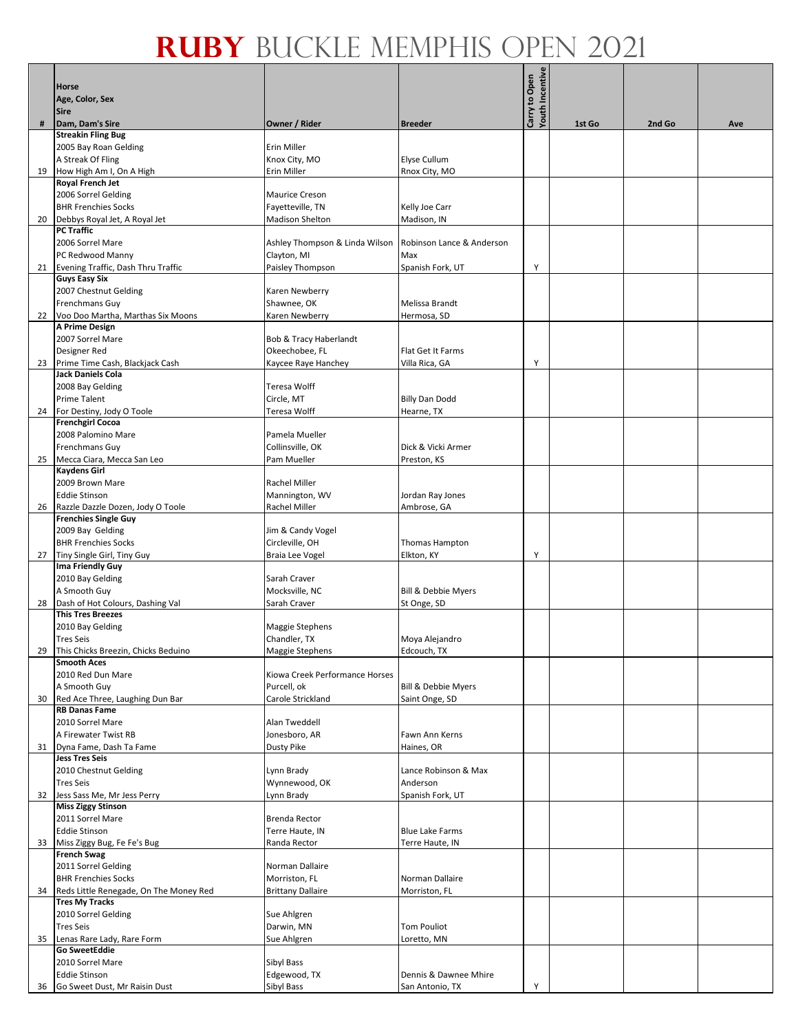|    |                                        |                                |                           | Youth Incentive |        |        |     |
|----|----------------------------------------|--------------------------------|---------------------------|-----------------|--------|--------|-----|
|    | Horse                                  |                                |                           | Carry to Open   |        |        |     |
|    | Age, Color, Sex                        |                                |                           |                 |        |        |     |
|    | <b>Sire</b>                            |                                |                           |                 |        |        |     |
| #  | Dam, Dam's Sire                        | Owner / Rider                  | <b>Breeder</b>            |                 | 1st Go | 2nd Go | Ave |
|    | <b>Streakin Fling Bug</b>              |                                |                           |                 |        |        |     |
|    | 2005 Bay Roan Gelding                  | Erin Miller                    |                           |                 |        |        |     |
|    |                                        |                                |                           |                 |        |        |     |
|    | A Streak Of Fling                      | Knox City, MO                  | Elyse Cullum              |                 |        |        |     |
| 19 | How High Am I, On A High               | Erin Miller                    | Rnox City, MO             |                 |        |        |     |
|    | Royal French Jet                       |                                |                           |                 |        |        |     |
|    | 2006 Sorrel Gelding                    | <b>Maurice Creson</b>          |                           |                 |        |        |     |
|    | <b>BHR Frenchies Socks</b>             | Fayetteville, TN               | Kelly Joe Carr            |                 |        |        |     |
| 20 | Debbys Royal Jet, A Royal Jet          | <b>Madison Shelton</b>         | Madison, IN               |                 |        |        |     |
|    | <b>PC Traffic</b>                      |                                |                           |                 |        |        |     |
|    | 2006 Sorrel Mare                       | Ashley Thompson & Linda Wilson | Robinson Lance & Anderson |                 |        |        |     |
|    | PC Redwood Manny                       | Clayton, MI                    | Max                       |                 |        |        |     |
|    | 21 Evening Traffic, Dash Thru Traffic  | Paisley Thompson               | Spanish Fork, UT          | Y               |        |        |     |
|    | <b>Guys Easy Six</b>                   |                                |                           |                 |        |        |     |
|    |                                        |                                |                           |                 |        |        |     |
|    | 2007 Chestnut Gelding                  | Karen Newberry                 |                           |                 |        |        |     |
|    | Frenchmans Guy                         | Shawnee, OK                    | Melissa Brandt            |                 |        |        |     |
| 22 | Voo Doo Martha, Marthas Six Moons      | Karen Newberry                 | Hermosa, SD               |                 |        |        |     |
|    | A Prime Design                         |                                |                           |                 |        |        |     |
|    | 2007 Sorrel Mare                       | Bob & Tracy Haberlandt         |                           |                 |        |        |     |
|    | Designer Red                           | Okeechobee, FL                 | Flat Get It Farms         |                 |        |        |     |
| 23 | Prime Time Cash, Blackjack Cash        | Kaycee Raye Hanchey            | Villa Rica, GA            | Y               |        |        |     |
|    | Jack Daniels Cola                      |                                |                           |                 |        |        |     |
|    | 2008 Bay Gelding                       | Teresa Wolff                   |                           |                 |        |        |     |
|    | Prime Talent                           | Circle, MT                     | <b>Billy Dan Dodd</b>     |                 |        |        |     |
| 24 | For Destiny, Jody O Toole              | <b>Teresa Wolff</b>            | Hearne, TX                |                 |        |        |     |
|    | <b>Frenchgirl Cocoa</b>                |                                |                           |                 |        |        |     |
|    |                                        |                                |                           |                 |        |        |     |
|    | 2008 Palomino Mare                     | Pamela Mueller                 |                           |                 |        |        |     |
|    | Frenchmans Guy                         | Collinsville, OK               | Dick & Vicki Armer        |                 |        |        |     |
| 25 | Mecca Ciara, Mecca San Leo             | Pam Mueller                    | Preston, KS               |                 |        |        |     |
|    | <b>Kaydens Girl</b>                    |                                |                           |                 |        |        |     |
|    | 2009 Brown Mare                        | Rachel Miller                  |                           |                 |        |        |     |
|    | <b>Eddie Stinson</b>                   | Mannington, WV                 | Jordan Ray Jones          |                 |        |        |     |
| 26 | Razzle Dazzle Dozen, Jody O Toole      | Rachel Miller                  | Ambrose, GA               |                 |        |        |     |
|    | <b>Frenchies Single Guy</b>            |                                |                           |                 |        |        |     |
|    | 2009 Bay Gelding                       | Jim & Candy Vogel              |                           |                 |        |        |     |
|    | <b>BHR Frenchies Socks</b>             | Circleville, OH                | Thomas Hampton            |                 |        |        |     |
| 27 | Tiny Single Girl, Tiny Guy             | Braia Lee Vogel                | Elkton, KY                | Y               |        |        |     |
|    | Ima Friendly Guy                       |                                |                           |                 |        |        |     |
|    | 2010 Bay Gelding                       | Sarah Craver                   |                           |                 |        |        |     |
|    | A Smooth Guy                           | Mocksville, NC                 | Bill & Debbie Myers       |                 |        |        |     |
|    |                                        |                                |                           |                 |        |        |     |
| 28 | Dash of Hot Colours, Dashing Val       | Sarah Craver                   | St Onge, SD               |                 |        |        |     |
|    | <b>This Tres Breezes</b>               |                                |                           |                 |        |        |     |
|    | 2010 Bay Gelding                       | Maggie Stephens                |                           |                 |        |        |     |
|    | <b>Tres Seis</b>                       | Chandler, TX                   | Moya Alejandro            |                 |        |        |     |
| 29 | This Chicks Breezin, Chicks Beduino    | <b>Maggie Stephens</b>         | Edcouch, TX               |                 |        |        |     |
|    | <b>Smooth Aces</b>                     |                                |                           |                 |        |        |     |
|    | 2010 Red Dun Mare                      | Kiowa Creek Performance Horses |                           |                 |        |        |     |
|    | A Smooth Guy                           | Purcell, ok                    | Bill & Debbie Myers       |                 |        |        |     |
| 30 | Red Ace Three, Laughing Dun Bar        | Carole Strickland              | Saint Onge, SD            |                 |        |        |     |
|    | <b>RB Danas Fame</b>                   |                                |                           |                 |        |        |     |
|    | 2010 Sorrel Mare                       | Alan Tweddell                  |                           |                 |        |        |     |
|    | A Firewater Twist RB                   | Jonesboro, AR                  | Fawn Ann Kerns            |                 |        |        |     |
| 31 | Dyna Fame, Dash Ta Fame                | Dusty Pike                     | Haines, OR                |                 |        |        |     |
|    | <b>Jess Tres Seis</b>                  |                                |                           |                 |        |        |     |
|    | 2010 Chestnut Gelding                  |                                | Lance Robinson & Max      |                 |        |        |     |
|    |                                        | Lynn Brady                     |                           |                 |        |        |     |
|    | <b>Tres Seis</b>                       | Wynnewood, OK                  | Anderson                  |                 |        |        |     |
| 32 | Jess Sass Me, Mr Jess Perry            | Lynn Brady                     | Spanish Fork, UT          |                 |        |        |     |
|    | <b>Miss Ziggy Stinson</b>              |                                |                           |                 |        |        |     |
|    | 2011 Sorrel Mare                       | Brenda Rector                  |                           |                 |        |        |     |
|    | <b>Eddie Stinson</b>                   | Terre Haute, IN                | <b>Blue Lake Farms</b>    |                 |        |        |     |
| 33 | Miss Ziggy Bug, Fe Fe's Bug            | Randa Rector                   | Terre Haute, IN           |                 |        |        |     |
|    | <b>French Swag</b>                     |                                |                           |                 |        |        |     |
|    | 2011 Sorrel Gelding                    | Norman Dallaire                |                           |                 |        |        |     |
|    | <b>BHR Frenchies Socks</b>             | Morriston, FL                  | Norman Dallaire           |                 |        |        |     |
| 34 | Reds Little Renegade, On The Money Red | <b>Brittany Dallaire</b>       | Morriston, FL             |                 |        |        |     |
|    | <b>Tres My Tracks</b>                  |                                |                           |                 |        |        |     |
|    | 2010 Sorrel Gelding                    | Sue Ahlgren                    |                           |                 |        |        |     |
|    | <b>Tres Seis</b>                       | Darwin, MN                     | Tom Pouliot               |                 |        |        |     |
|    | Lenas Rare Lady, Rare Form             |                                |                           |                 |        |        |     |
| 35 | <b>Go SweetEddie</b>                   | Sue Ahlgren                    | Loretto, MN               |                 |        |        |     |
|    |                                        |                                |                           |                 |        |        |     |
|    | 2010 Sorrel Mare                       | Sibyl Bass                     |                           |                 |        |        |     |
|    | <b>Eddie Stinson</b>                   | Edgewood, TX                   | Dennis & Dawnee Mhire     |                 |        |        |     |
|    | 36 Go Sweet Dust, Mr Raisin Dust       | Sibyl Bass                     | San Antonio, TX           | Υ               |        |        |     |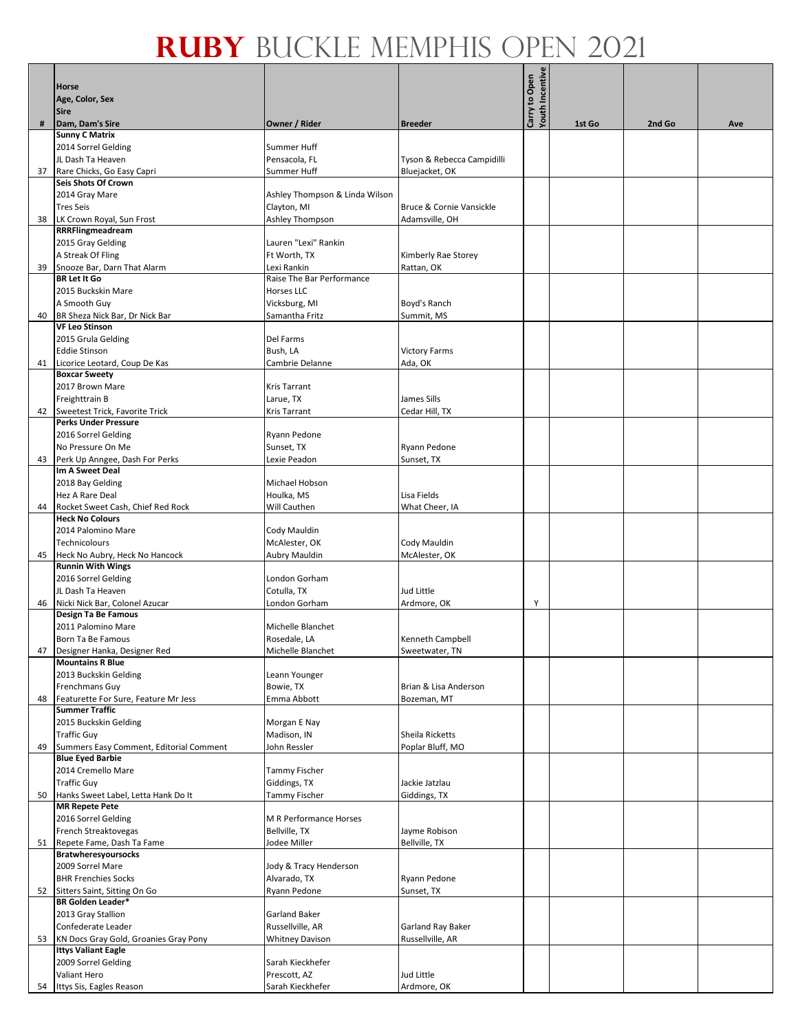|    | Horse                                                    |                                |                            |                                  |        |        |     |
|----|----------------------------------------------------------|--------------------------------|----------------------------|----------------------------------|--------|--------|-----|
|    | Age, Color, Sex                                          |                                |                            | Youth Incentive<br>Carry to Open |        |        |     |
|    | <b>Sire</b>                                              |                                |                            |                                  |        |        |     |
| #  | Dam, Dam's Sire<br><b>Sunny C Matrix</b>                 | Owner / Rider                  | <b>Breeder</b>             |                                  | 1st Go | 2nd Go | Ave |
|    | 2014 Sorrel Gelding                                      | Summer Huff                    |                            |                                  |        |        |     |
|    | JL Dash Ta Heaven                                        | Pensacola, FL                  | Tyson & Rebecca Campidilli |                                  |        |        |     |
| 37 | Rare Chicks, Go Easy Capri                               | Summer Huff                    | Bluejacket, OK             |                                  |        |        |     |
|    | Seis Shots Of Crown                                      |                                |                            |                                  |        |        |     |
|    | 2014 Gray Mare                                           | Ashley Thompson & Linda Wilson |                            |                                  |        |        |     |
|    | <b>Tres Seis</b>                                         | Clayton, MI                    | Bruce & Cornie Vansickle   |                                  |        |        |     |
| 38 | LK Crown Royal, Sun Frost                                | Ashley Thompson                | Adamsville, OH             |                                  |        |        |     |
|    | RRRFlingmeadream                                         |                                |                            |                                  |        |        |     |
|    | 2015 Gray Gelding                                        | Lauren "Lexi" Rankin           |                            |                                  |        |        |     |
|    | A Streak Of Fling                                        | Ft Worth, TX                   | Kimberly Rae Storey        |                                  |        |        |     |
| 39 | Snooze Bar, Darn That Alarm                              | Lexi Rankin                    | Rattan, OK                 |                                  |        |        |     |
|    | <b>BR Let It Go</b>                                      | Raise The Bar Performance      |                            |                                  |        |        |     |
|    | 2015 Buckskin Mare                                       | Horses LLC                     |                            |                                  |        |        |     |
|    | A Smooth Guy                                             | Vicksburg, MI                  | Boyd's Ranch               |                                  |        |        |     |
| 40 | BR Sheza Nick Bar, Dr Nick Bar                           | Samantha Fritz                 | Summit, MS                 |                                  |        |        |     |
|    | <b>VF Leo Stinson</b>                                    |                                |                            |                                  |        |        |     |
|    | 2015 Grula Gelding                                       | Del Farms                      |                            |                                  |        |        |     |
|    | <b>Eddie Stinson</b>                                     | Bush, LA                       | <b>Victory Farms</b>       |                                  |        |        |     |
| 41 | Licorice Leotard, Coup De Kas                            | Cambrie Delanne                | Ada, OK                    |                                  |        |        |     |
|    | <b>Boxcar Sweety</b>                                     |                                |                            |                                  |        |        |     |
|    | 2017 Brown Mare                                          | <b>Kris Tarrant</b>            |                            |                                  |        |        |     |
|    | Freighttrain B                                           | Larue, TX                      | James Sills                |                                  |        |        |     |
| 42 | Sweetest Trick, Favorite Trick                           | <b>Kris Tarrant</b>            | Cedar Hill, TX             |                                  |        |        |     |
|    | <b>Perks Under Pressure</b>                              |                                |                            |                                  |        |        |     |
|    | 2016 Sorrel Gelding                                      | Ryann Pedone                   |                            |                                  |        |        |     |
|    | No Pressure On Me                                        | Sunset, TX                     | Ryann Pedone               |                                  |        |        |     |
| 43 | Perk Up Anngee, Dash For Perks                           | Lexie Peadon                   | Sunset, TX                 |                                  |        |        |     |
|    | Im A Sweet Deal                                          |                                |                            |                                  |        |        |     |
|    | 2018 Bay Gelding                                         | Michael Hobson                 |                            |                                  |        |        |     |
|    | Hez A Rare Deal                                          | Houlka, MS                     | Lisa Fields                |                                  |        |        |     |
| 44 | Rocket Sweet Cash, Chief Red Rock                        | Will Cauthen                   | What Cheer, IA             |                                  |        |        |     |
|    | <b>Heck No Colours</b>                                   |                                |                            |                                  |        |        |     |
|    | 2014 Palomino Mare                                       | Cody Mauldin                   |                            |                                  |        |        |     |
|    | Technicolours                                            | McAlester, OK                  | Cody Mauldin               |                                  |        |        |     |
| 45 | Heck No Aubry, Heck No Hancock                           | Aubry Mauldin                  | McAlester, OK              |                                  |        |        |     |
|    | <b>Runnin With Wings</b>                                 |                                |                            |                                  |        |        |     |
|    | 2016 Sorrel Gelding                                      | London Gorham                  |                            |                                  |        |        |     |
|    | JL Dash Ta Heaven                                        | Cotulla, TX                    | Jud Little                 |                                  |        |        |     |
|    | 46 Nicki Nick Bar, Colonel Azucar<br>Design Ta Be Famous | London Gorham                  | Ardmore, OK                | Y                                |        |        |     |
|    | 2011 Palomino Mare                                       | Michelle Blanchet              |                            |                                  |        |        |     |
|    | Born Ta Be Famous                                        | Rosedale, LA                   | Kenneth Campbell           |                                  |        |        |     |
| 47 | Designer Hanka, Designer Red                             | Michelle Blanchet              | Sweetwater, TN             |                                  |        |        |     |
|    | <b>Mountains R Blue</b>                                  |                                |                            |                                  |        |        |     |
|    | 2013 Buckskin Gelding                                    | Leann Younger                  |                            |                                  |        |        |     |
|    | Frenchmans Guy                                           | Bowie, TX                      | Brian & Lisa Anderson      |                                  |        |        |     |
| 48 | Featurette For Sure, Feature Mr Jess                     | Emma Abbott                    | Bozeman, MT                |                                  |        |        |     |
|    | <b>Summer Traffic</b>                                    |                                |                            |                                  |        |        |     |
|    | 2015 Buckskin Gelding                                    | Morgan E Nay                   |                            |                                  |        |        |     |
|    | <b>Traffic Guy</b>                                       | Madison, IN                    | <b>Sheila Ricketts</b>     |                                  |        |        |     |
| 49 | Summers Easy Comment, Editorial Comment                  | John Ressler                   | Poplar Bluff, MO           |                                  |        |        |     |
|    | <b>Blue Eyed Barbie</b>                                  |                                |                            |                                  |        |        |     |
|    | 2014 Cremello Mare                                       | Tammy Fischer                  |                            |                                  |        |        |     |
|    | <b>Traffic Guy</b>                                       | Giddings, TX                   | Jackie Jatzlau             |                                  |        |        |     |
| 50 | Hanks Sweet Label, Letta Hank Do It                      | Tammy Fischer                  | Giddings, TX               |                                  |        |        |     |
|    | <b>MR Repete Pete</b>                                    |                                |                            |                                  |        |        |     |
|    | 2016 Sorrel Gelding                                      | M R Performance Horses         |                            |                                  |        |        |     |
|    | French Streaktovegas                                     | Bellville, TX                  | Jayme Robison              |                                  |        |        |     |
| 51 | Repete Fame, Dash Ta Fame                                | Jodee Miller                   | Bellville, TX              |                                  |        |        |     |
|    | <b>Bratwheresyoursocks</b>                               |                                |                            |                                  |        |        |     |
|    | 2009 Sorrel Mare                                         | Jody & Tracy Henderson         |                            |                                  |        |        |     |
|    | <b>BHR Frenchies Socks</b>                               | Alvarado, TX                   | Ryann Pedone               |                                  |        |        |     |
| 52 | Sitters Saint, Sitting On Go<br><b>BR Golden Leader*</b> | Ryann Pedone                   | Sunset, TX                 |                                  |        |        |     |
|    | 2013 Gray Stallion                                       | Garland Baker                  |                            |                                  |        |        |     |
|    | Confederate Leader                                       | Russellville, AR               | Garland Ray Baker          |                                  |        |        |     |
| 53 | KN Docs Gray Gold, Groanies Gray Pony                    | <b>Whitney Davison</b>         | Russellville, AR           |                                  |        |        |     |
|    | <b>Ittys Valiant Eagle</b>                               |                                |                            |                                  |        |        |     |
|    | 2009 Sorrel Gelding                                      | Sarah Kieckhefer               |                            |                                  |        |        |     |
|    | Valiant Hero                                             | Prescott, AZ                   | Jud Little                 |                                  |        |        |     |
|    | 54 Ittys Sis, Eagles Reason                              | Sarah Kieckhefer               | Ardmore, OK                |                                  |        |        |     |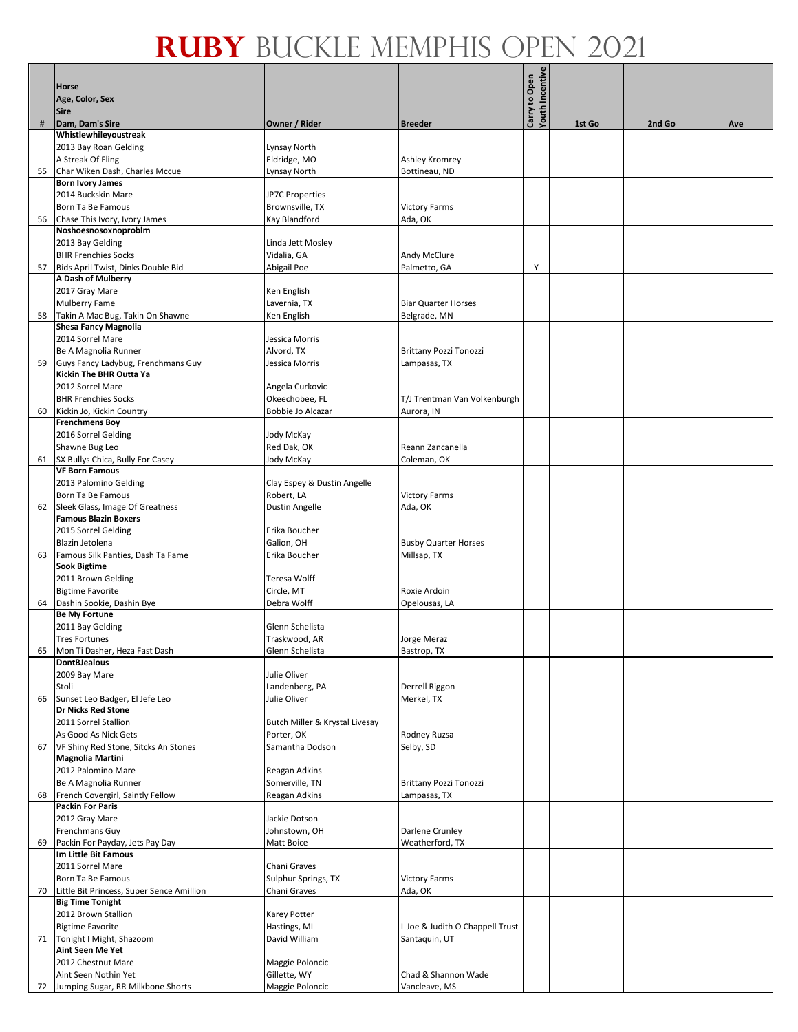|    |                                           |                                |                                 | <b>Youth Incentive</b> |        |        |     |
|----|-------------------------------------------|--------------------------------|---------------------------------|------------------------|--------|--------|-----|
|    | Horse                                     |                                |                                 | Carry to Open          |        |        |     |
|    | Age, Color, Sex                           |                                |                                 |                        |        |        |     |
|    | <b>Sire</b>                               |                                |                                 |                        |        |        |     |
| #  | Dam, Dam's Sire                           | Owner / Rider                  | <b>Breeder</b>                  |                        | 1st Go | 2nd Go | Ave |
|    | Whistlewhileyoustreak                     |                                |                                 |                        |        |        |     |
|    | 2013 Bay Roan Gelding                     | Lynsay North                   |                                 |                        |        |        |     |
|    |                                           |                                |                                 |                        |        |        |     |
|    | A Streak Of Fling                         | Eldridge, MO                   | Ashley Kromrey                  |                        |        |        |     |
| 55 | Char Wiken Dash, Charles Mccue            | Lynsay North                   | Bottineau, ND                   |                        |        |        |     |
|    | <b>Born Ivory James</b>                   |                                |                                 |                        |        |        |     |
|    | 2014 Buckskin Mare                        | <b>JP7C Properties</b>         |                                 |                        |        |        |     |
|    | Born Ta Be Famous                         | Brownsville, TX                | <b>Victory Farms</b>            |                        |        |        |     |
| 56 | Chase This Ivory, Ivory James             | Kay Blandford                  | Ada, OK                         |                        |        |        |     |
|    | Noshoesnosoxnoproblm                      |                                |                                 |                        |        |        |     |
|    | 2013 Bay Gelding                          | Linda Jett Mosley              |                                 |                        |        |        |     |
|    |                                           |                                |                                 |                        |        |        |     |
|    | <b>BHR Frenchies Socks</b>                | Vidalia, GA                    | Andy McClure                    |                        |        |        |     |
| 57 | Bids April Twist, Dinks Double Bid        | Abigail Poe                    | Palmetto, GA                    | Υ                      |        |        |     |
|    | A Dash of Mulberry                        |                                |                                 |                        |        |        |     |
|    | 2017 Gray Mare                            | Ken English                    |                                 |                        |        |        |     |
|    | Mulberry Fame                             | Lavernia, TX                   | <b>Biar Quarter Horses</b>      |                        |        |        |     |
| 58 | Takin A Mac Bug, Takin On Shawne          | Ken English                    | Belgrade, MN                    |                        |        |        |     |
|    | <b>Shesa Fancy Magnolia</b>               |                                |                                 |                        |        |        |     |
|    | 2014 Sorrel Mare                          | Jessica Morris                 |                                 |                        |        |        |     |
|    |                                           |                                |                                 |                        |        |        |     |
|    | Be A Magnolia Runner                      | Alvord, TX                     | <b>Brittany Pozzi Tonozzi</b>   |                        |        |        |     |
| 59 | Guys Fancy Ladybug, Frenchmans Guy        | Jessica Morris                 | Lampasas, TX                    |                        |        |        |     |
|    | <b>Kickin The BHR Outta Ya</b>            |                                |                                 |                        |        |        |     |
|    | 2012 Sorrel Mare                          | Angela Curkovic                |                                 |                        |        |        |     |
|    | <b>BHR Frenchies Socks</b>                | Okeechobee, FL                 | T/J Trentman Van Volkenburgh    |                        |        |        |     |
| 60 | Kickin Jo, Kickin Country                 | Bobbie Jo Alcazar              | Aurora, IN                      |                        |        |        |     |
|    | <b>Frenchmens Boy</b>                     |                                |                                 |                        |        |        |     |
|    | 2016 Sorrel Gelding                       | Jody McKay                     |                                 |                        |        |        |     |
|    | Shawne Bug Leo                            | Red Dak, OK                    | Reann Zancanella                |                        |        |        |     |
|    |                                           |                                |                                 |                        |        |        |     |
|    | 61 SX Bullys Chica, Bully For Casey       | Jody McKay                     | Coleman, OK                     |                        |        |        |     |
|    | <b>VF Born Famous</b>                     |                                |                                 |                        |        |        |     |
|    | 2013 Palomino Gelding                     | Clay Espey & Dustin Angelle    |                                 |                        |        |        |     |
|    | Born Ta Be Famous                         | Robert, LA                     | <b>Victory Farms</b>            |                        |        |        |     |
| 62 | Sleek Glass, Image Of Greatness           | Dustin Angelle                 | Ada, OK                         |                        |        |        |     |
|    | <b>Famous Blazin Boxers</b>               |                                |                                 |                        |        |        |     |
|    | 2015 Sorrel Gelding                       | Erika Boucher                  |                                 |                        |        |        |     |
|    | Blazin Jetolena                           | Galion, OH                     | <b>Busby Quarter Horses</b>     |                        |        |        |     |
| 63 | Famous Silk Panties, Dash Ta Fame         | Erika Boucher                  | Millsap, TX                     |                        |        |        |     |
|    | <b>Sook Bigtime</b>                       |                                |                                 |                        |        |        |     |
|    | 2011 Brown Gelding                        | <b>Teresa Wolff</b>            |                                 |                        |        |        |     |
|    | <b>Bigtime Favorite</b>                   | Circle, MT                     | Roxie Ardoin                    |                        |        |        |     |
|    |                                           |                                |                                 |                        |        |        |     |
|    | 64 Dashin Sookie, Dashin Bye              | Debra Wolff                    | Opelousas, LA                   |                        |        |        |     |
|    | <b>Be My Fortune</b>                      |                                |                                 |                        |        |        |     |
|    | 2011 Bay Gelding                          | Glenn Schelista                |                                 |                        |        |        |     |
|    | <b>Tres Fortunes</b>                      | Traskwood, AR                  | Jorge Meraz                     |                        |        |        |     |
| 65 | Mon Ti Dasher, Heza Fast Dash             | Glenn Schelista                | Bastrop, TX                     |                        |        |        |     |
|    | <b>DontBJealous</b>                       |                                |                                 |                        |        |        |     |
|    | 2009 Bay Mare                             | Julie Oliver                   |                                 |                        |        |        |     |
|    | Stoli                                     | Landenberg, PA                 | Derrell Riggon                  |                        |        |        |     |
| 66 | Sunset Leo Badger, El Jefe Leo            | Julie Oliver                   | Merkel, TX                      |                        |        |        |     |
|    | <b>Dr Nicks Red Stone</b>                 |                                |                                 |                        |        |        |     |
|    | 2011 Sorrel Stallion                      |                                |                                 |                        |        |        |     |
|    |                                           | Butch Miller & Krystal Livesay |                                 |                        |        |        |     |
|    | As Good As Nick Gets                      | Porter, OK                     | Rodney Ruzsa                    |                        |        |        |     |
| 67 | VF Shiny Red Stone, Sitcks An Stones      | Samantha Dodson                | Selby, SD                       |                        |        |        |     |
|    | Magnolia Martini                          |                                |                                 |                        |        |        |     |
|    | 2012 Palomino Mare                        | Reagan Adkins                  |                                 |                        |        |        |     |
|    | Be A Magnolia Runner                      | Somerville, TN                 | <b>Brittany Pozzi Tonozzi</b>   |                        |        |        |     |
| 68 | French Covergirl, Saintly Fellow          | Reagan Adkins                  | Lampasas, TX                    |                        |        |        |     |
|    | <b>Packin For Paris</b>                   |                                |                                 |                        |        |        |     |
|    | 2012 Gray Mare                            | Jackie Dotson                  |                                 |                        |        |        |     |
|    | Frenchmans Guy                            | Johnstown, OH                  | Darlene Crunley                 |                        |        |        |     |
|    |                                           |                                |                                 |                        |        |        |     |
| 69 | Packin For Payday, Jets Pay Day           | Matt Boice                     | Weatherford, TX                 |                        |        |        |     |
|    | Im Little Bit Famous                      |                                |                                 |                        |        |        |     |
|    | 2011 Sorrel Mare                          | Chani Graves                   |                                 |                        |        |        |     |
|    | Born Ta Be Famous                         | Sulphur Springs, TX            | <b>Victory Farms</b>            |                        |        |        |     |
| 70 | Little Bit Princess, Super Sence Amillion | Chani Graves                   | Ada, OK                         |                        |        |        |     |
|    | <b>Big Time Tonight</b>                   |                                |                                 |                        |        |        |     |
|    | 2012 Brown Stallion                       | Karey Potter                   |                                 |                        |        |        |     |
|    | <b>Bigtime Favorite</b>                   | Hastings, MI                   | L Joe & Judith O Chappell Trust |                        |        |        |     |
| 71 | Tonight I Might, Shazoom                  | David William                  | Santaquin, UT                   |                        |        |        |     |
|    | Aint Seen Me Yet                          |                                |                                 |                        |        |        |     |
|    | 2012 Chestnut Mare                        |                                |                                 |                        |        |        |     |
|    |                                           | Maggie Poloncic                |                                 |                        |        |        |     |
|    | Aint Seen Nothin Yet                      | Gillette, WY                   | Chad & Shannon Wade             |                        |        |        |     |
|    | 72 Jumping Sugar, RR Milkbone Shorts      | Maggie Poloncic                | Vancleave, MS                   |                        |        |        |     |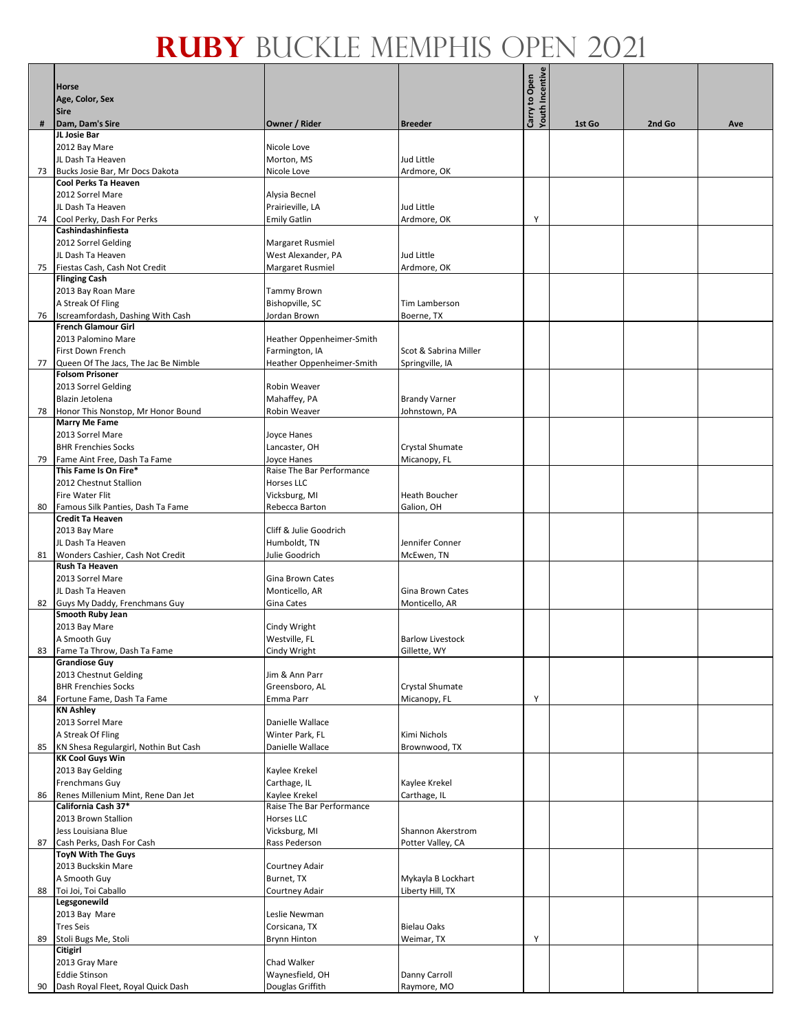| <b><i>Couth Incentive</i></b><br>Carry to Open<br>Horse<br>Age, Color, Sex<br><b>Sire</b><br>Dam, Dam's Sire<br>Owner / Rider<br>1st Go<br>2nd Go<br>#<br><b>Breeder</b><br>Ave<br>JL Josie Bar<br>2012 Bay Mare<br>Nicole Love<br>JL Dash Ta Heaven<br>Morton, MS<br>Jud Little<br>Bucks Josie Bar, Mr Docs Dakota<br>Nicole Love<br>Ardmore, OK<br>73<br>Cool Perks Ta Heaven<br>2012 Sorrel Mare<br>Alysia Becnel<br>JL Dash Ta Heaven<br>Prairieville, LA<br>Jud Little<br>74 Cool Perky, Dash For Perks<br><b>Emily Gatlin</b><br>Ardmore, OK<br>Y<br>Cashindashinfiesta<br>2012 Sorrel Gelding<br>Margaret Rusmiel<br>JL Dash Ta Heaven<br>West Alexander, PA<br>Jud Little<br>Fiestas Cash, Cash Not Credit<br>Margaret Rusmiel<br>Ardmore, OK<br>75<br><b>Flinging Cash</b><br>2013 Bay Roan Mare<br>Tammy Brown<br>Bishopville, SC<br>A Streak Of Fling<br>Tim Lamberson<br>Iscreamfordash, Dashing With Cash<br>Jordan Brown<br>Boerne, TX<br>76<br><b>French Glamour Girl</b><br>2013 Palomino Mare<br>Heather Oppenheimer-Smith<br>First Down French<br>Farmington, IA<br>Scot & Sabrina Miller<br>Queen Of The Jacs, The Jac Be Nimble<br>Heather Oppenheimer-Smith<br>Springville, IA<br>77<br><b>Folsom Prisoner</b><br>2013 Sorrel Gelding<br>Robin Weaver<br>Blazin Jetolena<br>Mahaffey, PA<br><b>Brandy Varner</b><br>Honor This Nonstop, Mr Honor Bound<br>Robin Weaver<br>Johnstown, PA<br>78<br><b>Marry Me Fame</b><br>2013 Sorrel Mare<br>Joyce Hanes<br><b>BHR Frenchies Socks</b><br>Lancaster, OH<br>Crystal Shumate<br>Fame Aint Free, Dash Ta Fame<br>Joyce Hanes<br>Micanopy, FL<br>79<br>This Fame Is On Fire*<br>Raise The Bar Performance<br>2012 Chestnut Stallion<br>Horses LLC<br>Fire Water Flit<br>Vicksburg, MI<br><b>Heath Boucher</b><br>Famous Silk Panties, Dash Ta Fame<br>80<br>Rebecca Barton<br>Galion, OH<br><b>Credit Ta Heaven</b><br>2013 Bay Mare<br>Cliff & Julie Goodrich<br>JL Dash Ta Heaven<br>Humboldt, TN<br>Jennifer Conner<br>Wonders Cashier, Cash Not Credit<br>81<br>Julie Goodrich<br>McEwen, TN<br>Rush Ta Heaven<br>2013 Sorrel Mare<br>Gina Brown Cates<br>JL Dash Ta Heaven<br>Monticello, AR<br>Gina Brown Cates<br>Guys My Daddy, Frenchmans Guy<br>Gina Cates<br>Monticello, AR<br>82<br>Smooth Ruby Jean<br>2013 Bay Mare<br>Cindy Wright<br>A Smooth Guy<br>Westville, FL<br><b>Barlow Livestock</b><br>Fame Ta Throw, Dash Ta Fame<br>Cindy Wright<br>Gillette, WY<br>83<br><b>Grandiose Guy</b><br>2013 Chestnut Gelding<br>Jim & Ann Parr<br><b>BHR Frenchies Socks</b><br>Greensboro, AL<br>Crystal Shumate<br>Fortune Fame, Dash Ta Fame<br>Emma Parr<br>Micanopy, FL<br>Y<br>84<br><b>KN Ashley</b><br>2013 Sorrel Mare<br>Danielle Wallace<br>A Streak Of Fling<br>Winter Park, FL<br>Kimi Nichols<br>KN Shesa Regulargirl, Nothin But Cash<br>Danielle Wallace<br>Brownwood, TX<br>85<br><b>KK Cool Guys Win</b><br>2013 Bay Gelding<br>Kaylee Krekel<br>Frenchmans Guy<br>Carthage, IL<br>Kaylee Krekel<br>Renes Millenium Mint, Rene Dan Jet<br>Kaylee Krekel<br>Carthage, IL<br>86<br>California Cash 37*<br>Raise The Bar Performance<br>2013 Brown Stallion<br>Horses LLC<br>Jess Louisiana Blue<br>Vicksburg, MI<br>Shannon Akerstrom<br>Cash Perks, Dash For Cash<br>Rass Pederson<br>Potter Valley, CA<br>87<br><b>ToyN With The Guys</b><br>2013 Buckskin Mare<br>Courtney Adair<br>A Smooth Guy<br>Burnet, TX<br>Mykayla B Lockhart<br>Toi Joi, Toi Caballo<br>Liberty Hill, TX<br>88<br>Courtney Adair<br>Legsgonewild<br>2013 Bay Mare<br>Leslie Newman<br><b>Tres Seis</b><br>Corsicana, TX<br><b>Bielau Oaks</b><br>Stoli Bugs Me, Stoli<br><b>Brynn Hinton</b><br>Y<br>89<br>Weimar, TX<br>Citigirl<br>2013 Gray Mare<br>Chad Walker<br><b>Eddie Stinson</b><br>Waynesfield, OH<br>Danny Carroll<br>Douglas Griffith<br>Dash Royal Fleet, Royal Quick Dash<br>Raymore, MO<br>90 |  |  |  |  |
|----------------------------------------------------------------------------------------------------------------------------------------------------------------------------------------------------------------------------------------------------------------------------------------------------------------------------------------------------------------------------------------------------------------------------------------------------------------------------------------------------------------------------------------------------------------------------------------------------------------------------------------------------------------------------------------------------------------------------------------------------------------------------------------------------------------------------------------------------------------------------------------------------------------------------------------------------------------------------------------------------------------------------------------------------------------------------------------------------------------------------------------------------------------------------------------------------------------------------------------------------------------------------------------------------------------------------------------------------------------------------------------------------------------------------------------------------------------------------------------------------------------------------------------------------------------------------------------------------------------------------------------------------------------------------------------------------------------------------------------------------------------------------------------------------------------------------------------------------------------------------------------------------------------------------------------------------------------------------------------------------------------------------------------------------------------------------------------------------------------------------------------------------------------------------------------------------------------------------------------------------------------------------------------------------------------------------------------------------------------------------------------------------------------------------------------------------------------------------------------------------------------------------------------------------------------------------------------------------------------------------------------------------------------------------------------------------------------------------------------------------------------------------------------------------------------------------------------------------------------------------------------------------------------------------------------------------------------------------------------------------------------------------------------------------------------------------------------------------------------------------------------------------------------------------------------------------------------------------------------------------------------------------------------------------------------------------------------------------------------------------------------------------------------------------------------------------------------------------------------------------------------------------------------------------------------------------------------------------------------------------------------------------------------------------------------------------------------------------------------------------------------------------------------------------------------------------------------------------------------------------------|--|--|--|--|
|                                                                                                                                                                                                                                                                                                                                                                                                                                                                                                                                                                                                                                                                                                                                                                                                                                                                                                                                                                                                                                                                                                                                                                                                                                                                                                                                                                                                                                                                                                                                                                                                                                                                                                                                                                                                                                                                                                                                                                                                                                                                                                                                                                                                                                                                                                                                                                                                                                                                                                                                                                                                                                                                                                                                                                                                                                                                                                                                                                                                                                                                                                                                                                                                                                                                                                                                                                                                                                                                                                                                                                                                                                                                                                                                                                                                                                                                                  |  |  |  |  |
|                                                                                                                                                                                                                                                                                                                                                                                                                                                                                                                                                                                                                                                                                                                                                                                                                                                                                                                                                                                                                                                                                                                                                                                                                                                                                                                                                                                                                                                                                                                                                                                                                                                                                                                                                                                                                                                                                                                                                                                                                                                                                                                                                                                                                                                                                                                                                                                                                                                                                                                                                                                                                                                                                                                                                                                                                                                                                                                                                                                                                                                                                                                                                                                                                                                                                                                                                                                                                                                                                                                                                                                                                                                                                                                                                                                                                                                                                  |  |  |  |  |
|                                                                                                                                                                                                                                                                                                                                                                                                                                                                                                                                                                                                                                                                                                                                                                                                                                                                                                                                                                                                                                                                                                                                                                                                                                                                                                                                                                                                                                                                                                                                                                                                                                                                                                                                                                                                                                                                                                                                                                                                                                                                                                                                                                                                                                                                                                                                                                                                                                                                                                                                                                                                                                                                                                                                                                                                                                                                                                                                                                                                                                                                                                                                                                                                                                                                                                                                                                                                                                                                                                                                                                                                                                                                                                                                                                                                                                                                                  |  |  |  |  |
|                                                                                                                                                                                                                                                                                                                                                                                                                                                                                                                                                                                                                                                                                                                                                                                                                                                                                                                                                                                                                                                                                                                                                                                                                                                                                                                                                                                                                                                                                                                                                                                                                                                                                                                                                                                                                                                                                                                                                                                                                                                                                                                                                                                                                                                                                                                                                                                                                                                                                                                                                                                                                                                                                                                                                                                                                                                                                                                                                                                                                                                                                                                                                                                                                                                                                                                                                                                                                                                                                                                                                                                                                                                                                                                                                                                                                                                                                  |  |  |  |  |
|                                                                                                                                                                                                                                                                                                                                                                                                                                                                                                                                                                                                                                                                                                                                                                                                                                                                                                                                                                                                                                                                                                                                                                                                                                                                                                                                                                                                                                                                                                                                                                                                                                                                                                                                                                                                                                                                                                                                                                                                                                                                                                                                                                                                                                                                                                                                                                                                                                                                                                                                                                                                                                                                                                                                                                                                                                                                                                                                                                                                                                                                                                                                                                                                                                                                                                                                                                                                                                                                                                                                                                                                                                                                                                                                                                                                                                                                                  |  |  |  |  |
|                                                                                                                                                                                                                                                                                                                                                                                                                                                                                                                                                                                                                                                                                                                                                                                                                                                                                                                                                                                                                                                                                                                                                                                                                                                                                                                                                                                                                                                                                                                                                                                                                                                                                                                                                                                                                                                                                                                                                                                                                                                                                                                                                                                                                                                                                                                                                                                                                                                                                                                                                                                                                                                                                                                                                                                                                                                                                                                                                                                                                                                                                                                                                                                                                                                                                                                                                                                                                                                                                                                                                                                                                                                                                                                                                                                                                                                                                  |  |  |  |  |
|                                                                                                                                                                                                                                                                                                                                                                                                                                                                                                                                                                                                                                                                                                                                                                                                                                                                                                                                                                                                                                                                                                                                                                                                                                                                                                                                                                                                                                                                                                                                                                                                                                                                                                                                                                                                                                                                                                                                                                                                                                                                                                                                                                                                                                                                                                                                                                                                                                                                                                                                                                                                                                                                                                                                                                                                                                                                                                                                                                                                                                                                                                                                                                                                                                                                                                                                                                                                                                                                                                                                                                                                                                                                                                                                                                                                                                                                                  |  |  |  |  |
|                                                                                                                                                                                                                                                                                                                                                                                                                                                                                                                                                                                                                                                                                                                                                                                                                                                                                                                                                                                                                                                                                                                                                                                                                                                                                                                                                                                                                                                                                                                                                                                                                                                                                                                                                                                                                                                                                                                                                                                                                                                                                                                                                                                                                                                                                                                                                                                                                                                                                                                                                                                                                                                                                                                                                                                                                                                                                                                                                                                                                                                                                                                                                                                                                                                                                                                                                                                                                                                                                                                                                                                                                                                                                                                                                                                                                                                                                  |  |  |  |  |
|                                                                                                                                                                                                                                                                                                                                                                                                                                                                                                                                                                                                                                                                                                                                                                                                                                                                                                                                                                                                                                                                                                                                                                                                                                                                                                                                                                                                                                                                                                                                                                                                                                                                                                                                                                                                                                                                                                                                                                                                                                                                                                                                                                                                                                                                                                                                                                                                                                                                                                                                                                                                                                                                                                                                                                                                                                                                                                                                                                                                                                                                                                                                                                                                                                                                                                                                                                                                                                                                                                                                                                                                                                                                                                                                                                                                                                                                                  |  |  |  |  |
|                                                                                                                                                                                                                                                                                                                                                                                                                                                                                                                                                                                                                                                                                                                                                                                                                                                                                                                                                                                                                                                                                                                                                                                                                                                                                                                                                                                                                                                                                                                                                                                                                                                                                                                                                                                                                                                                                                                                                                                                                                                                                                                                                                                                                                                                                                                                                                                                                                                                                                                                                                                                                                                                                                                                                                                                                                                                                                                                                                                                                                                                                                                                                                                                                                                                                                                                                                                                                                                                                                                                                                                                                                                                                                                                                                                                                                                                                  |  |  |  |  |
|                                                                                                                                                                                                                                                                                                                                                                                                                                                                                                                                                                                                                                                                                                                                                                                                                                                                                                                                                                                                                                                                                                                                                                                                                                                                                                                                                                                                                                                                                                                                                                                                                                                                                                                                                                                                                                                                                                                                                                                                                                                                                                                                                                                                                                                                                                                                                                                                                                                                                                                                                                                                                                                                                                                                                                                                                                                                                                                                                                                                                                                                                                                                                                                                                                                                                                                                                                                                                                                                                                                                                                                                                                                                                                                                                                                                                                                                                  |  |  |  |  |
|                                                                                                                                                                                                                                                                                                                                                                                                                                                                                                                                                                                                                                                                                                                                                                                                                                                                                                                                                                                                                                                                                                                                                                                                                                                                                                                                                                                                                                                                                                                                                                                                                                                                                                                                                                                                                                                                                                                                                                                                                                                                                                                                                                                                                                                                                                                                                                                                                                                                                                                                                                                                                                                                                                                                                                                                                                                                                                                                                                                                                                                                                                                                                                                                                                                                                                                                                                                                                                                                                                                                                                                                                                                                                                                                                                                                                                                                                  |  |  |  |  |
|                                                                                                                                                                                                                                                                                                                                                                                                                                                                                                                                                                                                                                                                                                                                                                                                                                                                                                                                                                                                                                                                                                                                                                                                                                                                                                                                                                                                                                                                                                                                                                                                                                                                                                                                                                                                                                                                                                                                                                                                                                                                                                                                                                                                                                                                                                                                                                                                                                                                                                                                                                                                                                                                                                                                                                                                                                                                                                                                                                                                                                                                                                                                                                                                                                                                                                                                                                                                                                                                                                                                                                                                                                                                                                                                                                                                                                                                                  |  |  |  |  |
|                                                                                                                                                                                                                                                                                                                                                                                                                                                                                                                                                                                                                                                                                                                                                                                                                                                                                                                                                                                                                                                                                                                                                                                                                                                                                                                                                                                                                                                                                                                                                                                                                                                                                                                                                                                                                                                                                                                                                                                                                                                                                                                                                                                                                                                                                                                                                                                                                                                                                                                                                                                                                                                                                                                                                                                                                                                                                                                                                                                                                                                                                                                                                                                                                                                                                                                                                                                                                                                                                                                                                                                                                                                                                                                                                                                                                                                                                  |  |  |  |  |
|                                                                                                                                                                                                                                                                                                                                                                                                                                                                                                                                                                                                                                                                                                                                                                                                                                                                                                                                                                                                                                                                                                                                                                                                                                                                                                                                                                                                                                                                                                                                                                                                                                                                                                                                                                                                                                                                                                                                                                                                                                                                                                                                                                                                                                                                                                                                                                                                                                                                                                                                                                                                                                                                                                                                                                                                                                                                                                                                                                                                                                                                                                                                                                                                                                                                                                                                                                                                                                                                                                                                                                                                                                                                                                                                                                                                                                                                                  |  |  |  |  |
|                                                                                                                                                                                                                                                                                                                                                                                                                                                                                                                                                                                                                                                                                                                                                                                                                                                                                                                                                                                                                                                                                                                                                                                                                                                                                                                                                                                                                                                                                                                                                                                                                                                                                                                                                                                                                                                                                                                                                                                                                                                                                                                                                                                                                                                                                                                                                                                                                                                                                                                                                                                                                                                                                                                                                                                                                                                                                                                                                                                                                                                                                                                                                                                                                                                                                                                                                                                                                                                                                                                                                                                                                                                                                                                                                                                                                                                                                  |  |  |  |  |
|                                                                                                                                                                                                                                                                                                                                                                                                                                                                                                                                                                                                                                                                                                                                                                                                                                                                                                                                                                                                                                                                                                                                                                                                                                                                                                                                                                                                                                                                                                                                                                                                                                                                                                                                                                                                                                                                                                                                                                                                                                                                                                                                                                                                                                                                                                                                                                                                                                                                                                                                                                                                                                                                                                                                                                                                                                                                                                                                                                                                                                                                                                                                                                                                                                                                                                                                                                                                                                                                                                                                                                                                                                                                                                                                                                                                                                                                                  |  |  |  |  |
|                                                                                                                                                                                                                                                                                                                                                                                                                                                                                                                                                                                                                                                                                                                                                                                                                                                                                                                                                                                                                                                                                                                                                                                                                                                                                                                                                                                                                                                                                                                                                                                                                                                                                                                                                                                                                                                                                                                                                                                                                                                                                                                                                                                                                                                                                                                                                                                                                                                                                                                                                                                                                                                                                                                                                                                                                                                                                                                                                                                                                                                                                                                                                                                                                                                                                                                                                                                                                                                                                                                                                                                                                                                                                                                                                                                                                                                                                  |  |  |  |  |
|                                                                                                                                                                                                                                                                                                                                                                                                                                                                                                                                                                                                                                                                                                                                                                                                                                                                                                                                                                                                                                                                                                                                                                                                                                                                                                                                                                                                                                                                                                                                                                                                                                                                                                                                                                                                                                                                                                                                                                                                                                                                                                                                                                                                                                                                                                                                                                                                                                                                                                                                                                                                                                                                                                                                                                                                                                                                                                                                                                                                                                                                                                                                                                                                                                                                                                                                                                                                                                                                                                                                                                                                                                                                                                                                                                                                                                                                                  |  |  |  |  |
|                                                                                                                                                                                                                                                                                                                                                                                                                                                                                                                                                                                                                                                                                                                                                                                                                                                                                                                                                                                                                                                                                                                                                                                                                                                                                                                                                                                                                                                                                                                                                                                                                                                                                                                                                                                                                                                                                                                                                                                                                                                                                                                                                                                                                                                                                                                                                                                                                                                                                                                                                                                                                                                                                                                                                                                                                                                                                                                                                                                                                                                                                                                                                                                                                                                                                                                                                                                                                                                                                                                                                                                                                                                                                                                                                                                                                                                                                  |  |  |  |  |
|                                                                                                                                                                                                                                                                                                                                                                                                                                                                                                                                                                                                                                                                                                                                                                                                                                                                                                                                                                                                                                                                                                                                                                                                                                                                                                                                                                                                                                                                                                                                                                                                                                                                                                                                                                                                                                                                                                                                                                                                                                                                                                                                                                                                                                                                                                                                                                                                                                                                                                                                                                                                                                                                                                                                                                                                                                                                                                                                                                                                                                                                                                                                                                                                                                                                                                                                                                                                                                                                                                                                                                                                                                                                                                                                                                                                                                                                                  |  |  |  |  |
|                                                                                                                                                                                                                                                                                                                                                                                                                                                                                                                                                                                                                                                                                                                                                                                                                                                                                                                                                                                                                                                                                                                                                                                                                                                                                                                                                                                                                                                                                                                                                                                                                                                                                                                                                                                                                                                                                                                                                                                                                                                                                                                                                                                                                                                                                                                                                                                                                                                                                                                                                                                                                                                                                                                                                                                                                                                                                                                                                                                                                                                                                                                                                                                                                                                                                                                                                                                                                                                                                                                                                                                                                                                                                                                                                                                                                                                                                  |  |  |  |  |
|                                                                                                                                                                                                                                                                                                                                                                                                                                                                                                                                                                                                                                                                                                                                                                                                                                                                                                                                                                                                                                                                                                                                                                                                                                                                                                                                                                                                                                                                                                                                                                                                                                                                                                                                                                                                                                                                                                                                                                                                                                                                                                                                                                                                                                                                                                                                                                                                                                                                                                                                                                                                                                                                                                                                                                                                                                                                                                                                                                                                                                                                                                                                                                                                                                                                                                                                                                                                                                                                                                                                                                                                                                                                                                                                                                                                                                                                                  |  |  |  |  |
|                                                                                                                                                                                                                                                                                                                                                                                                                                                                                                                                                                                                                                                                                                                                                                                                                                                                                                                                                                                                                                                                                                                                                                                                                                                                                                                                                                                                                                                                                                                                                                                                                                                                                                                                                                                                                                                                                                                                                                                                                                                                                                                                                                                                                                                                                                                                                                                                                                                                                                                                                                                                                                                                                                                                                                                                                                                                                                                                                                                                                                                                                                                                                                                                                                                                                                                                                                                                                                                                                                                                                                                                                                                                                                                                                                                                                                                                                  |  |  |  |  |
|                                                                                                                                                                                                                                                                                                                                                                                                                                                                                                                                                                                                                                                                                                                                                                                                                                                                                                                                                                                                                                                                                                                                                                                                                                                                                                                                                                                                                                                                                                                                                                                                                                                                                                                                                                                                                                                                                                                                                                                                                                                                                                                                                                                                                                                                                                                                                                                                                                                                                                                                                                                                                                                                                                                                                                                                                                                                                                                                                                                                                                                                                                                                                                                                                                                                                                                                                                                                                                                                                                                                                                                                                                                                                                                                                                                                                                                                                  |  |  |  |  |
|                                                                                                                                                                                                                                                                                                                                                                                                                                                                                                                                                                                                                                                                                                                                                                                                                                                                                                                                                                                                                                                                                                                                                                                                                                                                                                                                                                                                                                                                                                                                                                                                                                                                                                                                                                                                                                                                                                                                                                                                                                                                                                                                                                                                                                                                                                                                                                                                                                                                                                                                                                                                                                                                                                                                                                                                                                                                                                                                                                                                                                                                                                                                                                                                                                                                                                                                                                                                                                                                                                                                                                                                                                                                                                                                                                                                                                                                                  |  |  |  |  |
|                                                                                                                                                                                                                                                                                                                                                                                                                                                                                                                                                                                                                                                                                                                                                                                                                                                                                                                                                                                                                                                                                                                                                                                                                                                                                                                                                                                                                                                                                                                                                                                                                                                                                                                                                                                                                                                                                                                                                                                                                                                                                                                                                                                                                                                                                                                                                                                                                                                                                                                                                                                                                                                                                                                                                                                                                                                                                                                                                                                                                                                                                                                                                                                                                                                                                                                                                                                                                                                                                                                                                                                                                                                                                                                                                                                                                                                                                  |  |  |  |  |
|                                                                                                                                                                                                                                                                                                                                                                                                                                                                                                                                                                                                                                                                                                                                                                                                                                                                                                                                                                                                                                                                                                                                                                                                                                                                                                                                                                                                                                                                                                                                                                                                                                                                                                                                                                                                                                                                                                                                                                                                                                                                                                                                                                                                                                                                                                                                                                                                                                                                                                                                                                                                                                                                                                                                                                                                                                                                                                                                                                                                                                                                                                                                                                                                                                                                                                                                                                                                                                                                                                                                                                                                                                                                                                                                                                                                                                                                                  |  |  |  |  |
|                                                                                                                                                                                                                                                                                                                                                                                                                                                                                                                                                                                                                                                                                                                                                                                                                                                                                                                                                                                                                                                                                                                                                                                                                                                                                                                                                                                                                                                                                                                                                                                                                                                                                                                                                                                                                                                                                                                                                                                                                                                                                                                                                                                                                                                                                                                                                                                                                                                                                                                                                                                                                                                                                                                                                                                                                                                                                                                                                                                                                                                                                                                                                                                                                                                                                                                                                                                                                                                                                                                                                                                                                                                                                                                                                                                                                                                                                  |  |  |  |  |
|                                                                                                                                                                                                                                                                                                                                                                                                                                                                                                                                                                                                                                                                                                                                                                                                                                                                                                                                                                                                                                                                                                                                                                                                                                                                                                                                                                                                                                                                                                                                                                                                                                                                                                                                                                                                                                                                                                                                                                                                                                                                                                                                                                                                                                                                                                                                                                                                                                                                                                                                                                                                                                                                                                                                                                                                                                                                                                                                                                                                                                                                                                                                                                                                                                                                                                                                                                                                                                                                                                                                                                                                                                                                                                                                                                                                                                                                                  |  |  |  |  |
|                                                                                                                                                                                                                                                                                                                                                                                                                                                                                                                                                                                                                                                                                                                                                                                                                                                                                                                                                                                                                                                                                                                                                                                                                                                                                                                                                                                                                                                                                                                                                                                                                                                                                                                                                                                                                                                                                                                                                                                                                                                                                                                                                                                                                                                                                                                                                                                                                                                                                                                                                                                                                                                                                                                                                                                                                                                                                                                                                                                                                                                                                                                                                                                                                                                                                                                                                                                                                                                                                                                                                                                                                                                                                                                                                                                                                                                                                  |  |  |  |  |
|                                                                                                                                                                                                                                                                                                                                                                                                                                                                                                                                                                                                                                                                                                                                                                                                                                                                                                                                                                                                                                                                                                                                                                                                                                                                                                                                                                                                                                                                                                                                                                                                                                                                                                                                                                                                                                                                                                                                                                                                                                                                                                                                                                                                                                                                                                                                                                                                                                                                                                                                                                                                                                                                                                                                                                                                                                                                                                                                                                                                                                                                                                                                                                                                                                                                                                                                                                                                                                                                                                                                                                                                                                                                                                                                                                                                                                                                                  |  |  |  |  |
|                                                                                                                                                                                                                                                                                                                                                                                                                                                                                                                                                                                                                                                                                                                                                                                                                                                                                                                                                                                                                                                                                                                                                                                                                                                                                                                                                                                                                                                                                                                                                                                                                                                                                                                                                                                                                                                                                                                                                                                                                                                                                                                                                                                                                                                                                                                                                                                                                                                                                                                                                                                                                                                                                                                                                                                                                                                                                                                                                                                                                                                                                                                                                                                                                                                                                                                                                                                                                                                                                                                                                                                                                                                                                                                                                                                                                                                                                  |  |  |  |  |
|                                                                                                                                                                                                                                                                                                                                                                                                                                                                                                                                                                                                                                                                                                                                                                                                                                                                                                                                                                                                                                                                                                                                                                                                                                                                                                                                                                                                                                                                                                                                                                                                                                                                                                                                                                                                                                                                                                                                                                                                                                                                                                                                                                                                                                                                                                                                                                                                                                                                                                                                                                                                                                                                                                                                                                                                                                                                                                                                                                                                                                                                                                                                                                                                                                                                                                                                                                                                                                                                                                                                                                                                                                                                                                                                                                                                                                                                                  |  |  |  |  |
|                                                                                                                                                                                                                                                                                                                                                                                                                                                                                                                                                                                                                                                                                                                                                                                                                                                                                                                                                                                                                                                                                                                                                                                                                                                                                                                                                                                                                                                                                                                                                                                                                                                                                                                                                                                                                                                                                                                                                                                                                                                                                                                                                                                                                                                                                                                                                                                                                                                                                                                                                                                                                                                                                                                                                                                                                                                                                                                                                                                                                                                                                                                                                                                                                                                                                                                                                                                                                                                                                                                                                                                                                                                                                                                                                                                                                                                                                  |  |  |  |  |
|                                                                                                                                                                                                                                                                                                                                                                                                                                                                                                                                                                                                                                                                                                                                                                                                                                                                                                                                                                                                                                                                                                                                                                                                                                                                                                                                                                                                                                                                                                                                                                                                                                                                                                                                                                                                                                                                                                                                                                                                                                                                                                                                                                                                                                                                                                                                                                                                                                                                                                                                                                                                                                                                                                                                                                                                                                                                                                                                                                                                                                                                                                                                                                                                                                                                                                                                                                                                                                                                                                                                                                                                                                                                                                                                                                                                                                                                                  |  |  |  |  |
|                                                                                                                                                                                                                                                                                                                                                                                                                                                                                                                                                                                                                                                                                                                                                                                                                                                                                                                                                                                                                                                                                                                                                                                                                                                                                                                                                                                                                                                                                                                                                                                                                                                                                                                                                                                                                                                                                                                                                                                                                                                                                                                                                                                                                                                                                                                                                                                                                                                                                                                                                                                                                                                                                                                                                                                                                                                                                                                                                                                                                                                                                                                                                                                                                                                                                                                                                                                                                                                                                                                                                                                                                                                                                                                                                                                                                                                                                  |  |  |  |  |
|                                                                                                                                                                                                                                                                                                                                                                                                                                                                                                                                                                                                                                                                                                                                                                                                                                                                                                                                                                                                                                                                                                                                                                                                                                                                                                                                                                                                                                                                                                                                                                                                                                                                                                                                                                                                                                                                                                                                                                                                                                                                                                                                                                                                                                                                                                                                                                                                                                                                                                                                                                                                                                                                                                                                                                                                                                                                                                                                                                                                                                                                                                                                                                                                                                                                                                                                                                                                                                                                                                                                                                                                                                                                                                                                                                                                                                                                                  |  |  |  |  |
|                                                                                                                                                                                                                                                                                                                                                                                                                                                                                                                                                                                                                                                                                                                                                                                                                                                                                                                                                                                                                                                                                                                                                                                                                                                                                                                                                                                                                                                                                                                                                                                                                                                                                                                                                                                                                                                                                                                                                                                                                                                                                                                                                                                                                                                                                                                                                                                                                                                                                                                                                                                                                                                                                                                                                                                                                                                                                                                                                                                                                                                                                                                                                                                                                                                                                                                                                                                                                                                                                                                                                                                                                                                                                                                                                                                                                                                                                  |  |  |  |  |
|                                                                                                                                                                                                                                                                                                                                                                                                                                                                                                                                                                                                                                                                                                                                                                                                                                                                                                                                                                                                                                                                                                                                                                                                                                                                                                                                                                                                                                                                                                                                                                                                                                                                                                                                                                                                                                                                                                                                                                                                                                                                                                                                                                                                                                                                                                                                                                                                                                                                                                                                                                                                                                                                                                                                                                                                                                                                                                                                                                                                                                                                                                                                                                                                                                                                                                                                                                                                                                                                                                                                                                                                                                                                                                                                                                                                                                                                                  |  |  |  |  |
|                                                                                                                                                                                                                                                                                                                                                                                                                                                                                                                                                                                                                                                                                                                                                                                                                                                                                                                                                                                                                                                                                                                                                                                                                                                                                                                                                                                                                                                                                                                                                                                                                                                                                                                                                                                                                                                                                                                                                                                                                                                                                                                                                                                                                                                                                                                                                                                                                                                                                                                                                                                                                                                                                                                                                                                                                                                                                                                                                                                                                                                                                                                                                                                                                                                                                                                                                                                                                                                                                                                                                                                                                                                                                                                                                                                                                                                                                  |  |  |  |  |
|                                                                                                                                                                                                                                                                                                                                                                                                                                                                                                                                                                                                                                                                                                                                                                                                                                                                                                                                                                                                                                                                                                                                                                                                                                                                                                                                                                                                                                                                                                                                                                                                                                                                                                                                                                                                                                                                                                                                                                                                                                                                                                                                                                                                                                                                                                                                                                                                                                                                                                                                                                                                                                                                                                                                                                                                                                                                                                                                                                                                                                                                                                                                                                                                                                                                                                                                                                                                                                                                                                                                                                                                                                                                                                                                                                                                                                                                                  |  |  |  |  |
|                                                                                                                                                                                                                                                                                                                                                                                                                                                                                                                                                                                                                                                                                                                                                                                                                                                                                                                                                                                                                                                                                                                                                                                                                                                                                                                                                                                                                                                                                                                                                                                                                                                                                                                                                                                                                                                                                                                                                                                                                                                                                                                                                                                                                                                                                                                                                                                                                                                                                                                                                                                                                                                                                                                                                                                                                                                                                                                                                                                                                                                                                                                                                                                                                                                                                                                                                                                                                                                                                                                                                                                                                                                                                                                                                                                                                                                                                  |  |  |  |  |
|                                                                                                                                                                                                                                                                                                                                                                                                                                                                                                                                                                                                                                                                                                                                                                                                                                                                                                                                                                                                                                                                                                                                                                                                                                                                                                                                                                                                                                                                                                                                                                                                                                                                                                                                                                                                                                                                                                                                                                                                                                                                                                                                                                                                                                                                                                                                                                                                                                                                                                                                                                                                                                                                                                                                                                                                                                                                                                                                                                                                                                                                                                                                                                                                                                                                                                                                                                                                                                                                                                                                                                                                                                                                                                                                                                                                                                                                                  |  |  |  |  |
|                                                                                                                                                                                                                                                                                                                                                                                                                                                                                                                                                                                                                                                                                                                                                                                                                                                                                                                                                                                                                                                                                                                                                                                                                                                                                                                                                                                                                                                                                                                                                                                                                                                                                                                                                                                                                                                                                                                                                                                                                                                                                                                                                                                                                                                                                                                                                                                                                                                                                                                                                                                                                                                                                                                                                                                                                                                                                                                                                                                                                                                                                                                                                                                                                                                                                                                                                                                                                                                                                                                                                                                                                                                                                                                                                                                                                                                                                  |  |  |  |  |
|                                                                                                                                                                                                                                                                                                                                                                                                                                                                                                                                                                                                                                                                                                                                                                                                                                                                                                                                                                                                                                                                                                                                                                                                                                                                                                                                                                                                                                                                                                                                                                                                                                                                                                                                                                                                                                                                                                                                                                                                                                                                                                                                                                                                                                                                                                                                                                                                                                                                                                                                                                                                                                                                                                                                                                                                                                                                                                                                                                                                                                                                                                                                                                                                                                                                                                                                                                                                                                                                                                                                                                                                                                                                                                                                                                                                                                                                                  |  |  |  |  |
|                                                                                                                                                                                                                                                                                                                                                                                                                                                                                                                                                                                                                                                                                                                                                                                                                                                                                                                                                                                                                                                                                                                                                                                                                                                                                                                                                                                                                                                                                                                                                                                                                                                                                                                                                                                                                                                                                                                                                                                                                                                                                                                                                                                                                                                                                                                                                                                                                                                                                                                                                                                                                                                                                                                                                                                                                                                                                                                                                                                                                                                                                                                                                                                                                                                                                                                                                                                                                                                                                                                                                                                                                                                                                                                                                                                                                                                                                  |  |  |  |  |
|                                                                                                                                                                                                                                                                                                                                                                                                                                                                                                                                                                                                                                                                                                                                                                                                                                                                                                                                                                                                                                                                                                                                                                                                                                                                                                                                                                                                                                                                                                                                                                                                                                                                                                                                                                                                                                                                                                                                                                                                                                                                                                                                                                                                                                                                                                                                                                                                                                                                                                                                                                                                                                                                                                                                                                                                                                                                                                                                                                                                                                                                                                                                                                                                                                                                                                                                                                                                                                                                                                                                                                                                                                                                                                                                                                                                                                                                                  |  |  |  |  |
|                                                                                                                                                                                                                                                                                                                                                                                                                                                                                                                                                                                                                                                                                                                                                                                                                                                                                                                                                                                                                                                                                                                                                                                                                                                                                                                                                                                                                                                                                                                                                                                                                                                                                                                                                                                                                                                                                                                                                                                                                                                                                                                                                                                                                                                                                                                                                                                                                                                                                                                                                                                                                                                                                                                                                                                                                                                                                                                                                                                                                                                                                                                                                                                                                                                                                                                                                                                                                                                                                                                                                                                                                                                                                                                                                                                                                                                                                  |  |  |  |  |
|                                                                                                                                                                                                                                                                                                                                                                                                                                                                                                                                                                                                                                                                                                                                                                                                                                                                                                                                                                                                                                                                                                                                                                                                                                                                                                                                                                                                                                                                                                                                                                                                                                                                                                                                                                                                                                                                                                                                                                                                                                                                                                                                                                                                                                                                                                                                                                                                                                                                                                                                                                                                                                                                                                                                                                                                                                                                                                                                                                                                                                                                                                                                                                                                                                                                                                                                                                                                                                                                                                                                                                                                                                                                                                                                                                                                                                                                                  |  |  |  |  |
|                                                                                                                                                                                                                                                                                                                                                                                                                                                                                                                                                                                                                                                                                                                                                                                                                                                                                                                                                                                                                                                                                                                                                                                                                                                                                                                                                                                                                                                                                                                                                                                                                                                                                                                                                                                                                                                                                                                                                                                                                                                                                                                                                                                                                                                                                                                                                                                                                                                                                                                                                                                                                                                                                                                                                                                                                                                                                                                                                                                                                                                                                                                                                                                                                                                                                                                                                                                                                                                                                                                                                                                                                                                                                                                                                                                                                                                                                  |  |  |  |  |
|                                                                                                                                                                                                                                                                                                                                                                                                                                                                                                                                                                                                                                                                                                                                                                                                                                                                                                                                                                                                                                                                                                                                                                                                                                                                                                                                                                                                                                                                                                                                                                                                                                                                                                                                                                                                                                                                                                                                                                                                                                                                                                                                                                                                                                                                                                                                                                                                                                                                                                                                                                                                                                                                                                                                                                                                                                                                                                                                                                                                                                                                                                                                                                                                                                                                                                                                                                                                                                                                                                                                                                                                                                                                                                                                                                                                                                                                                  |  |  |  |  |
|                                                                                                                                                                                                                                                                                                                                                                                                                                                                                                                                                                                                                                                                                                                                                                                                                                                                                                                                                                                                                                                                                                                                                                                                                                                                                                                                                                                                                                                                                                                                                                                                                                                                                                                                                                                                                                                                                                                                                                                                                                                                                                                                                                                                                                                                                                                                                                                                                                                                                                                                                                                                                                                                                                                                                                                                                                                                                                                                                                                                                                                                                                                                                                                                                                                                                                                                                                                                                                                                                                                                                                                                                                                                                                                                                                                                                                                                                  |  |  |  |  |
|                                                                                                                                                                                                                                                                                                                                                                                                                                                                                                                                                                                                                                                                                                                                                                                                                                                                                                                                                                                                                                                                                                                                                                                                                                                                                                                                                                                                                                                                                                                                                                                                                                                                                                                                                                                                                                                                                                                                                                                                                                                                                                                                                                                                                                                                                                                                                                                                                                                                                                                                                                                                                                                                                                                                                                                                                                                                                                                                                                                                                                                                                                                                                                                                                                                                                                                                                                                                                                                                                                                                                                                                                                                                                                                                                                                                                                                                                  |  |  |  |  |
|                                                                                                                                                                                                                                                                                                                                                                                                                                                                                                                                                                                                                                                                                                                                                                                                                                                                                                                                                                                                                                                                                                                                                                                                                                                                                                                                                                                                                                                                                                                                                                                                                                                                                                                                                                                                                                                                                                                                                                                                                                                                                                                                                                                                                                                                                                                                                                                                                                                                                                                                                                                                                                                                                                                                                                                                                                                                                                                                                                                                                                                                                                                                                                                                                                                                                                                                                                                                                                                                                                                                                                                                                                                                                                                                                                                                                                                                                  |  |  |  |  |
|                                                                                                                                                                                                                                                                                                                                                                                                                                                                                                                                                                                                                                                                                                                                                                                                                                                                                                                                                                                                                                                                                                                                                                                                                                                                                                                                                                                                                                                                                                                                                                                                                                                                                                                                                                                                                                                                                                                                                                                                                                                                                                                                                                                                                                                                                                                                                                                                                                                                                                                                                                                                                                                                                                                                                                                                                                                                                                                                                                                                                                                                                                                                                                                                                                                                                                                                                                                                                                                                                                                                                                                                                                                                                                                                                                                                                                                                                  |  |  |  |  |
|                                                                                                                                                                                                                                                                                                                                                                                                                                                                                                                                                                                                                                                                                                                                                                                                                                                                                                                                                                                                                                                                                                                                                                                                                                                                                                                                                                                                                                                                                                                                                                                                                                                                                                                                                                                                                                                                                                                                                                                                                                                                                                                                                                                                                                                                                                                                                                                                                                                                                                                                                                                                                                                                                                                                                                                                                                                                                                                                                                                                                                                                                                                                                                                                                                                                                                                                                                                                                                                                                                                                                                                                                                                                                                                                                                                                                                                                                  |  |  |  |  |
|                                                                                                                                                                                                                                                                                                                                                                                                                                                                                                                                                                                                                                                                                                                                                                                                                                                                                                                                                                                                                                                                                                                                                                                                                                                                                                                                                                                                                                                                                                                                                                                                                                                                                                                                                                                                                                                                                                                                                                                                                                                                                                                                                                                                                                                                                                                                                                                                                                                                                                                                                                                                                                                                                                                                                                                                                                                                                                                                                                                                                                                                                                                                                                                                                                                                                                                                                                                                                                                                                                                                                                                                                                                                                                                                                                                                                                                                                  |  |  |  |  |
|                                                                                                                                                                                                                                                                                                                                                                                                                                                                                                                                                                                                                                                                                                                                                                                                                                                                                                                                                                                                                                                                                                                                                                                                                                                                                                                                                                                                                                                                                                                                                                                                                                                                                                                                                                                                                                                                                                                                                                                                                                                                                                                                                                                                                                                                                                                                                                                                                                                                                                                                                                                                                                                                                                                                                                                                                                                                                                                                                                                                                                                                                                                                                                                                                                                                                                                                                                                                                                                                                                                                                                                                                                                                                                                                                                                                                                                                                  |  |  |  |  |
|                                                                                                                                                                                                                                                                                                                                                                                                                                                                                                                                                                                                                                                                                                                                                                                                                                                                                                                                                                                                                                                                                                                                                                                                                                                                                                                                                                                                                                                                                                                                                                                                                                                                                                                                                                                                                                                                                                                                                                                                                                                                                                                                                                                                                                                                                                                                                                                                                                                                                                                                                                                                                                                                                                                                                                                                                                                                                                                                                                                                                                                                                                                                                                                                                                                                                                                                                                                                                                                                                                                                                                                                                                                                                                                                                                                                                                                                                  |  |  |  |  |
|                                                                                                                                                                                                                                                                                                                                                                                                                                                                                                                                                                                                                                                                                                                                                                                                                                                                                                                                                                                                                                                                                                                                                                                                                                                                                                                                                                                                                                                                                                                                                                                                                                                                                                                                                                                                                                                                                                                                                                                                                                                                                                                                                                                                                                                                                                                                                                                                                                                                                                                                                                                                                                                                                                                                                                                                                                                                                                                                                                                                                                                                                                                                                                                                                                                                                                                                                                                                                                                                                                                                                                                                                                                                                                                                                                                                                                                                                  |  |  |  |  |
|                                                                                                                                                                                                                                                                                                                                                                                                                                                                                                                                                                                                                                                                                                                                                                                                                                                                                                                                                                                                                                                                                                                                                                                                                                                                                                                                                                                                                                                                                                                                                                                                                                                                                                                                                                                                                                                                                                                                                                                                                                                                                                                                                                                                                                                                                                                                                                                                                                                                                                                                                                                                                                                                                                                                                                                                                                                                                                                                                                                                                                                                                                                                                                                                                                                                                                                                                                                                                                                                                                                                                                                                                                                                                                                                                                                                                                                                                  |  |  |  |  |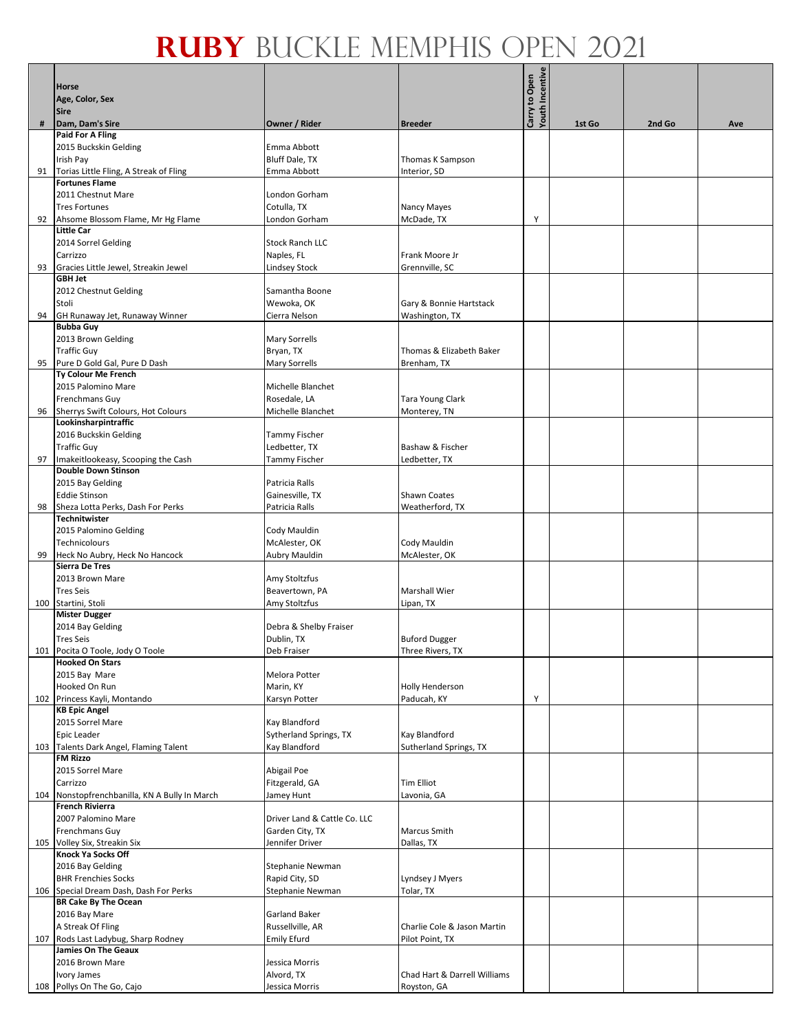|     |                                                            |                              |                              | <b>Youth Incentive</b> |        |        |     |
|-----|------------------------------------------------------------|------------------------------|------------------------------|------------------------|--------|--------|-----|
|     | Horse                                                      |                              |                              | Carry to Open          |        |        |     |
|     | Age, Color, Sex                                            |                              |                              |                        |        |        |     |
|     | <b>Sire</b>                                                |                              |                              |                        |        |        |     |
| #   | Dam, Dam's Sire                                            | Owner / Rider                | <b>Breeder</b>               |                        | 1st Go | 2nd Go | Ave |
|     | Paid For A Fling                                           |                              |                              |                        |        |        |     |
|     | 2015 Buckskin Gelding                                      | Emma Abbott                  |                              |                        |        |        |     |
|     | Irish Pay                                                  | Bluff Dale, TX               | Thomas K Sampson             |                        |        |        |     |
| 91  | Torias Little Fling, A Streak of Fling                     | Emma Abbott                  | Interior, SD                 |                        |        |        |     |
|     | <b>Fortunes Flame</b>                                      |                              |                              |                        |        |        |     |
|     | 2011 Chestnut Mare                                         | London Gorham                |                              |                        |        |        |     |
|     | <b>Tres Fortunes</b>                                       | Cotulla, TX                  | Nancy Mayes                  |                        |        |        |     |
| 92  | Ahsome Blossom Flame, Mr Hg Flame                          | London Gorham                | McDade, TX                   | Y                      |        |        |     |
|     | <b>Little Car</b>                                          |                              |                              |                        |        |        |     |
|     | 2014 Sorrel Gelding                                        | <b>Stock Ranch LLC</b>       |                              |                        |        |        |     |
|     | Carrizzo                                                   | Naples, FL                   | Frank Moore Jr               |                        |        |        |     |
| 93  | Gracies Little Jewel, Streakin Jewel                       | Lindsey Stock                | Grennville, SC               |                        |        |        |     |
|     | <b>GBH Jet</b>                                             |                              |                              |                        |        |        |     |
|     | 2012 Chestnut Gelding                                      | Samantha Boone               |                              |                        |        |        |     |
|     | Stoli                                                      | Wewoka, OK                   | Gary & Bonnie Hartstack      |                        |        |        |     |
| 94  | GH Runaway Jet, Runaway Winner                             | Cierra Nelson                | Washington, TX               |                        |        |        |     |
|     | <b>Bubba Guy</b>                                           |                              |                              |                        |        |        |     |
|     |                                                            |                              |                              |                        |        |        |     |
|     | 2013 Brown Gelding                                         | <b>Mary Sorrells</b>         |                              |                        |        |        |     |
|     | <b>Traffic Guy</b>                                         | Bryan, TX                    | Thomas & Elizabeth Baker     |                        |        |        |     |
| 95  | Pure D Gold Gal, Pure D Dash                               | <b>Mary Sorrells</b>         | Brenham, TX                  |                        |        |        |     |
|     | Ty Colour Me French                                        |                              |                              |                        |        |        |     |
|     | 2015 Palomino Mare                                         | Michelle Blanchet            |                              |                        |        |        |     |
|     | Frenchmans Guy                                             | Rosedale, LA                 | Tara Young Clark             |                        |        |        |     |
| 96  | Sherrys Swift Colours, Hot Colours                         | Michelle Blanchet            | Monterey, TN                 |                        |        |        |     |
|     | Lookinsharpintraffic                                       |                              |                              |                        |        |        |     |
|     | 2016 Buckskin Gelding                                      | <b>Tammy Fischer</b>         |                              |                        |        |        |     |
|     | <b>Traffic Guy</b>                                         | Ledbetter, TX                | Bashaw & Fischer             |                        |        |        |     |
| 97  | Imakeitlookeasy, Scooping the Cash                         | Tammy Fischer                | Ledbetter, TX                |                        |        |        |     |
|     | <b>Double Down Stinson</b>                                 |                              |                              |                        |        |        |     |
|     | 2015 Bay Gelding                                           | Patricia Ralls               |                              |                        |        |        |     |
|     | <b>Eddie Stinson</b>                                       | Gainesville, TX              | <b>Shawn Coates</b>          |                        |        |        |     |
| 98  | Sheza Lotta Perks, Dash For Perks                          | Patricia Ralls               | Weatherford, TX              |                        |        |        |     |
|     | <b>Technitwister</b>                                       |                              |                              |                        |        |        |     |
|     | 2015 Palomino Gelding                                      | Cody Mauldin                 |                              |                        |        |        |     |
|     | Technicolours                                              | McAlester, OK                | Cody Mauldin                 |                        |        |        |     |
| 99  | Heck No Aubry, Heck No Hancock                             | Aubry Mauldin                | McAlester, OK                |                        |        |        |     |
|     | <b>Sierra De Tres</b>                                      |                              |                              |                        |        |        |     |
|     | 2013 Brown Mare                                            | Amy Stoltzfus                |                              |                        |        |        |     |
|     | <b>Tres Seis</b>                                           | Beavertown, PA               | <b>Marshall Wier</b>         |                        |        |        |     |
|     | 100 Startini, Stoli                                        | Amy Stoltzfus                | Lipan, TX                    |                        |        |        |     |
|     | <b>Mister Dugger</b>                                       |                              |                              |                        |        |        |     |
|     | 2014 Bay Gelding                                           | Debra & Shelby Fraiser       |                              |                        |        |        |     |
|     | <b>Tres Seis</b>                                           | Dublin, TX                   | <b>Buford Dugger</b>         |                        |        |        |     |
|     |                                                            | Deb Fraiser                  | Three Rivers, TX             |                        |        |        |     |
|     | 101 Pocita O Toole, Jody O Toole<br><b>Hooked On Stars</b> |                              |                              |                        |        |        |     |
|     | 2015 Bay Mare                                              | Melora Potter                |                              |                        |        |        |     |
|     | Hooked On Run                                              | Marin, KY                    |                              |                        |        |        |     |
|     |                                                            |                              | <b>Holly Henderson</b>       |                        |        |        |     |
|     | 102 Princess Kayli, Montando<br><b>KB Epic Angel</b>       | Karsyn Potter                | Paducah, KY                  | Y                      |        |        |     |
|     |                                                            |                              |                              |                        |        |        |     |
|     | 2015 Sorrel Mare<br>Epic Leader                            | Kay Blandford                | Kay Blandford                |                        |        |        |     |
|     |                                                            | Sytherland Springs, TX       |                              |                        |        |        |     |
|     | 103 Talents Dark Angel, Flaming Talent<br><b>FM Rizzo</b>  | Kay Blandford                | Sutherland Springs, TX       |                        |        |        |     |
|     |                                                            |                              |                              |                        |        |        |     |
|     | 2015 Sorrel Mare                                           | Abigail Poe                  |                              |                        |        |        |     |
|     | Carrizzo                                                   | Fitzgerald, GA               | <b>Tim Elliot</b>            |                        |        |        |     |
| 104 | Nonstopfrenchbanilla, KN A Bully In March                  | Jamey Hunt                   | Lavonia, GA                  |                        |        |        |     |
|     | <b>French Rivierra</b>                                     |                              |                              |                        |        |        |     |
|     | 2007 Palomino Mare                                         | Driver Land & Cattle Co. LLC |                              |                        |        |        |     |
|     | Frenchmans Guy                                             | Garden City, TX              | Marcus Smith                 |                        |        |        |     |
|     | 105 Volley Six, Streakin Six                               | Jennifer Driver              | Dallas, TX                   |                        |        |        |     |
|     | Knock Ya Socks Off                                         |                              |                              |                        |        |        |     |
|     | 2016 Bay Gelding                                           | Stephanie Newman             |                              |                        |        |        |     |
|     | <b>BHR Frenchies Socks</b>                                 | Rapid City, SD               | Lyndsey J Myers              |                        |        |        |     |
|     | 106 Special Dream Dash, Dash For Perks                     | Stephanie Newman             | Tolar, TX                    |                        |        |        |     |
|     | <b>BR Cake By The Ocean</b>                                |                              |                              |                        |        |        |     |
|     | 2016 Bay Mare                                              | Garland Baker                |                              |                        |        |        |     |
|     | A Streak Of Fling                                          | Russellville, AR             | Charlie Cole & Jason Martin  |                        |        |        |     |
|     | 107 Rods Last Ladybug, Sharp Rodney                        | <b>Emily Efurd</b>           | Pilot Point, TX              |                        |        |        |     |
|     | <b>Jamies On The Geaux</b>                                 |                              |                              |                        |        |        |     |
|     | 2016 Brown Mare                                            | Jessica Morris               |                              |                        |        |        |     |
|     | Ivory James                                                | Alvord, TX                   | Chad Hart & Darrell Williams |                        |        |        |     |
|     | 108 Pollys On The Go, Cajo                                 | Jessica Morris               | Royston, GA                  |                        |        |        |     |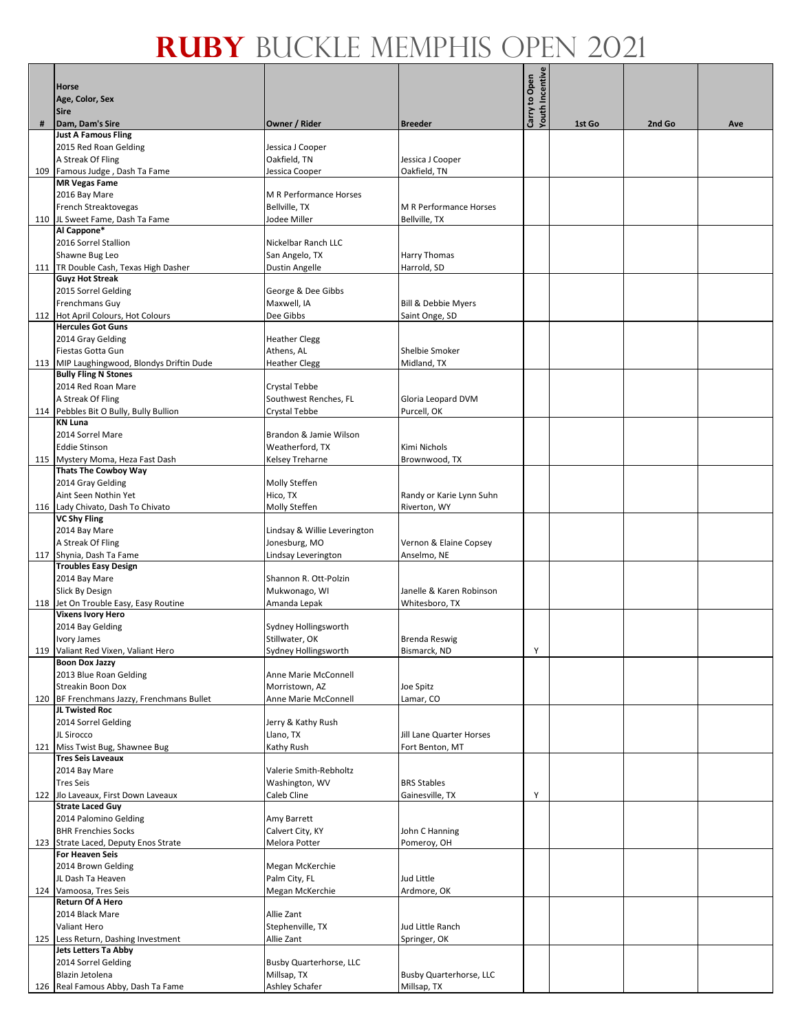|     | <b>Horse</b>                                                       |                                        |                                | <b>Youth Incentive</b><br>Carry to Open |        |        |     |
|-----|--------------------------------------------------------------------|----------------------------------------|--------------------------------|-----------------------------------------|--------|--------|-----|
|     | Age, Color, Sex                                                    |                                        |                                |                                         |        |        |     |
|     | <b>Sire</b>                                                        |                                        |                                |                                         |        |        |     |
| #   | Dam, Dam's Sire                                                    | Owner / Rider                          | <b>Breeder</b>                 |                                         | 1st Go | 2nd Go | Ave |
|     | <b>Just A Famous Fling</b><br>2015 Red Roan Gelding                | Jessica J Cooper                       |                                |                                         |        |        |     |
|     | A Streak Of Fling                                                  | Oakfield, TN                           | Jessica J Cooper               |                                         |        |        |     |
|     | 109 Famous Judge, Dash Ta Fame                                     | Jessica Cooper                         | Oakfield, TN                   |                                         |        |        |     |
|     | <b>MR Vegas Fame</b>                                               |                                        |                                |                                         |        |        |     |
|     | 2016 Bay Mare                                                      | M R Performance Horses                 |                                |                                         |        |        |     |
|     | French Streaktovegas                                               | Bellville, TX                          | M R Performance Horses         |                                         |        |        |     |
|     | 110 JL Sweet Fame, Dash Ta Fame<br>Al Cappone*                     | Jodee Miller                           | Bellville, TX                  |                                         |        |        |     |
|     | 2016 Sorrel Stallion                                               | Nickelbar Ranch LLC                    |                                |                                         |        |        |     |
|     | Shawne Bug Leo                                                     | San Angelo, TX                         | Harry Thomas                   |                                         |        |        |     |
|     | 111   TR Double Cash, Texas High Dasher                            | <b>Dustin Angelle</b>                  | Harrold, SD                    |                                         |        |        |     |
|     | <b>Guyz Hot Streak</b><br>2015 Sorrel Gelding                      | George & Dee Gibbs                     |                                |                                         |        |        |     |
|     | Frenchmans Guy                                                     | Maxwell, IA                            | Bill & Debbie Myers            |                                         |        |        |     |
|     | 112 Hot April Colours, Hot Colours                                 | Dee Gibbs                              | Saint Onge, SD                 |                                         |        |        |     |
|     | <b>Hercules Got Guns</b>                                           |                                        |                                |                                         |        |        |     |
|     | 2014 Gray Gelding                                                  | <b>Heather Clegg</b>                   |                                |                                         |        |        |     |
|     | Fiestas Gotta Gun<br>113   MIP Laughingwood, Blondys Driftin Dude  | Athens, AL<br><b>Heather Clegg</b>     | Shelbie Smoker<br>Midland, TX  |                                         |        |        |     |
|     | <b>Bully Fling N Stones</b>                                        |                                        |                                |                                         |        |        |     |
|     | 2014 Red Roan Mare                                                 | Crystal Tebbe                          |                                |                                         |        |        |     |
|     | A Streak Of Fling                                                  | Southwest Renches, FL                  | Gloria Leopard DVM             |                                         |        |        |     |
|     | 114 Pebbles Bit O Bully, Bully Bullion                             | Crystal Tebbe                          | Purcell, OK                    |                                         |        |        |     |
|     | <b>KN Luna</b><br>2014 Sorrel Mare                                 | Brandon & Jamie Wilson                 |                                |                                         |        |        |     |
|     | <b>Eddie Stinson</b>                                               | Weatherford, TX                        | Kimi Nichols                   |                                         |        |        |     |
|     | 115 Mystery Moma, Heza Fast Dash                                   | Kelsey Treharne                        | Brownwood, TX                  |                                         |        |        |     |
|     | <b>Thats The Cowboy Way</b>                                        |                                        |                                |                                         |        |        |     |
|     | 2014 Gray Gelding<br>Aint Seen Nothin Yet                          | Molly Steffen<br>Hico, TX              | Randy or Karie Lynn Suhn       |                                         |        |        |     |
|     | 116 Lady Chivato, Dash To Chivato                                  | Molly Steffen                          | Riverton, WY                   |                                         |        |        |     |
|     | <b>VC Shy Fling</b>                                                |                                        |                                |                                         |        |        |     |
|     | 2014 Bay Mare                                                      | Lindsay & Willie Leverington           |                                |                                         |        |        |     |
|     | A Streak Of Fling                                                  | Jonesburg, MO                          | Vernon & Elaine Copsey         |                                         |        |        |     |
|     | 117 Shynia, Dash Ta Fame<br><b>Troubles Easy Design</b>            | Lindsay Leverington                    | Anselmo, NE                    |                                         |        |        |     |
|     | 2014 Bay Mare                                                      | Shannon R. Ott-Polzin                  |                                |                                         |        |        |     |
|     | Slick By Design                                                    | Mukwonago, WI                          | Janelle & Karen Robinson       |                                         |        |        |     |
|     | 118 Jet On Trouble Easy, Easy Routine                              | Amanda Lepak                           | Whitesboro, TX                 |                                         |        |        |     |
|     | <b>Vixens Ivory Hero</b><br>2014 Bay Gelding                       | Sydney Hollingsworth                   |                                |                                         |        |        |     |
|     | Ivory James                                                        | Stillwater, OK                         | <b>Brenda Reswig</b>           |                                         |        |        |     |
|     | 119 Valiant Red Vixen, Valiant Hero                                | Sydney Hollingsworth                   | Bismarck, ND                   | Y                                       |        |        |     |
|     | <b>Boon Dox Jazzy</b>                                              |                                        |                                |                                         |        |        |     |
|     | 2013 Blue Roan Gelding<br>Streakin Boon Dox                        | Anne Marie McConnell<br>Morristown, AZ | Joe Spitz                      |                                         |        |        |     |
|     | 120 BF Frenchmans Jazzy, Frenchmans Bullet                         | Anne Marie McConnell                   | Lamar, CO                      |                                         |        |        |     |
|     | JL Twisted Roc                                                     |                                        |                                |                                         |        |        |     |
|     | 2014 Sorrel Gelding                                                | Jerry & Kathy Rush                     |                                |                                         |        |        |     |
|     | JL Sirocco                                                         | Llano, TX                              | Jill Lane Quarter Horses       |                                         |        |        |     |
|     | 121 Miss Twist Bug, Shawnee Bug<br><b>Tres Seis Laveaux</b>        | Kathy Rush                             | Fort Benton, MT                |                                         |        |        |     |
|     | 2014 Bay Mare                                                      | Valerie Smith-Rebholtz                 |                                |                                         |        |        |     |
|     | <b>Tres Seis</b>                                                   | Washington, WV                         | <b>BRS Stables</b>             |                                         |        |        |     |
|     | 122 Jlo Laveaux, First Down Laveaux                                | Caleb Cline                            | Gainesville, TX                | Y                                       |        |        |     |
|     | <b>Strate Laced Guy</b><br>2014 Palomino Gelding                   | Amy Barrett                            |                                |                                         |        |        |     |
|     | <b>BHR Frenchies Socks</b>                                         | Calvert City, KY                       | John C Hanning                 |                                         |        |        |     |
|     | 123 Strate Laced, Deputy Enos Strate                               | Melora Potter                          | Pomeroy, OH                    |                                         |        |        |     |
|     | For Heaven Seis                                                    |                                        |                                |                                         |        |        |     |
|     | 2014 Brown Gelding                                                 | Megan McKerchie                        |                                |                                         |        |        |     |
| 124 | JL Dash Ta Heaven<br>Vamoosa, Tres Seis                            | Palm City, FL<br>Megan McKerchie       | Jud Little<br>Ardmore, OK      |                                         |        |        |     |
|     | <b>Return Of A Hero</b>                                            |                                        |                                |                                         |        |        |     |
|     | 2014 Black Mare                                                    | Allie Zant                             |                                |                                         |        |        |     |
|     | Valiant Hero                                                       | Stephenville, TX                       | Jud Little Ranch               |                                         |        |        |     |
|     | 125 Less Return, Dashing Investment<br><b>Jets Letters Ta Abby</b> | Allie Zant                             | Springer, OK                   |                                         |        |        |     |
|     | 2014 Sorrel Gelding                                                | Busby Quarterhorse, LLC                |                                |                                         |        |        |     |
|     | Blazin Jetolena                                                    | Millsap, TX                            | <b>Busby Quarterhorse, LLC</b> |                                         |        |        |     |
|     | 126 Real Famous Abby, Dash Ta Fame                                 | Ashley Schafer                         | Millsap, TX                    |                                         |        |        |     |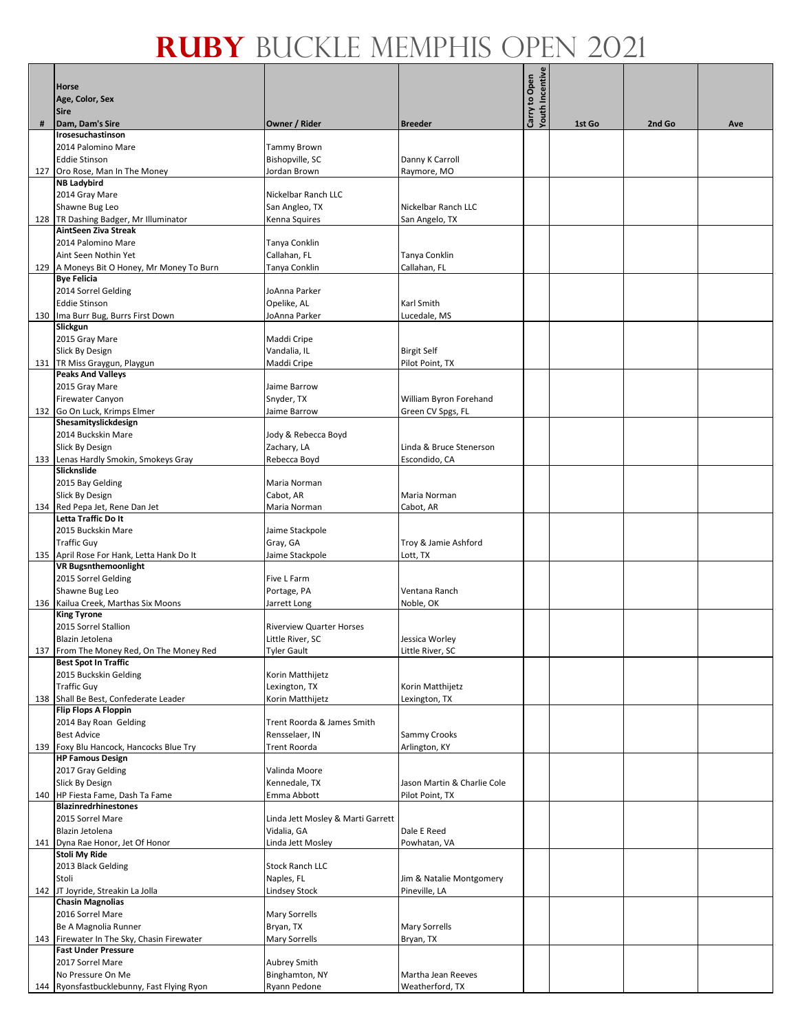|     | Horse                                                              |                                   |                                                | Youth Incentive<br>Carry to Open |        |        |     |
|-----|--------------------------------------------------------------------|-----------------------------------|------------------------------------------------|----------------------------------|--------|--------|-----|
|     | Age, Color, Sex                                                    |                                   |                                                |                                  |        |        |     |
|     | <b>Sire</b>                                                        |                                   |                                                |                                  |        |        |     |
| #   | Dam, Dam's Sire                                                    | Owner / Rider                     | <b>Breeder</b>                                 |                                  | 1st Go | 2nd Go | Ave |
|     | Irosesuchastinson<br>2014 Palomino Mare                            | Tammy Brown                       |                                                |                                  |        |        |     |
|     | <b>Eddie Stinson</b>                                               | Bishopville, SC                   | Danny K Carroll                                |                                  |        |        |     |
|     | 127 Oro Rose, Man In The Money                                     | Jordan Brown                      | Raymore, MO                                    |                                  |        |        |     |
|     | <b>NB Ladybird</b>                                                 |                                   |                                                |                                  |        |        |     |
|     | 2014 Gray Mare                                                     | Nickelbar Ranch LLC               | Nickelbar Ranch LLC                            |                                  |        |        |     |
|     | Shawne Bug Leo<br>128 TR Dashing Badger, Mr Illuminator            | San Angleo, TX<br>Kenna Squires   | San Angelo, TX                                 |                                  |        |        |     |
|     | AintSeen Ziva Streak                                               |                                   |                                                |                                  |        |        |     |
|     | 2014 Palomino Mare                                                 | Tanya Conklin                     |                                                |                                  |        |        |     |
|     | Aint Seen Nothin Yet                                               | Callahan, FL                      | Tanya Conklin                                  |                                  |        |        |     |
|     | 129   A Moneys Bit O Honey, Mr Money To Burn<br><b>Bye Felicia</b> | Tanya Conklin                     | Callahan, FL                                   |                                  |        |        |     |
|     | 2014 Sorrel Gelding                                                | JoAnna Parker                     |                                                |                                  |        |        |     |
|     | <b>Eddie Stinson</b>                                               | Opelike, AL                       | Karl Smith                                     |                                  |        |        |     |
|     | 130 Ima Burr Bug, Burrs First Down                                 | JoAnna Parker                     | Lucedale, MS                                   |                                  |        |        |     |
|     | Slickgun<br>2015 Gray Mare                                         | Maddi Cripe                       |                                                |                                  |        |        |     |
|     | Slick By Design                                                    | Vandalia, IL                      | <b>Birgit Self</b>                             |                                  |        |        |     |
|     | 131 TR Miss Graygun, Playgun                                       | Maddi Cripe                       | Pilot Point, TX                                |                                  |        |        |     |
|     | <b>Peaks And Valleys</b>                                           |                                   |                                                |                                  |        |        |     |
|     | 2015 Gray Mare                                                     | Jaime Barrow                      |                                                |                                  |        |        |     |
|     | Firewater Canyon<br>132 Go On Luck, Krimps Elmer                   | Snyder, TX<br>Jaime Barrow        | William Byron Forehand<br>Green CV Spgs, FL    |                                  |        |        |     |
|     | Shesamityslickdesign                                               |                                   |                                                |                                  |        |        |     |
|     | 2014 Buckskin Mare                                                 | Jody & Rebecca Boyd               |                                                |                                  |        |        |     |
|     | Slick By Design                                                    | Zachary, LA                       | Linda & Bruce Stenerson                        |                                  |        |        |     |
|     | 133 Lenas Hardly Smokin, Smokeys Gray<br>Slicknslide               | Rebecca Boyd                      | Escondido, CA                                  |                                  |        |        |     |
|     | 2015 Bay Gelding                                                   | Maria Norman                      |                                                |                                  |        |        |     |
|     | Slick By Design                                                    | Cabot, AR                         | Maria Norman                                   |                                  |        |        |     |
|     | 134 Red Pepa Jet, Rene Dan Jet                                     | Maria Norman                      | Cabot, AR                                      |                                  |        |        |     |
|     | Letta Traffic Do It<br>2015 Buckskin Mare                          |                                   |                                                |                                  |        |        |     |
|     | <b>Traffic Guy</b>                                                 | Jaime Stackpole<br>Gray, GA       | Troy & Jamie Ashford                           |                                  |        |        |     |
|     | 135 April Rose For Hank, Letta Hank Do It                          | Jaime Stackpole                   | Lott, TX                                       |                                  |        |        |     |
|     | <b>VR Bugsnthemoonlight</b>                                        |                                   |                                                |                                  |        |        |     |
|     | 2015 Sorrel Gelding                                                | Five L Farm                       |                                                |                                  |        |        |     |
|     | Shawne Bug Leo<br>136 Kailua Creek, Marthas Six Moons              | Portage, PA<br>Jarrett Long       | Ventana Ranch<br>Noble, OK                     |                                  |        |        |     |
|     | <b>King Tyrone</b>                                                 |                                   |                                                |                                  |        |        |     |
|     | 2015 Sorrel Stallion                                               | <b>Riverview Quarter Horses</b>   |                                                |                                  |        |        |     |
|     | Blazin Jetolena                                                    | Little River, SC                  | Jessica Worley                                 |                                  |        |        |     |
|     | 137 From The Money Red, On The Money Red                           | <b>Tyler Gault</b>                | Little River, SC                               |                                  |        |        |     |
|     | <b>Best Spot In Traffic</b><br>2015 Buckskin Gelding               | Korin Matthijetz                  |                                                |                                  |        |        |     |
|     | <b>Traffic Guy</b>                                                 | Lexington, TX                     | Korin Matthijetz                               |                                  |        |        |     |
|     | 138 Shall Be Best, Confederate Leader                              | Korin Matthijetz                  | Lexington, TX                                  |                                  |        |        |     |
|     | Flip Flops A Floppin                                               | Trent Roorda & James Smith        |                                                |                                  |        |        |     |
|     | 2014 Bay Roan Gelding<br><b>Best Advice</b>                        | Rensselaer, IN                    | Sammy Crooks                                   |                                  |        |        |     |
| 139 | Foxy Blu Hancock, Hancocks Blue Try                                | Trent Roorda                      | Arlington, KY                                  |                                  |        |        |     |
|     | <b>HP Famous Design</b>                                            |                                   |                                                |                                  |        |        |     |
|     | 2017 Gray Gelding                                                  | Valinda Moore                     |                                                |                                  |        |        |     |
|     | Slick By Design<br>140   HP Fiesta Fame, Dash Ta Fame              | Kennedale, TX<br>Emma Abbott      | Jason Martin & Charlie Cole<br>Pilot Point, TX |                                  |        |        |     |
|     | <b>Blazinredrhinestones</b>                                        |                                   |                                                |                                  |        |        |     |
|     | 2015 Sorrel Mare                                                   | Linda Jett Mosley & Marti Garrett |                                                |                                  |        |        |     |
|     | Blazin Jetolena                                                    | Vidalia, GA                       | Dale E Reed                                    |                                  |        |        |     |
|     | 141 Dyna Rae Honor, Jet Of Honor<br><b>Stoli My Ride</b>           | Linda Jett Mosley                 | Powhatan, VA                                   |                                  |        |        |     |
|     | 2013 Black Gelding                                                 | <b>Stock Ranch LLC</b>            |                                                |                                  |        |        |     |
|     | Stoli                                                              | Naples, FL                        | Jim & Natalie Montgomery                       |                                  |        |        |     |
|     | 142 JT Joyride, Streakin La Jolla                                  | <b>Lindsey Stock</b>              | Pineville, LA                                  |                                  |        |        |     |
|     | <b>Chasin Magnolias</b><br>2016 Sorrel Mare                        | Mary Sorrells                     |                                                |                                  |        |        |     |
|     | Be A Magnolia Runner                                               | Bryan, TX                         | Mary Sorrells                                  |                                  |        |        |     |
|     | 143 Firewater In The Sky, Chasin Firewater                         | Mary Sorrells                     | Bryan, TX                                      |                                  |        |        |     |
|     | <b>Fast Under Pressure</b>                                         |                                   |                                                |                                  |        |        |     |
|     | 2017 Sorrel Mare                                                   | Aubrey Smith                      |                                                |                                  |        |        |     |
|     | No Pressure On Me<br>144 Ryonsfastbucklebunny, Fast Flying Ryon    | Binghamton, NY<br>Ryann Pedone    | Martha Jean Reeves<br>Weatherford, TX          |                                  |        |        |     |
|     |                                                                    |                                   |                                                |                                  |        |        |     |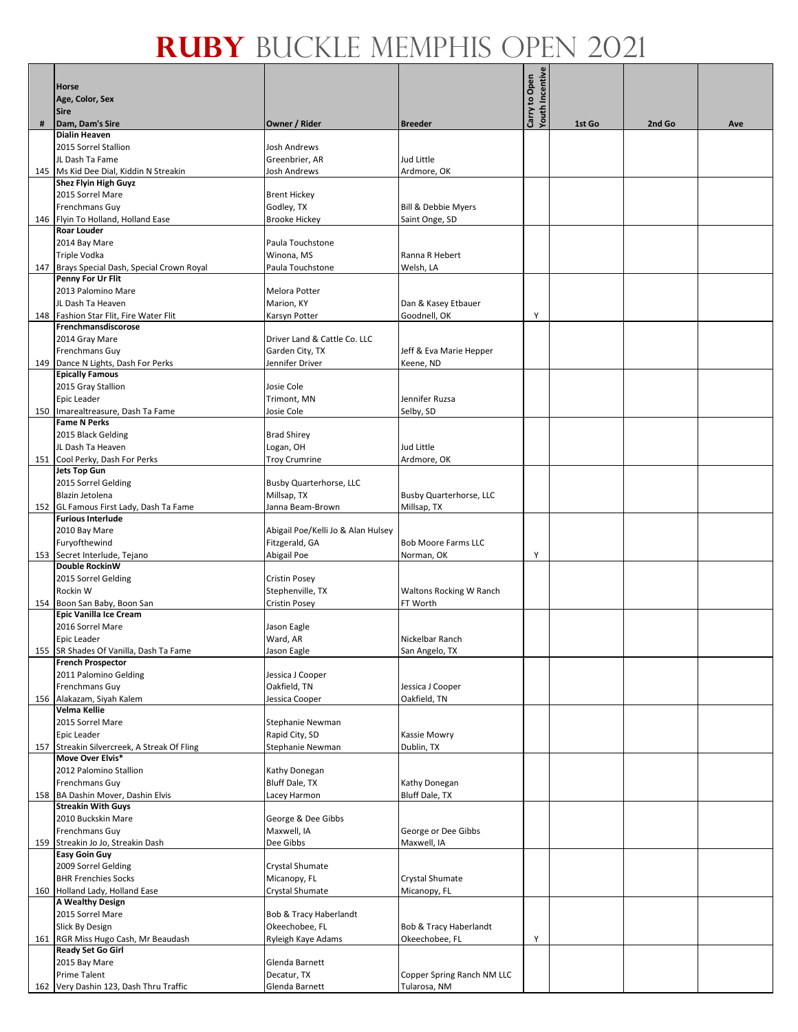|     | Horse                                                              |                                    |                                    | <b>Youth Incentive</b><br>Carry to Open |        |        |     |
|-----|--------------------------------------------------------------------|------------------------------------|------------------------------------|-----------------------------------------|--------|--------|-----|
|     | Age, Color, Sex                                                    |                                    |                                    |                                         |        |        |     |
| #   | <b>Sire</b><br>Dam, Dam's Sire                                     | Owner / Rider                      | <b>Breeder</b>                     |                                         | 1st Go | 2nd Go | Ave |
|     | <b>Dialin Heaven</b>                                               |                                    |                                    |                                         |        |        |     |
|     | 2015 Sorrel Stallion                                               | <b>Josh Andrews</b>                |                                    |                                         |        |        |     |
|     | JL Dash Ta Fame                                                    | Greenbrier, AR                     | Jud Little                         |                                         |        |        |     |
|     | 145   Ms Kid Dee Dial, Kiddin N Streakin<br>Shez Flyin High Guyz   | Josh Andrews                       | Ardmore, OK                        |                                         |        |        |     |
|     | 2015 Sorrel Mare                                                   | <b>Brent Hickey</b>                |                                    |                                         |        |        |     |
|     | Frenchmans Guy                                                     | Godley, TX                         | Bill & Debbie Myers                |                                         |        |        |     |
|     | 146 Flyin To Holland, Holland Ease<br>Roar Louder                  | <b>Brooke Hickey</b>               | Saint Onge, SD                     |                                         |        |        |     |
|     | 2014 Bay Mare                                                      | Paula Touchstone                   |                                    |                                         |        |        |     |
|     | <b>Triple Vodka</b>                                                | Winona, MS                         | Ranna R Hebert                     |                                         |        |        |     |
|     | 147 Brays Special Dash, Special Crown Royal                        | Paula Touchstone                   | Welsh, LA                          |                                         |        |        |     |
|     | Penny For Ur Flit<br>2013 Palomino Mare                            | Melora Potter                      |                                    |                                         |        |        |     |
|     | JL Dash Ta Heaven                                                  | Marion, KY                         | Dan & Kasey Etbauer                |                                         |        |        |     |
|     | 148 Fashion Star Flit, Fire Water Flit                             | Karsyn Potter                      | Goodnell, OK                       | Y                                       |        |        |     |
|     | Frenchmansdiscorose                                                | Driver Land & Cattle Co. LLC       |                                    |                                         |        |        |     |
|     | 2014 Gray Mare<br>Frenchmans Guy                                   | Garden City, TX                    | Jeff & Eva Marie Hepper            |                                         |        |        |     |
|     | 149 Dance N Lights, Dash For Perks                                 | Jennifer Driver                    | Keene, ND                          |                                         |        |        |     |
|     | <b>Epically Famous</b>                                             |                                    |                                    |                                         |        |        |     |
|     | 2015 Gray Stallion<br>Epic Leader                                  | Josie Cole<br>Trimont, MN          | Jennifer Ruzsa                     |                                         |        |        |     |
|     | 150 Imarealtreasure, Dash Ta Fame                                  | Josie Cole                         | Selby, SD                          |                                         |        |        |     |
|     | <b>Fame N Perks</b>                                                |                                    |                                    |                                         |        |        |     |
|     | 2015 Black Gelding                                                 | <b>Brad Shirey</b>                 |                                    |                                         |        |        |     |
|     | JL Dash Ta Heaven<br>151 Cool Perky, Dash For Perks                | Logan, OH<br><b>Troy Crumrine</b>  | Jud Little<br>Ardmore, OK          |                                         |        |        |     |
|     | <b>Jets Top Gun</b>                                                |                                    |                                    |                                         |        |        |     |
|     | 2015 Sorrel Gelding                                                | Busby Quarterhorse, LLC            |                                    |                                         |        |        |     |
|     | Blazin Jetolena                                                    | Millsap, TX                        | Busby Quarterhorse, LLC            |                                         |        |        |     |
|     | 152 GL Famous First Lady, Dash Ta Fame<br><b>Furious Interlude</b> | Janna Beam-Brown                   | Millsap, TX                        |                                         |        |        |     |
|     | 2010 Bay Mare                                                      | Abigail Poe/Kelli Jo & Alan Hulsey |                                    |                                         |        |        |     |
|     | Furyofthewind                                                      | Fitzgerald, GA                     | <b>Bob Moore Farms LLC</b>         |                                         |        |        |     |
|     | 153 Secret Interlude, Tejano<br><b>Double RockinW</b>              | Abigail Poe                        | Norman, OK                         | Y                                       |        |        |     |
|     | 2015 Sorrel Gelding                                                | <b>Cristin Posey</b>               |                                    |                                         |        |        |     |
|     | Rockin W                                                           | Stephenville, TX                   | Waltons Rocking W Ranch            |                                         |        |        |     |
|     | 154 Boon San Baby, Boon San                                        | <b>Cristin Posey</b>               | FT Worth                           |                                         |        |        |     |
|     | <b>Epic Vanilla Ice Cream</b><br>2016 Sorrel Mare                  | Jason Eagle                        |                                    |                                         |        |        |     |
|     | Epic Leader                                                        | Ward, AR                           | Nickelbar Ranch                    |                                         |        |        |     |
|     | 155 SR Shades Of Vanilla, Dash Ta Fame                             | Jason Eagle                        | San Angelo, TX                     |                                         |        |        |     |
|     | <b>French Prospector</b><br>2011 Palomino Gelding                  | Jessica J Cooper                   |                                    |                                         |        |        |     |
|     | Frenchmans Guy                                                     | Oakfield, TN                       | Jessica J Cooper                   |                                         |        |        |     |
| 156 | Alakazam, Siyah Kalem                                              | Jessica Cooper                     | Oakfield, TN                       |                                         |        |        |     |
|     | Velma Kellie<br>2015 Sorrel Mare                                   |                                    |                                    |                                         |        |        |     |
|     | Epic Leader                                                        | Stephanie Newman<br>Rapid City, SD | Kassie Mowry                       |                                         |        |        |     |
| 157 | Streakin Silvercreek, A Streak Of Fling                            | Stephanie Newman                   | Dublin, TX                         |                                         |        |        |     |
|     | Move Over Elvis*                                                   |                                    |                                    |                                         |        |        |     |
|     | 2012 Palomino Stallion<br>Frenchmans Guy                           | Kathy Donegan<br>Bluff Dale, TX    | Kathy Donegan                      |                                         |        |        |     |
|     | 158 BA Dashin Mover, Dashin Elvis                                  | Lacey Harmon                       | Bluff Dale, TX                     |                                         |        |        |     |
|     | <b>Streakin With Guys</b>                                          |                                    |                                    |                                         |        |        |     |
|     | 2010 Buckskin Mare                                                 | George & Dee Gibbs                 |                                    |                                         |        |        |     |
|     | Frenchmans Guy<br>159 Streakin Jo Jo, Streakin Dash                | Maxwell, IA<br>Dee Gibbs           | George or Dee Gibbs<br>Maxwell, IA |                                         |        |        |     |
|     | <b>Easy Goin Guy</b>                                               |                                    |                                    |                                         |        |        |     |
|     | 2009 Sorrel Gelding                                                | Crystal Shumate                    |                                    |                                         |        |        |     |
| 160 | <b>BHR Frenchies Socks</b><br>Holland Lady, Holland Ease           | Micanopy, FL<br>Crystal Shumate    | Crystal Shumate<br>Micanopy, FL    |                                         |        |        |     |
|     | A Wealthy Design                                                   |                                    |                                    |                                         |        |        |     |
|     | 2015 Sorrel Mare                                                   | Bob & Tracy Haberlandt             |                                    |                                         |        |        |     |
|     | Slick By Design                                                    | Okeechobee, FL                     | Bob & Tracy Haberlandt             | Y                                       |        |        |     |
|     | 161 RGR Miss Hugo Cash, Mr Beaudash<br><b>Ready Set Go Girl</b>    | Ryleigh Kaye Adams                 | Okeechobee, FL                     |                                         |        |        |     |
|     | 2015 Bay Mare                                                      | Glenda Barnett                     |                                    |                                         |        |        |     |
|     | Prime Talent                                                       | Decatur, TX                        | Copper Spring Ranch NM LLC         |                                         |        |        |     |
|     | 162 Very Dashin 123, Dash Thru Traffic                             | Glenda Barnett                     | Tularosa, NM                       |                                         |        |        |     |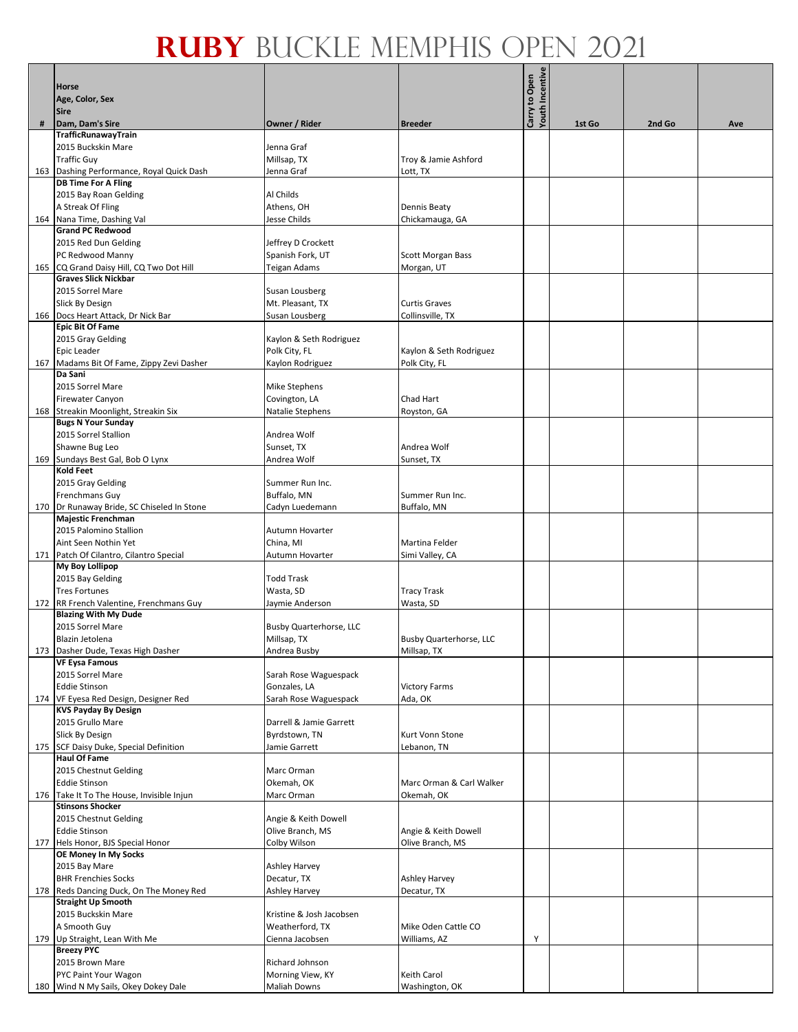|     | <b>Horse</b>                                                            |                                          |                                     | <b>Youth Incentive</b><br>Carry to Open |        |        |     |
|-----|-------------------------------------------------------------------------|------------------------------------------|-------------------------------------|-----------------------------------------|--------|--------|-----|
|     | Age, Color, Sex                                                         |                                          |                                     |                                         |        |        |     |
| #   | <b>Sire</b><br>Dam, Dam's Sire                                          | Owner / Rider                            | <b>Breeder</b>                      |                                         | 1st Go | 2nd Go | Ave |
|     | TrafficRunawayTrain                                                     |                                          |                                     |                                         |        |        |     |
|     | 2015 Buckskin Mare                                                      | Jenna Graf                               |                                     |                                         |        |        |     |
|     | <b>Traffic Guy</b>                                                      | Millsap, TX                              | Troy & Jamie Ashford                |                                         |        |        |     |
|     | 163 Dashing Performance, Royal Quick Dash<br><b>DB Time For A Fling</b> | Jenna Graf                               | Lott, TX                            |                                         |        |        |     |
|     | 2015 Bay Roan Gelding                                                   | Al Childs                                |                                     |                                         |        |        |     |
|     | A Streak Of Fling                                                       | Athens, OH                               | <b>Dennis Beaty</b>                 |                                         |        |        |     |
|     | 164 Nana Time, Dashing Val<br><b>Grand PC Redwood</b>                   | Jesse Childs                             | Chickamauga, GA                     |                                         |        |        |     |
|     | 2015 Red Dun Gelding                                                    | Jeffrey D Crockett                       |                                     |                                         |        |        |     |
|     | PC Redwood Manny                                                        | Spanish Fork, UT                         | <b>Scott Morgan Bass</b>            |                                         |        |        |     |
|     | 165 CQ Grand Daisy Hill, CQ Two Dot Hill                                | Teigan Adams                             | Morgan, UT                          |                                         |        |        |     |
|     | <b>Graves Slick Nickbar</b><br>2015 Sorrel Mare                         | Susan Lousberg                           |                                     |                                         |        |        |     |
|     | Slick By Design                                                         | Mt. Pleasant, TX                         | <b>Curtis Graves</b>                |                                         |        |        |     |
|     | 166 Docs Heart Attack, Dr Nick Bar                                      | Susan Lousberg                           | Collinsville, TX                    |                                         |        |        |     |
|     | <b>Epic Bit Of Fame</b>                                                 |                                          |                                     |                                         |        |        |     |
|     | 2015 Gray Gelding<br>Epic Leader                                        | Kaylon & Seth Rodriguez<br>Polk City, FL | Kaylon & Seth Rodriguez             |                                         |        |        |     |
|     | 167 Madams Bit Of Fame, Zippy Zevi Dasher                               | Kaylon Rodriguez                         | Polk City, FL                       |                                         |        |        |     |
|     | Da Sani                                                                 |                                          |                                     |                                         |        |        |     |
|     | 2015 Sorrel Mare<br>Firewater Canyon                                    | <b>Mike Stephens</b><br>Covington, LA    | Chad Hart                           |                                         |        |        |     |
|     | 168 Streakin Moonlight, Streakin Six                                    | Natalie Stephens                         | Royston, GA                         |                                         |        |        |     |
|     | <b>Bugs N Your Sunday</b>                                               |                                          |                                     |                                         |        |        |     |
|     | 2015 Sorrel Stallion                                                    | Andrea Wolf                              |                                     |                                         |        |        |     |
|     | Shawne Bug Leo<br>169 Sundays Best Gal, Bob O Lynx                      | Sunset, TX<br>Andrea Wolf                | Andrea Wolf<br>Sunset, TX           |                                         |        |        |     |
|     | Kold Feet                                                               |                                          |                                     |                                         |        |        |     |
|     | 2015 Gray Gelding                                                       | Summer Run Inc.                          |                                     |                                         |        |        |     |
|     | Frenchmans Guy                                                          | Buffalo, MN                              | Summer Run Inc.                     |                                         |        |        |     |
|     | 170   Dr Runaway Bride, SC Chiseled In Stone<br>Majestic Frenchman      | Cadyn Luedemann                          | Buffalo, MN                         |                                         |        |        |     |
|     | 2015 Palomino Stallion                                                  | Autumn Hovarter                          |                                     |                                         |        |        |     |
|     | Aint Seen Nothin Yet                                                    | China, MI                                | Martina Felder                      |                                         |        |        |     |
|     | 171 Patch Of Cilantro, Cilantro Special<br><b>My Boy Lollipop</b>       | Autumn Hovarter                          | Simi Valley, CA                     |                                         |        |        |     |
|     | 2015 Bay Gelding                                                        | <b>Todd Trask</b>                        |                                     |                                         |        |        |     |
|     | <b>Tres Fortunes</b>                                                    | Wasta, SD                                | <b>Tracy Trask</b>                  |                                         |        |        |     |
|     | 172 RR French Valentine, Frenchmans Guy                                 | Jaymie Anderson                          | Wasta, SD                           |                                         |        |        |     |
|     | <b>Blazing With My Dude</b><br>2015 Sorrel Mare                         | Busby Quarterhorse, LLC                  |                                     |                                         |        |        |     |
|     | Blazin Jetolena                                                         | Millsap, TX                              | <b>Busby Quarterhorse, LLC</b>      |                                         |        |        |     |
|     | 173 Dasher Dude, Texas High Dasher                                      | Andrea Busby                             | Millsap, TX                         |                                         |        |        |     |
|     | <b>VF Eysa Famous</b><br>2015 Sorrel Mare                               | Sarah Rose Waguespack                    |                                     |                                         |        |        |     |
|     | <b>Eddie Stinson</b>                                                    | Gonzales, LA                             | <b>Victory Farms</b>                |                                         |        |        |     |
| 174 | VF Eyesa Red Design, Designer Red                                       | Sarah Rose Waguespack                    | Ada, OK                             |                                         |        |        |     |
|     | <b>KVS Payday By Design</b><br>2015 Grullo Mare                         | Darrell & Jamie Garrett                  |                                     |                                         |        |        |     |
|     | Slick By Design                                                         | Byrdstown, TN                            | Kurt Vonn Stone                     |                                         |        |        |     |
| 175 | SCF Daisy Duke, Special Definition                                      | Jamie Garrett                            | Lebanon, TN                         |                                         |        |        |     |
|     | <b>Haul Of Fame</b>                                                     |                                          |                                     |                                         |        |        |     |
|     | 2015 Chestnut Gelding<br><b>Eddie Stinson</b>                           | Marc Orman<br>Okemah, OK                 | Marc Orman & Carl Walker            |                                         |        |        |     |
| 176 | Take It To The House, Invisible Injun                                   | Marc Orman                               | Okemah, OK                          |                                         |        |        |     |
|     | <b>Stinsons Shocker</b>                                                 |                                          |                                     |                                         |        |        |     |
|     | 2015 Chestnut Gelding<br><b>Eddie Stinson</b>                           | Angie & Keith Dowell<br>Olive Branch, MS | Angie & Keith Dowell                |                                         |        |        |     |
|     | 177 Hels Honor, BJS Special Honor                                       | Colby Wilson                             | Olive Branch, MS                    |                                         |        |        |     |
|     | OE Money In My Socks                                                    |                                          |                                     |                                         |        |        |     |
|     | 2015 Bay Mare<br><b>BHR Frenchies Socks</b>                             | Ashley Harvey<br>Decatur, TX             | <b>Ashley Harvey</b>                |                                         |        |        |     |
|     | 178 Reds Dancing Duck, On The Money Red                                 | Ashley Harvey                            | Decatur, TX                         |                                         |        |        |     |
|     | <b>Straight Up Smooth</b>                                               |                                          |                                     |                                         |        |        |     |
|     | 2015 Buckskin Mare                                                      | Kristine & Josh Jacobsen                 |                                     |                                         |        |        |     |
|     | A Smooth Guy<br>179 Up Straight, Lean With Me                           | Weatherford, TX<br>Cienna Jacobsen       | Mike Oden Cattle CO<br>Williams, AZ | Y                                       |        |        |     |
|     | <b>Breezy PYC</b>                                                       |                                          |                                     |                                         |        |        |     |
|     | 2015 Brown Mare                                                         | Richard Johnson                          |                                     |                                         |        |        |     |
|     | PYC Paint Your Wagon                                                    | Morning View, KY                         | Keith Carol                         |                                         |        |        |     |
|     | 180 Wind N My Sails, Okey Dokey Dale                                    | Maliah Downs                             | Washington, OK                      |                                         |        |        |     |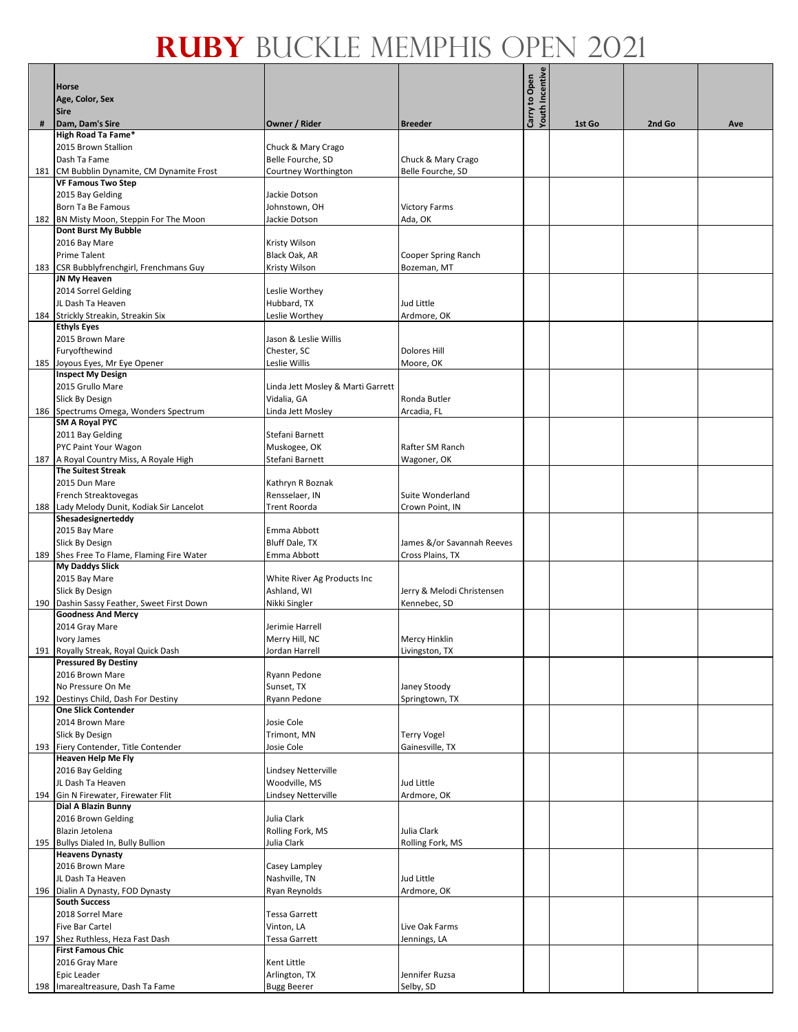|     |                                            |                                   |                            | Youth Incentive |        |        |     |
|-----|--------------------------------------------|-----------------------------------|----------------------------|-----------------|--------|--------|-----|
|     | <b>Horse</b>                               |                                   |                            | Carry to Open   |        |        |     |
|     | Age, Color, Sex                            |                                   |                            |                 |        |        |     |
|     | <b>Sire</b>                                |                                   |                            |                 |        |        |     |
| #   | Dam, Dam's Sire                            | Owner / Rider                     | <b>Breeder</b>             |                 | 1st Go | 2nd Go | Ave |
|     | High Road Ta Fame*                         |                                   |                            |                 |        |        |     |
|     | 2015 Brown Stallion                        | Chuck & Mary Crago                |                            |                 |        |        |     |
|     | Dash Ta Fame                               |                                   |                            |                 |        |        |     |
|     |                                            | Belle Fourche, SD                 | Chuck & Mary Crago         |                 |        |        |     |
|     | 181 CM Bubblin Dynamite, CM Dynamite Frost | Courtney Worthington              | Belle Fourche, SD          |                 |        |        |     |
|     | <b>VF Famous Two Step</b>                  |                                   |                            |                 |        |        |     |
|     | 2015 Bay Gelding                           | Jackie Dotson                     |                            |                 |        |        |     |
|     | Born Ta Be Famous                          | Johnstown, OH                     | <b>Victory Farms</b>       |                 |        |        |     |
|     | 182 BN Misty Moon, Steppin For The Moon    | Jackie Dotson                     | Ada, OK                    |                 |        |        |     |
|     | Dont Burst My Bubble                       |                                   |                            |                 |        |        |     |
|     | 2016 Bay Mare                              | Kristy Wilson                     |                            |                 |        |        |     |
|     |                                            |                                   |                            |                 |        |        |     |
|     | Prime Talent                               | Black Oak, AR                     | Cooper Spring Ranch        |                 |        |        |     |
|     | 183 CSR Bubblyfrenchgirl, Frenchmans Guy   | Kristy Wilson                     | Bozeman, MT                |                 |        |        |     |
|     | JN My Heaven                               |                                   |                            |                 |        |        |     |
|     | 2014 Sorrel Gelding                        | Leslie Worthey                    |                            |                 |        |        |     |
|     | JL Dash Ta Heaven                          | Hubbard, TX                       | <b>Jud Little</b>          |                 |        |        |     |
|     | 184 Strickly Streakin, Streakin Six        | Leslie Worthey                    | Ardmore, OK                |                 |        |        |     |
|     | <b>Ethyls Eyes</b>                         |                                   |                            |                 |        |        |     |
|     | 2015 Brown Mare                            | Jason & Leslie Willis             |                            |                 |        |        |     |
|     | Furyofthewind                              | Chester, SC                       | <b>Dolores Hill</b>        |                 |        |        |     |
|     |                                            |                                   |                            |                 |        |        |     |
| 185 | Joyous Eyes, Mr Eye Opener                 | Leslie Willis                     | Moore, OK                  |                 |        |        |     |
|     | <b>Inspect My Design</b>                   |                                   |                            |                 |        |        |     |
|     | 2015 Grullo Mare                           | Linda Jett Mosley & Marti Garrett |                            |                 |        |        |     |
|     | Slick By Design                            | Vidalia, GA                       | Ronda Butler               |                 |        |        |     |
|     | 186 Spectrums Omega, Wonders Spectrum      | Linda Jett Mosley                 | Arcadia, FL                |                 |        |        |     |
|     | SM A Royal PYC                             |                                   |                            |                 |        |        |     |
|     | 2011 Bay Gelding                           | Stefani Barnett                   |                            |                 |        |        |     |
|     | PYC Paint Your Wagon                       | Muskogee, OK                      | Rafter SM Ranch            |                 |        |        |     |
|     | 187 A Royal Country Miss, A Royale High    | Stefani Barnett                   | Wagoner, OK                |                 |        |        |     |
|     | <b>The Suitest Streak</b>                  |                                   |                            |                 |        |        |     |
|     |                                            |                                   |                            |                 |        |        |     |
|     | 2015 Dun Mare                              | Kathryn R Boznak                  |                            |                 |        |        |     |
|     | French Streaktovegas                       | Rensselaer, IN                    | Suite Wonderland           |                 |        |        |     |
|     | 188 Lady Melody Dunit, Kodiak Sir Lancelot | Trent Roorda                      | Crown Point, IN            |                 |        |        |     |
|     | Shesadesignerteddy                         |                                   |                            |                 |        |        |     |
|     | 2015 Bay Mare                              | Emma Abbott                       |                            |                 |        |        |     |
|     | Slick By Design                            | Bluff Dale, TX                    | James &/or Savannah Reeves |                 |        |        |     |
|     | 189 Shes Free To Flame, Flaming Fire Water | Emma Abbott                       | Cross Plains, TX           |                 |        |        |     |
|     | <b>My Daddys Slick</b>                     |                                   |                            |                 |        |        |     |
|     | 2015 Bay Mare                              | White River Ag Products Inc       |                            |                 |        |        |     |
|     | Slick By Design                            | Ashland, WI                       | Jerry & Melodi Christensen |                 |        |        |     |
|     |                                            |                                   |                            |                 |        |        |     |
|     | 190 Dashin Sassy Feather, Sweet First Down | Nikki Singler                     | Kennebec, SD               |                 |        |        |     |
|     | <b>Goodness And Mercy</b>                  |                                   |                            |                 |        |        |     |
|     | 2014 Gray Mare                             | Jerimie Harrell                   |                            |                 |        |        |     |
|     | Ivory James                                | Merry Hill, NC                    | <b>Mercy Hinklin</b>       |                 |        |        |     |
|     | 191 Royally Streak, Royal Quick Dash       | Jordan Harrell                    | Livingston, TX             |                 |        |        |     |
|     | <b>Pressured By Destiny</b>                |                                   |                            |                 |        |        |     |
|     | 2016 Brown Mare                            | Ryann Pedone                      |                            |                 |        |        |     |
|     | No Pressure On Me                          | Sunset, TX                        | Janey Stoody               |                 |        |        |     |
| 192 | Destinys Child, Dash For Destiny           | Ryann Pedone                      | Springtown, TX             |                 |        |        |     |
|     | <b>One Slick Contender</b>                 |                                   |                            |                 |        |        |     |
|     | 2014 Brown Mare                            | Josie Cole                        |                            |                 |        |        |     |
|     | Slick By Design                            | Trimont, MN                       |                            |                 |        |        |     |
|     |                                            |                                   | <b>Terry Vogel</b>         |                 |        |        |     |
|     | 193 Fiery Contender, Title Contender       | Josie Cole                        | Gainesville, TX            |                 |        |        |     |
|     | <b>Heaven Help Me Fly</b>                  |                                   |                            |                 |        |        |     |
|     | 2016 Bay Gelding                           | <b>Lindsey Netterville</b>        |                            |                 |        |        |     |
|     | JL Dash Ta Heaven                          | Woodville, MS                     | Jud Little                 |                 |        |        |     |
|     | 194 Gin N Firewater, Firewater Flit        | Lindsey Netterville               | Ardmore, OK                |                 |        |        |     |
|     | Dial A Blazin Bunny                        |                                   |                            |                 |        |        |     |
|     | 2016 Brown Gelding                         | Julia Clark                       |                            |                 |        |        |     |
|     | Blazin Jetolena                            | Rolling Fork, MS                  | Julia Clark                |                 |        |        |     |
|     | 195 Bullys Dialed In, Bully Bullion        | Julia Clark                       | Rolling Fork, MS           |                 |        |        |     |
|     | <b>Heavens Dynasty</b>                     |                                   |                            |                 |        |        |     |
|     | 2016 Brown Mare                            | Casey Lampley                     |                            |                 |        |        |     |
|     | JL Dash Ta Heaven                          | Nashville, TN                     | Jud Little                 |                 |        |        |     |
|     |                                            |                                   |                            |                 |        |        |     |
|     | 196 Dialin A Dynasty, FOD Dynasty          | Ryan Reynolds                     | Ardmore, OK                |                 |        |        |     |
|     | <b>South Success</b>                       |                                   |                            |                 |        |        |     |
|     | 2018 Sorrel Mare                           | <b>Tessa Garrett</b>              |                            |                 |        |        |     |
|     | Five Bar Cartel                            | Vinton, LA                        | Live Oak Farms             |                 |        |        |     |
|     | 197 Shez Ruthless, Heza Fast Dash          | <b>Tessa Garrett</b>              | Jennings, LA               |                 |        |        |     |
|     | <b>First Famous Chic</b>                   |                                   |                            |                 |        |        |     |
|     | 2016 Gray Mare                             | Kent Little                       |                            |                 |        |        |     |
|     | Epic Leader                                | Arlington, TX                     | Jennifer Ruzsa             |                 |        |        |     |
|     | 198 Imarealtreasure, Dash Ta Fame          | <b>Bugg Beerer</b>                | Selby, SD                  |                 |        |        |     |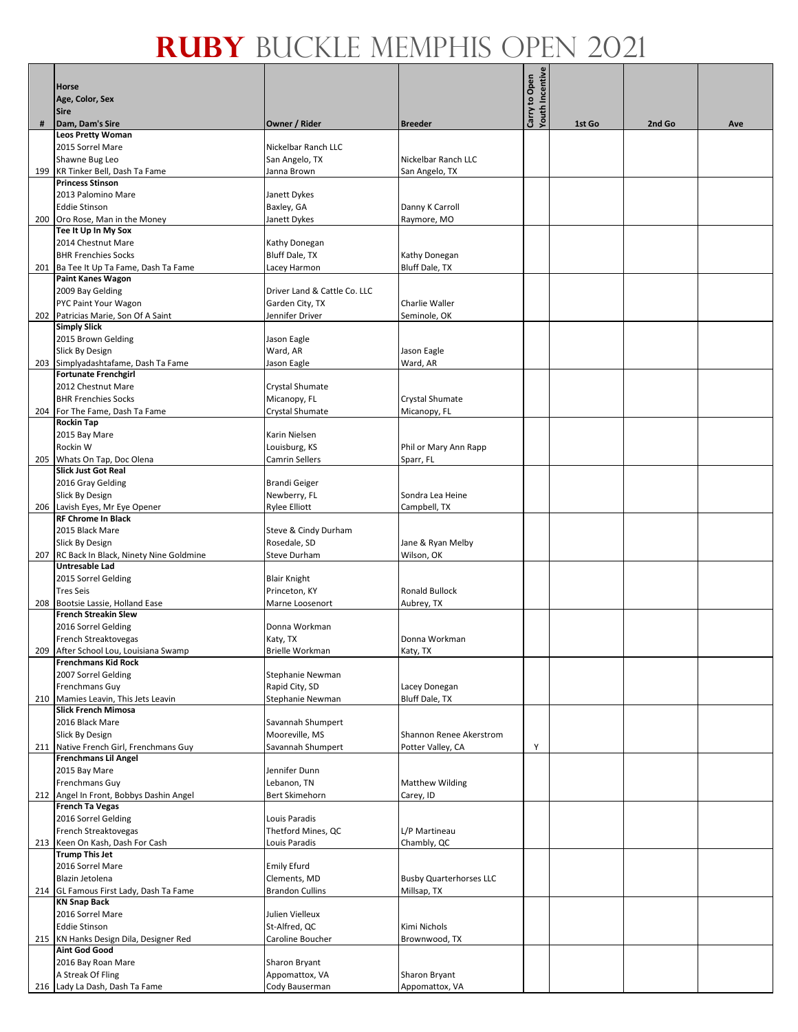|     | <b>Horse</b>                                                        |                                    |                                        | <b>Youth Incentive</b><br>Carry to Open |        |        |     |
|-----|---------------------------------------------------------------------|------------------------------------|----------------------------------------|-----------------------------------------|--------|--------|-----|
|     | Age, Color, Sex                                                     |                                    |                                        |                                         |        |        |     |
| #   | <b>Sire</b><br>Dam, Dam's Sire                                      | Owner / Rider                      | <b>Breeder</b>                         |                                         | 1st Go | 2nd Go | Ave |
|     | <b>Leos Pretty Woman</b>                                            |                                    |                                        |                                         |        |        |     |
|     | 2015 Sorrel Mare                                                    | Nickelbar Ranch LLC                |                                        |                                         |        |        |     |
|     | Shawne Bug Leo                                                      | San Angelo, TX                     | Nickelbar Ranch LLC                    |                                         |        |        |     |
| 199 | KR Tinker Bell, Dash Ta Fame<br><b>Princess Stinson</b>             | Janna Brown                        | San Angelo, TX                         |                                         |        |        |     |
|     | 2013 Palomino Mare                                                  | Janett Dykes                       |                                        |                                         |        |        |     |
|     | <b>Eddie Stinson</b>                                                | Baxley, GA                         | Danny K Carroll                        |                                         |        |        |     |
|     | 200 Oro Rose, Man in the Money<br>Tee It Up In My Sox               | Janett Dykes                       | Raymore, MO                            |                                         |        |        |     |
|     | 2014 Chestnut Mare                                                  | Kathy Donegan                      |                                        |                                         |        |        |     |
|     | <b>BHR Frenchies Socks</b>                                          | Bluff Dale, TX                     | Kathy Donegan                          |                                         |        |        |     |
| 201 | Ba Tee It Up Ta Fame, Dash Ta Fame                                  | Lacey Harmon                       | Bluff Dale, TX                         |                                         |        |        |     |
|     | Paint Kanes Wagon<br>2009 Bay Gelding                               | Driver Land & Cattle Co. LLC       |                                        |                                         |        |        |     |
|     | PYC Paint Your Wagon                                                | Garden City, TX                    | Charlie Waller                         |                                         |        |        |     |
|     | 202 Patricias Marie, Son Of A Saint                                 | Jennifer Driver                    | Seminole, OK                           |                                         |        |        |     |
|     | <b>Simply Slick</b>                                                 |                                    |                                        |                                         |        |        |     |
|     | 2015 Brown Gelding<br>Slick By Design                               | Jason Eagle<br>Ward, AR            | Jason Eagle                            |                                         |        |        |     |
|     | 203 Simplyadashtafame, Dash Ta Fame                                 | Jason Eagle                        | Ward, AR                               |                                         |        |        |     |
|     | <b>Fortunate Frenchgirl</b>                                         |                                    |                                        |                                         |        |        |     |
|     | 2012 Chestnut Mare<br><b>BHR Frenchies Socks</b>                    | Crystal Shumate<br>Micanopy, FL    | Crystal Shumate                        |                                         |        |        |     |
|     | 204 For The Fame, Dash Ta Fame                                      | Crystal Shumate                    | Micanopy, FL                           |                                         |        |        |     |
|     | <b>Rockin Tap</b>                                                   |                                    |                                        |                                         |        |        |     |
|     | 2015 Bay Mare                                                       | Karin Nielsen                      |                                        |                                         |        |        |     |
|     | Rockin W<br>205 Whats On Tap, Doc Olena                             | Louisburg, KS<br>Camrin Sellers    | Phil or Mary Ann Rapp<br>Sparr, FL     |                                         |        |        |     |
|     | <b>Slick Just Got Real</b>                                          |                                    |                                        |                                         |        |        |     |
|     | 2016 Gray Gelding                                                   | <b>Brandi Geiger</b>               |                                        |                                         |        |        |     |
|     | Slick By Design                                                     | Newberry, FL                       | Sondra Lea Heine                       |                                         |        |        |     |
| 206 | Lavish Eyes, Mr Eye Opener<br><b>RF Chrome In Black</b>             | <b>Rylee Elliott</b>               | Campbell, TX                           |                                         |        |        |     |
|     | 2015 Black Mare                                                     | Steve & Cindy Durham               |                                        |                                         |        |        |     |
|     | Slick By Design                                                     | Rosedale, SD                       | Jane & Ryan Melby                      |                                         |        |        |     |
|     | 207 RC Back In Black, Ninety Nine Goldmine<br><b>Untresable Lad</b> | <b>Steve Durham</b>                | Wilson, OK                             |                                         |        |        |     |
|     | 2015 Sorrel Gelding                                                 | <b>Blair Knight</b>                |                                        |                                         |        |        |     |
|     | <b>Tres Seis</b>                                                    | Princeton, KY                      | <b>Ronald Bullock</b>                  |                                         |        |        |     |
|     | 208 Bootsie Lassie, Holland Ease<br><b>French Streakin Slew</b>     | Marne Loosenort                    | Aubrey, TX                             |                                         |        |        |     |
|     | 2016 Sorrel Gelding                                                 | Donna Workman                      |                                        |                                         |        |        |     |
|     | French Streaktovegas                                                | Katy, TX                           | Donna Workman                          |                                         |        |        |     |
|     | 209 After School Lou, Louisiana Swamp<br><b>Frenchmans Kid Rock</b> | Brielle Workman                    | Katy, TX                               |                                         |        |        |     |
|     | 2007 Sorrel Gelding                                                 | Stephanie Newman                   |                                        |                                         |        |        |     |
|     | Frenchmans Guy                                                      | Rapid City, SD                     | Lacey Donegan                          |                                         |        |        |     |
| 210 | Mamies Leavin, This Jets Leavin                                     | Stephanie Newman                   | Bluff Dale, TX                         |                                         |        |        |     |
|     | <b>Slick French Mimosa</b><br>2016 Black Mare                       | Savannah Shumpert                  |                                        |                                         |        |        |     |
|     | Slick By Design                                                     | Mooreville, MS                     | Shannon Renee Akerstrom                |                                         |        |        |     |
|     | 211 Native French Girl, Frenchmans Guy                              | Savannah Shumpert                  | Potter Valley, CA                      | Y                                       |        |        |     |
|     | <b>Frenchmans Lil Angel</b><br>2015 Bay Mare                        | Jennifer Dunn                      |                                        |                                         |        |        |     |
|     | Frenchmans Guy                                                      | Lebanon, TN                        | <b>Matthew Wilding</b>                 |                                         |        |        |     |
|     | 212 Angel In Front, Bobbys Dashin Angel                             | Bert Skimehorn                     | Carey, ID                              |                                         |        |        |     |
|     | <b>French Ta Vegas</b><br>2016 Sorrel Gelding                       | Louis Paradis                      |                                        |                                         |        |        |     |
|     | French Streaktovegas                                                | Thetford Mines, QC                 | L/P Martineau                          |                                         |        |        |     |
|     | 213 Keen On Kash, Dash For Cash                                     | Louis Paradis                      | Chambly, QC                            |                                         |        |        |     |
|     | <b>Trump This Jet</b>                                               |                                    |                                        |                                         |        |        |     |
|     | 2016 Sorrel Mare<br>Blazin Jetolena                                 | <b>Emily Efurd</b><br>Clements, MD | <b>Busby Quarterhorses LLC</b>         |                                         |        |        |     |
|     | 214 GL Famous First Lady, Dash Ta Fame                              | <b>Brandon Cullins</b>             | Millsap, TX                            |                                         |        |        |     |
|     | <b>KN Snap Back</b>                                                 |                                    |                                        |                                         |        |        |     |
|     | 2016 Sorrel Mare<br><b>Eddie Stinson</b>                            | Julien Vielleux<br>St-Alfred, QC   | Kimi Nichols                           |                                         |        |        |     |
|     | 215   KN Hanks Design Dila, Designer Red                            | Caroline Boucher                   | Brownwood, TX                          |                                         |        |        |     |
|     | <b>Aint God Good</b>                                                |                                    |                                        |                                         |        |        |     |
|     | 2016 Bay Roan Mare                                                  | Sharon Bryant                      |                                        |                                         |        |        |     |
|     | A Streak Of Fling<br>216 Lady La Dash, Dash Ta Fame                 | Appomattox, VA<br>Cody Bauserman   | <b>Sharon Bryant</b><br>Appomattox, VA |                                         |        |        |     |
|     |                                                                     |                                    |                                        |                                         |        |        |     |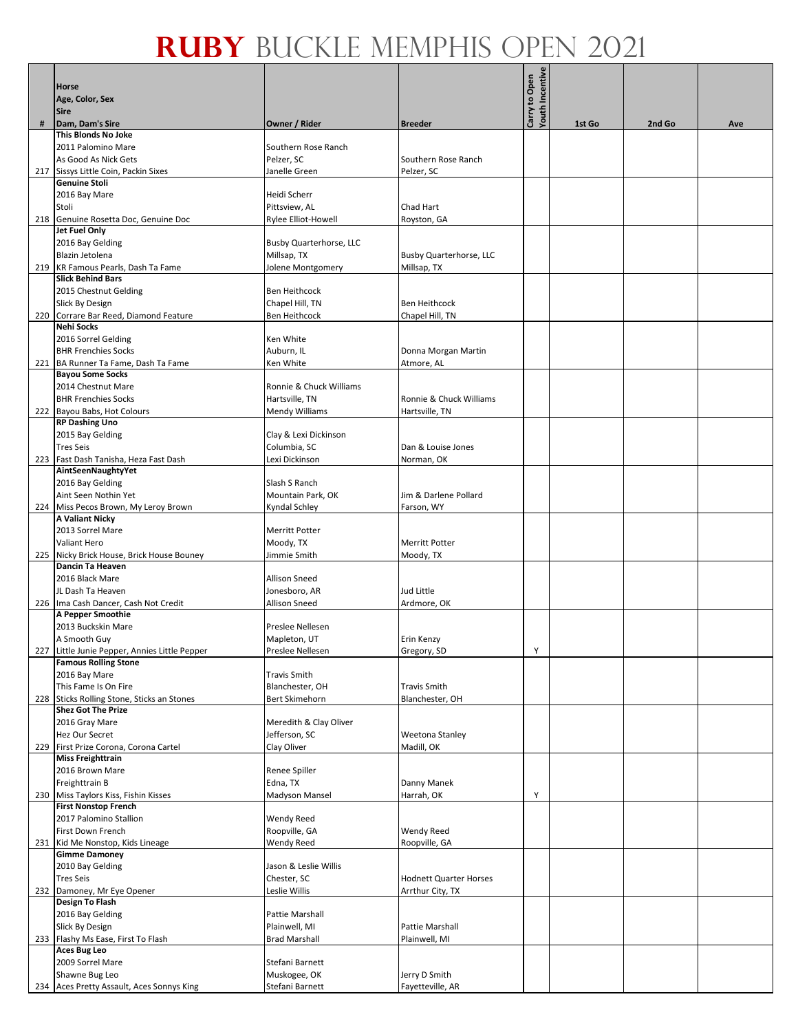|     | <b>Horse</b>                                                            |                                    |                                   | Youth Incentive<br>Carry to Open |        |        |     |
|-----|-------------------------------------------------------------------------|------------------------------------|-----------------------------------|----------------------------------|--------|--------|-----|
|     |                                                                         |                                    |                                   |                                  |        |        |     |
|     | Age, Color, Sex<br><b>Sire</b>                                          |                                    |                                   |                                  |        |        |     |
| #   | Dam, Dam's Sire                                                         | Owner / Rider                      | <b>Breeder</b>                    |                                  | 1st Go | 2nd Go | Ave |
|     | <b>This Blonds No Joke</b>                                              |                                    |                                   |                                  |        |        |     |
|     | 2011 Palomino Mare                                                      | Southern Rose Ranch                |                                   |                                  |        |        |     |
|     | As Good As Nick Gets                                                    | Pelzer, SC                         | Southern Rose Ranch               |                                  |        |        |     |
|     | 217 Sissys Little Coin, Packin Sixes                                    | Janelle Green                      | Pelzer, SC                        |                                  |        |        |     |
|     | <b>Genuine Stoli</b>                                                    |                                    |                                   |                                  |        |        |     |
|     | 2016 Bay Mare                                                           | Heidi Scherr                       |                                   |                                  |        |        |     |
|     | Stoli                                                                   | Pittsview, AL                      | <b>Chad Hart</b>                  |                                  |        |        |     |
|     | 218 Genuine Rosetta Doc, Genuine Doc                                    | Rylee Elliot-Howell                | Royston, GA                       |                                  |        |        |     |
|     | Jet Fuel Only                                                           |                                    |                                   |                                  |        |        |     |
|     | 2016 Bay Gelding                                                        | <b>Busby Quarterhorse, LLC</b>     |                                   |                                  |        |        |     |
|     | Blazin Jetolena                                                         | Millsap, TX                        | Busby Quarterhorse, LLC           |                                  |        |        |     |
|     | 219 KR Famous Pearls, Dash Ta Fame                                      | Jolene Montgomery                  | Millsap, TX                       |                                  |        |        |     |
|     | <b>Slick Behind Bars</b>                                                |                                    |                                   |                                  |        |        |     |
|     | 2015 Chestnut Gelding                                                   | <b>Ben Heithcock</b>               |                                   |                                  |        |        |     |
|     | Slick By Design                                                         | Chapel Hill, TN                    | <b>Ben Heithcock</b>              |                                  |        |        |     |
|     | 220 Corrare Bar Reed, Diamond Feature                                   | Ben Heithcock                      | Chapel Hill, TN                   |                                  |        |        |     |
|     | Nehi Socks                                                              |                                    |                                   |                                  |        |        |     |
|     | 2016 Sorrel Gelding<br><b>BHR Frenchies Socks</b>                       | Ken White                          |                                   |                                  |        |        |     |
|     | 221 BA Runner Ta Fame, Dash Ta Fame                                     | Auburn, IL<br>Ken White            | Donna Morgan Martin<br>Atmore, AL |                                  |        |        |     |
|     | <b>Bayou Some Socks</b>                                                 |                                    |                                   |                                  |        |        |     |
|     | 2014 Chestnut Mare                                                      | Ronnie & Chuck Williams            |                                   |                                  |        |        |     |
|     | <b>BHR Frenchies Socks</b>                                              | Hartsville, TN                     | Ronnie & Chuck Williams           |                                  |        |        |     |
|     | 222 Bayou Babs, Hot Colours                                             | <b>Mendy Williams</b>              | Hartsville, TN                    |                                  |        |        |     |
|     | <b>RP Dashing Uno</b>                                                   |                                    |                                   |                                  |        |        |     |
|     | 2015 Bay Gelding                                                        | Clay & Lexi Dickinson              |                                   |                                  |        |        |     |
|     | <b>Tres Seis</b>                                                        | Columbia, SC                       | Dan & Louise Jones                |                                  |        |        |     |
|     | 223   Fast Dash Tanisha, Heza Fast Dash                                 | Lexi Dickinson                     | Norman, OK                        |                                  |        |        |     |
|     | AintSeenNaughtyYet                                                      |                                    |                                   |                                  |        |        |     |
|     | 2016 Bay Gelding                                                        | Slash S Ranch                      |                                   |                                  |        |        |     |
|     | Aint Seen Nothin Yet                                                    | Mountain Park, OK                  | Jim & Darlene Pollard             |                                  |        |        |     |
|     | 224 Miss Pecos Brown, My Leroy Brown                                    | Kyndal Schley                      | Farson, WY                        |                                  |        |        |     |
|     | <b>A Valiant Nicky</b><br>2013 Sorrel Mare                              |                                    |                                   |                                  |        |        |     |
|     | Valiant Hero                                                            | <b>Merritt Potter</b><br>Moody, TX | <b>Merritt Potter</b>             |                                  |        |        |     |
|     | 225 Nicky Brick House, Brick House Bouney                               | Jimmie Smith                       | Moody, TX                         |                                  |        |        |     |
|     | Dancin Ta Heaven                                                        |                                    |                                   |                                  |        |        |     |
|     | 2016 Black Mare                                                         | <b>Allison Sneed</b>               |                                   |                                  |        |        |     |
|     | JL Dash Ta Heaven                                                       | Jonesboro, AR                      | Jud Little                        |                                  |        |        |     |
|     | 226 Ima Cash Dancer, Cash Not Credit                                    | Allison Sneed                      | Ardmore, OK                       |                                  |        |        |     |
|     | A Pepper Smoothie                                                       |                                    |                                   |                                  |        |        |     |
|     | 2013 Buckskin Mare                                                      | Preslee Nellesen                   |                                   |                                  |        |        |     |
|     | A Smooth Guy                                                            | Mapleton, UT                       | Erin Kenzy                        |                                  |        |        |     |
|     | 227 Little Junie Pepper, Annies Little Pepper                           | Preslee Nellesen                   | Gregory, SD                       | Υ                                |        |        |     |
|     | <b>Famous Rolling Stone</b>                                             |                                    |                                   |                                  |        |        |     |
|     | 2016 Bay Mare                                                           | Travis Smith                       |                                   |                                  |        |        |     |
|     | This Fame Is On Fire                                                    | Blanchester, OH<br>Bert Skimehorn  | <b>Travis Smith</b>               |                                  |        |        |     |
|     | 228 Sticks Rolling Stone, Sticks an Stones<br><b>Shez Got The Prize</b> |                                    | Blanchester, OH                   |                                  |        |        |     |
|     | 2016 Gray Mare                                                          | Meredith & Clay Oliver             |                                   |                                  |        |        |     |
|     | Hez Our Secret                                                          | Jefferson, SC                      | <b>Weetona Stanley</b>            |                                  |        |        |     |
| 229 | First Prize Corona, Corona Cartel                                       | Clay Oliver                        | Madill, OK                        |                                  |        |        |     |
|     | <b>Miss Freighttrain</b>                                                |                                    |                                   |                                  |        |        |     |
|     | 2016 Brown Mare                                                         | Renee Spiller                      |                                   |                                  |        |        |     |
|     | Freighttrain B                                                          | Edna, TX                           | Danny Manek                       |                                  |        |        |     |
|     | 230 Miss Taylors Kiss, Fishin Kisses                                    | Madyson Mansel                     | Harrah, OK                        | Y                                |        |        |     |
|     | <b>First Nonstop French</b>                                             |                                    |                                   |                                  |        |        |     |
|     | 2017 Palomino Stallion                                                  | Wendy Reed                         |                                   |                                  |        |        |     |
|     | First Down French                                                       | Roopville, GA                      | <b>Wendy Reed</b>                 |                                  |        |        |     |
|     | 231 Kid Me Nonstop, Kids Lineage<br><b>Gimme Damoney</b>                | Wendy Reed                         | Roopville, GA                     |                                  |        |        |     |
|     | 2010 Bay Gelding                                                        | Jason & Leslie Willis              |                                   |                                  |        |        |     |
|     | <b>Tres Seis</b>                                                        | Chester, SC                        | <b>Hodnett Quarter Horses</b>     |                                  |        |        |     |
|     | 232 Damoney, Mr Eye Opener                                              | Leslie Willis                      | Arrthur City, TX                  |                                  |        |        |     |
|     | <b>Design To Flash</b>                                                  |                                    |                                   |                                  |        |        |     |
|     | 2016 Bay Gelding                                                        | Pattie Marshall                    |                                   |                                  |        |        |     |
|     | Slick By Design                                                         | Plainwell, MI                      | <b>Pattie Marshall</b>            |                                  |        |        |     |
|     | 233 Flashy Ms Ease, First To Flash                                      | <b>Brad Marshall</b>               | Plainwell, MI                     |                                  |        |        |     |
|     | Aces Bug Leo                                                            |                                    |                                   |                                  |        |        |     |
|     | 2009 Sorrel Mare                                                        | Stefani Barnett                    |                                   |                                  |        |        |     |
|     | Shawne Bug Leo                                                          | Muskogee, OK                       | Jerry D Smith                     |                                  |        |        |     |
|     | 234 Aces Pretty Assault, Aces Sonnys King                               | Stefani Barnett                    | Fayetteville, AR                  |                                  |        |        |     |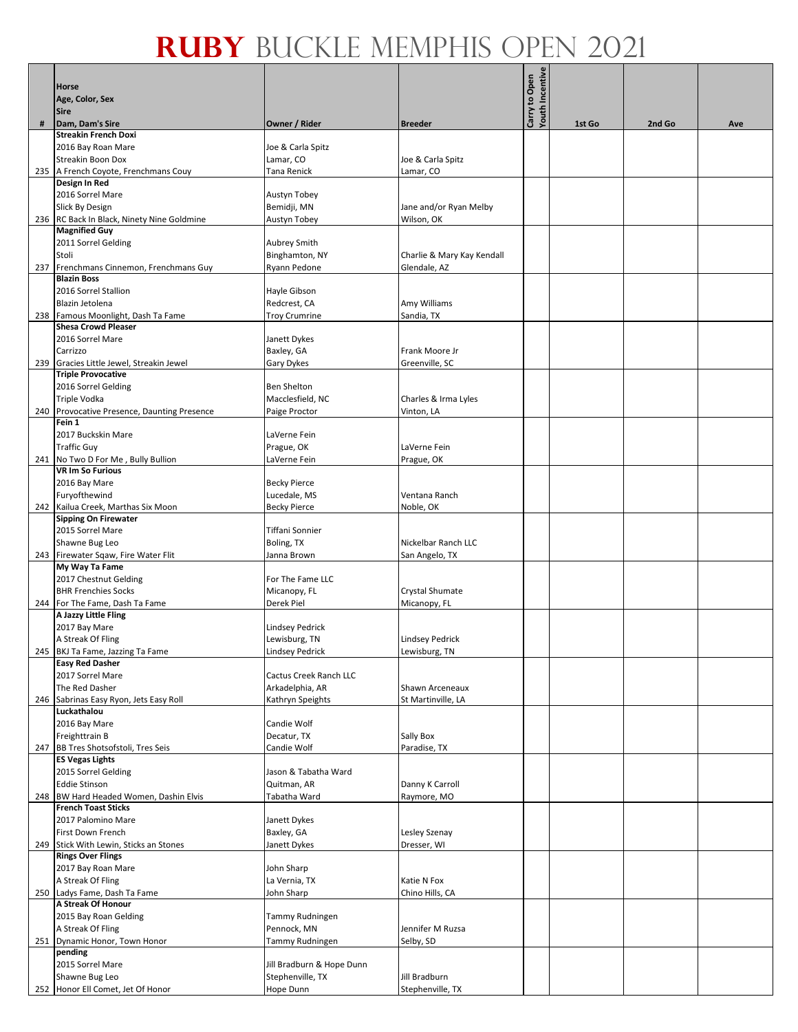|     | <b>Horse</b>                                                |                                     |                                    | <b>Youth Incentive</b><br>to Open |        |        |     |
|-----|-------------------------------------------------------------|-------------------------------------|------------------------------------|-----------------------------------|--------|--------|-----|
|     | Age, Color, Sex                                             |                                     |                                    |                                   |        |        |     |
|     | <b>Sire</b>                                                 |                                     |                                    |                                   |        |        |     |
| #   | Dam, Dam's Sire                                             | Owner / Rider                       | <b>Breeder</b>                     | Carry                             | 1st Go | 2nd Go | Ave |
|     | <b>Streakin French Doxi</b>                                 |                                     |                                    |                                   |        |        |     |
|     | 2016 Bay Roan Mare                                          | Joe & Carla Spitz                   |                                    |                                   |        |        |     |
|     | Streakin Boon Dox                                           | Lamar, CO                           | Joe & Carla Spitz                  |                                   |        |        |     |
|     | 235 A French Coyote, Frenchmans Couy                        | Tana Renick                         | Lamar, CO                          |                                   |        |        |     |
|     | Design In Red<br>2016 Sorrel Mare                           | Austyn Tobey                        |                                    |                                   |        |        |     |
|     | Slick By Design                                             | Bemidji, MN                         | Jane and/or Ryan Melby             |                                   |        |        |     |
|     | 236 RC Back In Black, Ninety Nine Goldmine                  | Austyn Tobey                        | Wilson, OK                         |                                   |        |        |     |
|     | <b>Magnified Guy</b>                                        |                                     |                                    |                                   |        |        |     |
|     | 2011 Sorrel Gelding                                         | Aubrey Smith                        |                                    |                                   |        |        |     |
|     | Stoli                                                       | Binghamton, NY                      | Charlie & Mary Kay Kendall         |                                   |        |        |     |
|     | 237 Frenchmans Cinnemon, Frenchmans Guy                     | Ryann Pedone                        | Glendale, AZ                       |                                   |        |        |     |
|     | <b>Blazin Boss</b>                                          |                                     |                                    |                                   |        |        |     |
|     | 2016 Sorrel Stallion<br>Blazin Jetolena                     | Hayle Gibson<br>Redcrest, CA        | Amy Williams                       |                                   |        |        |     |
|     | 238 Famous Moonlight, Dash Ta Fame                          | <b>Troy Crumrine</b>                | Sandia, TX                         |                                   |        |        |     |
|     | <b>Shesa Crowd Pleaser</b>                                  |                                     |                                    |                                   |        |        |     |
|     | 2016 Sorrel Mare                                            | Janett Dykes                        |                                    |                                   |        |        |     |
|     | Carrizzo                                                    | Baxley, GA                          | Frank Moore Jr                     |                                   |        |        |     |
|     | 239 Gracies Little Jewel, Streakin Jewel                    | Gary Dykes                          | Greenville, SC                     |                                   |        |        |     |
|     | <b>Triple Provocative</b>                                   |                                     |                                    |                                   |        |        |     |
|     | 2016 Sorrel Gelding                                         | <b>Ben Shelton</b>                  |                                    |                                   |        |        |     |
|     | Triple Vodka<br>240 Provocative Presence, Daunting Presence | Macclesfield, NC<br>Paige Proctor   | Charles & Irma Lyles<br>Vinton, LA |                                   |        |        |     |
|     | Fein 1                                                      |                                     |                                    |                                   |        |        |     |
|     | 2017 Buckskin Mare                                          | LaVerne Fein                        |                                    |                                   |        |        |     |
|     | <b>Traffic Guy</b>                                          | Prague, OK                          | LaVerne Fein                       |                                   |        |        |     |
|     | 241 No Two D For Me, Bully Bullion                          | LaVerne Fein                        | Prague, OK                         |                                   |        |        |     |
|     | <b>VR Im So Furious</b>                                     |                                     |                                    |                                   |        |        |     |
|     | 2016 Bay Mare<br>Furyofthewind                              | <b>Becky Pierce</b><br>Lucedale, MS | Ventana Ranch                      |                                   |        |        |     |
|     | 242 Kailua Creek, Marthas Six Moon                          | <b>Becky Pierce</b>                 | Noble, OK                          |                                   |        |        |     |
|     | <b>Sipping On Firewater</b>                                 |                                     |                                    |                                   |        |        |     |
|     | 2015 Sorrel Mare                                            | Tiffani Sonnier                     |                                    |                                   |        |        |     |
|     | Shawne Bug Leo                                              | Boling, TX                          | Nickelbar Ranch LLC                |                                   |        |        |     |
|     | 243 Firewater Sqaw, Fire Water Flit                         | Janna Brown                         | San Angelo, TX                     |                                   |        |        |     |
|     | My Way Ta Fame<br>2017 Chestnut Gelding                     | For The Fame LLC                    |                                    |                                   |        |        |     |
|     | <b>BHR Frenchies Socks</b>                                  | Micanopy, FL                        | Crystal Shumate                    |                                   |        |        |     |
|     | 244 For The Fame, Dash Ta Fame                              | Derek Piel                          | Micanopy, FL                       |                                   |        |        |     |
|     | A Jazzy Little Fling                                        |                                     |                                    |                                   |        |        |     |
|     | 2017 Bay Mare                                               | Lindsey Pedrick                     |                                    |                                   |        |        |     |
|     | A Streak Of Fling                                           | Lewisburg, TN                       | <b>Lindsey Pedrick</b>             |                                   |        |        |     |
|     | 245 BKJ Ta Fame, Jazzing Ta Fame                            | <b>Lindsey Pedrick</b>              | Lewisburg, TN                      |                                   |        |        |     |
|     | <b>Easy Red Dasher</b><br>2017 Sorrel Mare                  | Cactus Creek Ranch LLC              |                                    |                                   |        |        |     |
|     | The Red Dasher                                              | Arkadelphia, AR                     | Shawn Arceneaux                    |                                   |        |        |     |
| 246 | Sabrinas Easy Ryon, Jets Easy Roll                          | Kathryn Speights                    | St Martinville, LA                 |                                   |        |        |     |
|     | Luckathalou                                                 |                                     |                                    |                                   |        |        |     |
|     | 2016 Bay Mare                                               | Candie Wolf                         |                                    |                                   |        |        |     |
|     | Freighttrain B                                              | Decatur, TX                         | Sally Box                          |                                   |        |        |     |
|     | 247 BB Tres Shotsofstoli, Tres Seis                         | Candie Wolf                         | Paradise, TX                       |                                   |        |        |     |
|     | <b>ES Vegas Lights</b>                                      |                                     |                                    |                                   |        |        |     |
|     | 2015 Sorrel Gelding<br><b>Eddie Stinson</b>                 | Jason & Tabatha Ward<br>Quitman, AR | Danny K Carroll                    |                                   |        |        |     |
|     | 248 BW Hard Headed Women, Dashin Elvis                      | Tabatha Ward                        | Raymore, MO                        |                                   |        |        |     |
|     | <b>French Toast Sticks</b>                                  |                                     |                                    |                                   |        |        |     |
|     | 2017 Palomino Mare                                          | Janett Dykes                        |                                    |                                   |        |        |     |
|     | First Down French                                           | Baxley, GA                          | Lesley Szenay                      |                                   |        |        |     |
|     | 249 Stick With Lewin, Sticks an Stones                      | Janett Dykes                        | Dresser, WI                        |                                   |        |        |     |
|     | <b>Rings Over Flings</b><br>2017 Bay Roan Mare              | John Sharp                          |                                    |                                   |        |        |     |
|     | A Streak Of Fling                                           | La Vernia, TX                       | Katie N Fox                        |                                   |        |        |     |
|     | 250 Ladys Fame, Dash Ta Fame                                | John Sharp                          | Chino Hills, CA                    |                                   |        |        |     |
|     | A Streak Of Honour                                          |                                     |                                    |                                   |        |        |     |
|     | 2015 Bay Roan Gelding                                       | Tammy Rudningen                     |                                    |                                   |        |        |     |
|     | A Streak Of Fling                                           | Pennock, MN                         | Jennifer M Ruzsa                   |                                   |        |        |     |
|     | 251 Dynamic Honor, Town Honor<br>pending                    | Tammy Rudningen                     | Selby, SD                          |                                   |        |        |     |
|     | 2015 Sorrel Mare                                            | Jill Bradburn & Hope Dunn           |                                    |                                   |        |        |     |
|     | Shawne Bug Leo                                              | Stephenville, TX                    | Jill Bradburn                      |                                   |        |        |     |
|     | 252 Honor Ell Comet, Jet Of Honor                           | Hope Dunn                           | Stephenville, TX                   |                                   |        |        |     |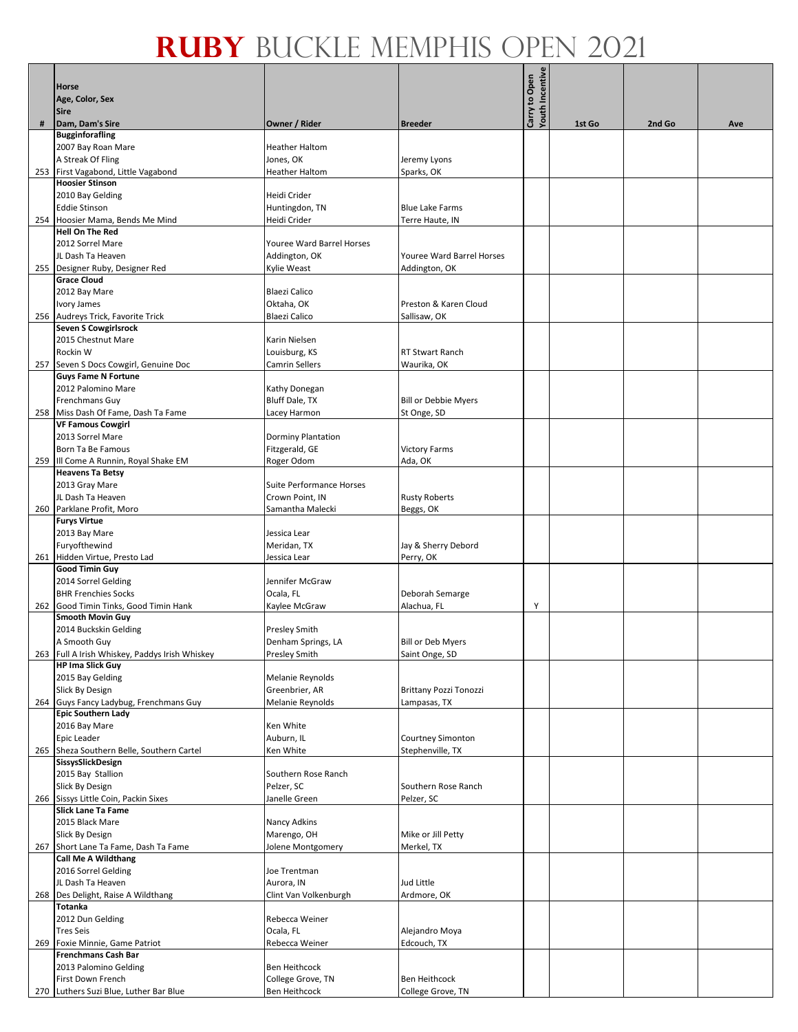|     | Horse                                                                     |                                 |                               | <b>Youth Incentive</b><br>Carry to Open |        |        |     |
|-----|---------------------------------------------------------------------------|---------------------------------|-------------------------------|-----------------------------------------|--------|--------|-----|
|     | Age, Color, Sex                                                           |                                 |                               |                                         |        |        |     |
|     | <b>Sire</b>                                                               |                                 |                               |                                         |        |        |     |
| #   | Dam, Dam's Sire                                                           | Owner / Rider                   | <b>Breeder</b>                |                                         | 1st Go | 2nd Go | Ave |
|     | <b>Bugginforafling</b>                                                    |                                 |                               |                                         |        |        |     |
|     | 2007 Bay Roan Mare                                                        | <b>Heather Haltom</b>           |                               |                                         |        |        |     |
|     | A Streak Of Fling                                                         | Jones, OK                       | Jeremy Lyons                  |                                         |        |        |     |
|     | 253 First Vagabond, Little Vagabond                                       | <b>Heather Haltom</b>           | Sparks, OK                    |                                         |        |        |     |
|     | <b>Hoosier Stinson</b>                                                    |                                 |                               |                                         |        |        |     |
|     | 2010 Bay Gelding                                                          | Heidi Crider                    |                               |                                         |        |        |     |
|     | <b>Eddie Stinson</b>                                                      | Huntingdon, TN                  | <b>Blue Lake Farms</b>        |                                         |        |        |     |
|     | 254 Hoosier Mama, Bends Me Mind                                           | Heidi Crider                    | Terre Haute, IN               |                                         |        |        |     |
|     | <b>Hell On The Red</b>                                                    |                                 |                               |                                         |        |        |     |
|     | 2012 Sorrel Mare                                                          | Youree Ward Barrel Horses       |                               |                                         |        |        |     |
|     | JL Dash Ta Heaven                                                         | Addington, OK                   | Youree Ward Barrel Horses     |                                         |        |        |     |
|     | 255 Designer Ruby, Designer Red                                           | Kylie Weast                     | Addington, OK                 |                                         |        |        |     |
|     | <b>Grace Cloud</b>                                                        |                                 |                               |                                         |        |        |     |
|     | 2012 Bay Mare                                                             | <b>Blaezi Calico</b>            |                               |                                         |        |        |     |
|     | Ivory James                                                               | Oktaha, OK                      | Preston & Karen Cloud         |                                         |        |        |     |
|     | 256 Audreys Trick, Favorite Trick                                         | <b>Blaezi Calico</b>            | Sallisaw, OK                  |                                         |        |        |     |
|     | <b>Seven S Cowgirlsrock</b>                                               |                                 |                               |                                         |        |        |     |
|     | 2015 Chestnut Mare                                                        | Karin Nielsen                   |                               |                                         |        |        |     |
|     | Rockin W                                                                  | Louisburg, KS                   | RT Stwart Ranch               |                                         |        |        |     |
| 257 | Seven S Docs Cowgirl, Genuine Doc                                         | Camrin Sellers                  | Waurika, OK                   |                                         |        |        |     |
|     | <b>Guys Fame N Fortune</b>                                                |                                 |                               |                                         |        |        |     |
|     | 2012 Palomino Mare                                                        | Kathy Donegan                   |                               |                                         |        |        |     |
|     | Frenchmans Guy                                                            | <b>Bluff Dale, TX</b>           | <b>Bill or Debbie Myers</b>   |                                         |        |        |     |
|     | 258 Miss Dash Of Fame, Dash Ta Fame                                       | Lacey Harmon                    | St Onge, SD                   |                                         |        |        |     |
|     | <b>VF Famous Cowgirl</b>                                                  |                                 |                               |                                         |        |        |     |
|     | 2013 Sorrel Mare                                                          | <b>Dorminy Plantation</b>       |                               |                                         |        |        |     |
|     | Born Ta Be Famous                                                         | Fitzgerald, GE                  | <b>Victory Farms</b>          |                                         |        |        |     |
|     | 259 III Come A Runnin, Royal Shake EM                                     | Roger Odom                      | Ada, OK                       |                                         |        |        |     |
|     | <b>Heavens Ta Betsy</b>                                                   |                                 |                               |                                         |        |        |     |
|     | 2013 Gray Mare                                                            | <b>Suite Performance Horses</b> |                               |                                         |        |        |     |
|     | JL Dash Ta Heaven                                                         | Crown Point, IN                 | <b>Rusty Roberts</b>          |                                         |        |        |     |
|     | 260 Parklane Profit, Moro                                                 | Samantha Malecki                | Beggs, OK                     |                                         |        |        |     |
|     | <b>Furys Virtue</b>                                                       |                                 |                               |                                         |        |        |     |
|     | 2013 Bay Mare                                                             | Jessica Lear                    |                               |                                         |        |        |     |
|     | Furyofthewind                                                             | Meridan, TX                     | Jay & Sherry Debord           |                                         |        |        |     |
|     | 261 Hidden Virtue, Presto Lad                                             | Jessica Lear                    | Perry, OK                     |                                         |        |        |     |
|     | <b>Good Timin Guy</b>                                                     |                                 |                               |                                         |        |        |     |
|     | 2014 Sorrel Gelding                                                       | Jennifer McGraw                 |                               |                                         |        |        |     |
|     | <b>BHR Frenchies Socks</b>                                                |                                 |                               |                                         |        |        |     |
|     |                                                                           | Ocala, FL                       | Deborah Semarge               |                                         |        |        |     |
| 262 | Good Timin Tinks, Good Timin Hank<br><b>Smooth Movin Guy</b>              | Kaylee McGraw                   | Alachua, FL                   | Υ                                       |        |        |     |
|     | 2014 Buckskin Gelding                                                     |                                 |                               |                                         |        |        |     |
|     |                                                                           | <b>Presley Smith</b>            |                               |                                         |        |        |     |
|     | A Smooth Guy                                                              | Denham Springs, LA              | <b>Bill or Deb Myers</b>      |                                         |        |        |     |
|     | 263 Full A Irish Whiskey, Paddys Irish Whiskey<br><b>HP Ima Slick Guy</b> | <b>Presley Smith</b>            | Saint Onge, SD                |                                         |        |        |     |
|     | 2015 Bay Gelding                                                          | <b>Melanie Reynolds</b>         |                               |                                         |        |        |     |
|     | Slick By Design                                                           | Greenbrier, AR                  | <b>Brittany Pozzi Tonozzi</b> |                                         |        |        |     |
|     |                                                                           |                                 |                               |                                         |        |        |     |
|     | 264 Guys Fancy Ladybug, Frenchmans Guy<br><b>Epic Southern Lady</b>       | Melanie Reynolds                | Lampasas, TX                  |                                         |        |        |     |
|     | 2016 Bay Mare                                                             |                                 |                               |                                         |        |        |     |
|     |                                                                           | Ken White                       |                               |                                         |        |        |     |
|     | Epic Leader                                                               | Auburn, IL                      | Courtney Simonton             |                                         |        |        |     |
|     | 265 Sheza Southern Belle, Southern Cartel                                 | Ken White                       | Stephenville, TX              |                                         |        |        |     |
|     | SissysSlickDesign                                                         |                                 |                               |                                         |        |        |     |
|     | 2015 Bay Stallion                                                         | Southern Rose Ranch             |                               |                                         |        |        |     |
|     | Slick By Design                                                           | Pelzer, SC                      | Southern Rose Ranch           |                                         |        |        |     |
|     | 266 Sissys Little Coin, Packin Sixes                                      | Janelle Green                   | Pelzer, SC                    |                                         |        |        |     |
|     | <b>Slick Lane Ta Fame</b>                                                 |                                 |                               |                                         |        |        |     |
|     | 2015 Black Mare                                                           | Nancy Adkins                    |                               |                                         |        |        |     |
|     | Slick By Design                                                           | Marengo, OH                     | Mike or Jill Petty            |                                         |        |        |     |
| 267 | Short Lane Ta Fame, Dash Ta Fame                                          | Jolene Montgomery               | Merkel, TX                    |                                         |        |        |     |
|     | <b>Call Me A Wildthang</b>                                                |                                 |                               |                                         |        |        |     |
|     | 2016 Sorrel Gelding                                                       | Joe Trentman                    |                               |                                         |        |        |     |
|     | JL Dash Ta Heaven                                                         | Aurora, IN                      | Jud Little                    |                                         |        |        |     |
| 268 | Des Delight, Raise A Wildthang                                            | Clint Van Volkenburgh           | Ardmore, OK                   |                                         |        |        |     |
|     | Totanka                                                                   |                                 |                               |                                         |        |        |     |
|     | 2012 Dun Gelding                                                          | Rebecca Weiner                  |                               |                                         |        |        |     |
|     | <b>Tres Seis</b>                                                          | Ocala, FL                       | Alejandro Moya                |                                         |        |        |     |
| 269 | Foxie Minnie, Game Patriot                                                | Rebecca Weiner                  | Edcouch, TX                   |                                         |        |        |     |
|     | <b>Frenchmans Cash Bar</b>                                                |                                 |                               |                                         |        |        |     |
|     | 2013 Palomino Gelding                                                     | Ben Heithcock                   |                               |                                         |        |        |     |
|     | First Down French                                                         | College Grove, TN               | <b>Ben Heithcock</b>          |                                         |        |        |     |
|     | 270 Luthers Suzi Blue, Luther Bar Blue                                    | Ben Heithcock                   | College Grove, TN             |                                         |        |        |     |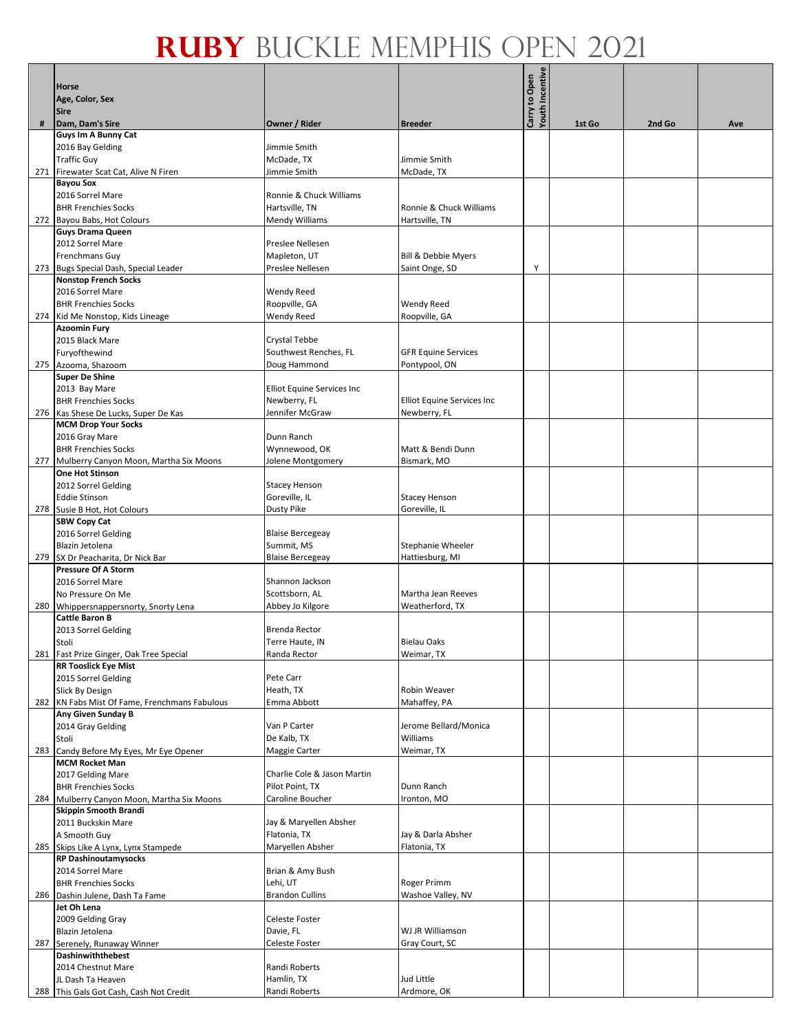|     |                                               |                             |                                | Youth Incentive<br>Carry to Open |        |        |     |
|-----|-----------------------------------------------|-----------------------------|--------------------------------|----------------------------------|--------|--------|-----|
|     | Horse                                         |                             |                                |                                  |        |        |     |
|     | Age, Color, Sex                               |                             |                                |                                  |        |        |     |
|     | <b>Sire</b>                                   |                             |                                |                                  |        |        |     |
| #   | Dam, Dam's Sire<br>Guys Im A Bunny Cat        | Owner / Rider               | <b>Breeder</b>                 |                                  | 1st Go | 2nd Go | Ave |
|     | 2016 Bay Gelding                              | Jimmie Smith                |                                |                                  |        |        |     |
|     | <b>Traffic Guy</b>                            | McDade, TX                  | Jimmie Smith                   |                                  |        |        |     |
|     | 271 Firewater Scat Cat, Alive N Firen         | Jimmie Smith                |                                |                                  |        |        |     |
|     | <b>Bayou Sox</b>                              |                             | McDade, TX                     |                                  |        |        |     |
|     | 2016 Sorrel Mare                              | Ronnie & Chuck Williams     |                                |                                  |        |        |     |
|     | <b>BHR Frenchies Socks</b>                    | Hartsville, TN              | Ronnie & Chuck Williams        |                                  |        |        |     |
|     | 272 Bayou Babs, Hot Colours                   | Mendy Williams              | Hartsville, TN                 |                                  |        |        |     |
|     | <b>Guys Drama Queen</b>                       |                             |                                |                                  |        |        |     |
|     | 2012 Sorrel Mare                              | Preslee Nellesen            |                                |                                  |        |        |     |
|     | Frenchmans Guy                                | Mapleton, UT                | <b>Bill &amp; Debbie Myers</b> |                                  |        |        |     |
|     | 273 Bugs Special Dash, Special Leader         | Preslee Nellesen            | Saint Onge, SD                 | Υ                                |        |        |     |
|     | <b>Nonstop French Socks</b>                   |                             |                                |                                  |        |        |     |
|     | 2016 Sorrel Mare                              | Wendy Reed                  |                                |                                  |        |        |     |
|     | <b>BHR Frenchies Socks</b>                    | Roopville, GA               | <b>Wendy Reed</b>              |                                  |        |        |     |
|     | 274 Kid Me Nonstop, Kids Lineage              | Wendy Reed                  | Roopville, GA                  |                                  |        |        |     |
|     | <b>Azoomin Fury</b>                           |                             |                                |                                  |        |        |     |
|     | 2015 Black Mare                               | Crystal Tebbe               |                                |                                  |        |        |     |
|     | Furyofthewind                                 | Southwest Renches, FL       | <b>GFR Equine Services</b>     |                                  |        |        |     |
|     | 275 Azooma, Shazoom                           | Doug Hammond                | Pontypool, ON                  |                                  |        |        |     |
|     | <b>Super De Shine</b>                         |                             |                                |                                  |        |        |     |
|     | 2013 Bay Mare                                 | Elliot Equine Services Inc  |                                |                                  |        |        |     |
|     | <b>BHR Frenchies Socks</b>                    | Newberry, FL                | Elliot Equine Services Inc     |                                  |        |        |     |
|     | 276 Kas Shese De Lucks, Super De Kas          | Jennifer McGraw             | Newberry, FL                   |                                  |        |        |     |
|     | <b>MCM Drop Your Socks</b>                    |                             |                                |                                  |        |        |     |
|     | 2016 Gray Mare                                | Dunn Ranch                  |                                |                                  |        |        |     |
|     | <b>BHR Frenchies Socks</b>                    | Wynnewood, OK               | Matt & Bendi Dunn              |                                  |        |        |     |
|     | 277 Mulberry Canyon Moon, Martha Six Moons    | Jolene Montgomery           | Bismark, MO                    |                                  |        |        |     |
|     | One Hot Stinson                               |                             |                                |                                  |        |        |     |
|     | 2012 Sorrel Gelding                           | <b>Stacey Henson</b>        |                                |                                  |        |        |     |
|     | <b>Eddie Stinson</b>                          | Goreville, IL               | <b>Stacey Henson</b>           |                                  |        |        |     |
|     | 278 Susie B Hot, Hot Colours                  | Dusty Pike                  | Goreville, IL                  |                                  |        |        |     |
|     | <b>SBW Copy Cat</b>                           |                             |                                |                                  |        |        |     |
|     | 2016 Sorrel Gelding                           | <b>Blaise Bercegeay</b>     |                                |                                  |        |        |     |
|     | Blazin Jetolena                               | Summit, MS                  | Stephanie Wheeler              |                                  |        |        |     |
| 279 | SX Dr Peacharita, Dr Nick Bar                 | <b>Blaise Bercegeay</b>     | Hattiesburg, MI                |                                  |        |        |     |
|     | <b>Pressure Of A Storm</b>                    |                             |                                |                                  |        |        |     |
|     | 2016 Sorrel Mare                              | Shannon Jackson             |                                |                                  |        |        |     |
|     | No Pressure On Me                             | Scottsborn, AL              | Martha Jean Reeves             |                                  |        |        |     |
|     | 280 Whippersnappersnorty, Snorty Lena         | Abbey Jo Kilgore            | Weatherford, TX                |                                  |        |        |     |
|     | <b>Cattle Baron B</b>                         |                             |                                |                                  |        |        |     |
|     | 2013 Sorrel Gelding                           | Brenda Rector               |                                |                                  |        |        |     |
|     | Stoli                                         | Terre Haute, IN             | <b>Bielau Oaks</b>             |                                  |        |        |     |
|     | 281 Fast Prize Ginger, Oak Tree Special       | Randa Rector                | Weimar, TX                     |                                  |        |        |     |
|     | <b>RR Tooslick Eye Mist</b>                   |                             |                                |                                  |        |        |     |
|     | 2015 Sorrel Gelding                           | Pete Carr                   |                                |                                  |        |        |     |
|     | Slick By Design                               | Heath, TX                   | Robin Weaver                   |                                  |        |        |     |
|     | 282 KN Fabs Mist Of Fame, Frenchmans Fabulous | Emma Abbott                 | Mahaffey, PA                   |                                  |        |        |     |
|     | Any Given Sunday B                            |                             |                                |                                  |        |        |     |
|     | 2014 Gray Gelding                             | Van P Carter                | Jerome Bellard/Monica          |                                  |        |        |     |
|     | Stoli                                         | De Kalb, TX                 | Williams                       |                                  |        |        |     |
|     | 283 Candy Before My Eyes, Mr Eye Opener       | Maggie Carter               | Weimar, TX                     |                                  |        |        |     |
|     | <b>MCM Rocket Man</b>                         |                             |                                |                                  |        |        |     |
|     | 2017 Gelding Mare                             | Charlie Cole & Jason Martin |                                |                                  |        |        |     |
|     | <b>BHR Frenchies Socks</b>                    | Pilot Point, TX             | Dunn Ranch                     |                                  |        |        |     |
|     | 284 Mulberry Canyon Moon, Martha Six Moons    | Caroline Boucher            | Ironton, MO                    |                                  |        |        |     |
|     | Skippin Smooth Brandi                         |                             |                                |                                  |        |        |     |
|     | 2011 Buckskin Mare                            | Jay & Maryellen Absher      |                                |                                  |        |        |     |
|     | A Smooth Guy                                  | Flatonia, TX                | Jay & Darla Absher             |                                  |        |        |     |
|     | 285 Skips Like A Lynx, Lynx Stampede          | Maryellen Absher            | Flatonia, TX                   |                                  |        |        |     |
|     | <b>RP Dashinoutamysocks</b>                   |                             |                                |                                  |        |        |     |
|     | 2014 Sorrel Mare                              | Brian & Amy Bush            |                                |                                  |        |        |     |
|     | <b>BHR Frenchies Socks</b>                    | Lehi, UT                    | Roger Primm                    |                                  |        |        |     |
|     | 286 Dashin Julene, Dash Ta Fame               | <b>Brandon Cullins</b>      | Washoe Valley, NV              |                                  |        |        |     |
|     | Jet Oh Lena                                   |                             |                                |                                  |        |        |     |
|     | 2009 Gelding Gray                             | Celeste Foster              |                                |                                  |        |        |     |
|     | Blazin Jetolena                               | Davie, FL                   | WJ JR Williamson               |                                  |        |        |     |
| 287 | Serenely, Runaway Winner                      | Celeste Foster              | Gray Court, SC                 |                                  |        |        |     |
|     | Dashinwiththebest                             |                             |                                |                                  |        |        |     |
|     | 2014 Chestnut Mare                            | Randi Roberts               |                                |                                  |        |        |     |
|     | JL Dash Ta Heaven                             | Hamlin, TX                  | Jud Little                     |                                  |        |        |     |
|     | 288 This Gals Got Cash, Cash Not Credit       | Randi Roberts               | Ardmore, OK                    |                                  |        |        |     |